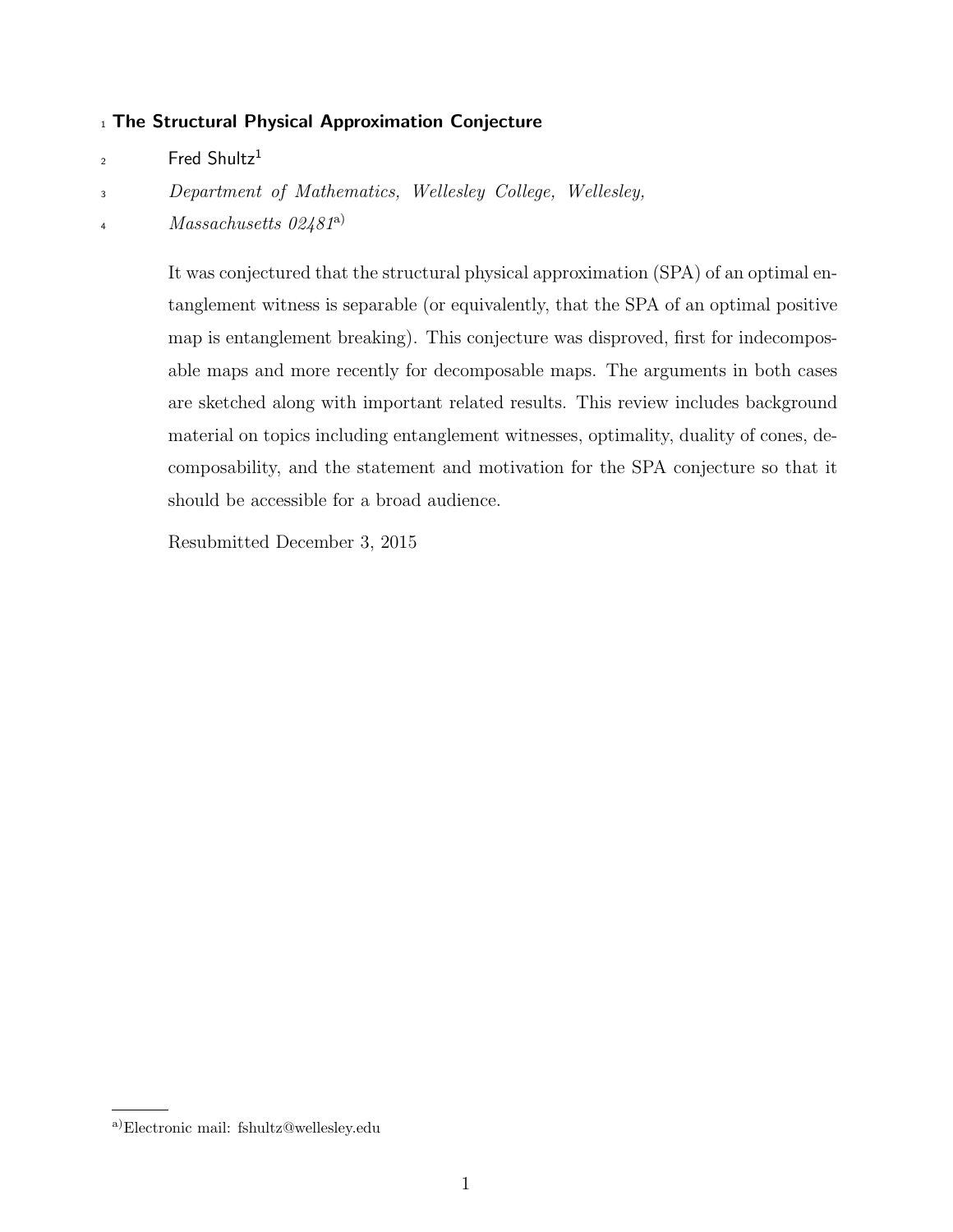# 1 The Structural Physical Approximation Conjecture

- Fred Shultz<sup>1</sup> 2
- <sup>3</sup> Department of Mathematics, Wellesley College, Wellesley,
- Massachusetts  $0.2481$ <sup>a)</sup> 4

It was conjectured that the structural physical approximation (SPA) of an optimal entanglement witness is separable (or equivalently, that the SPA of an optimal positive map is entanglement breaking). This conjecture was disproved, first for indecomposable maps and more recently for decomposable maps. The arguments in both cases are sketched along with important related results. This review includes background material on topics including entanglement witnesses, optimality, duality of cones, decomposability, and the statement and motivation for the SPA conjecture so that it should be accessible for a broad audience.

Resubmitted December 3, 2015

a)Electronic mail: fshultz@wellesley.edu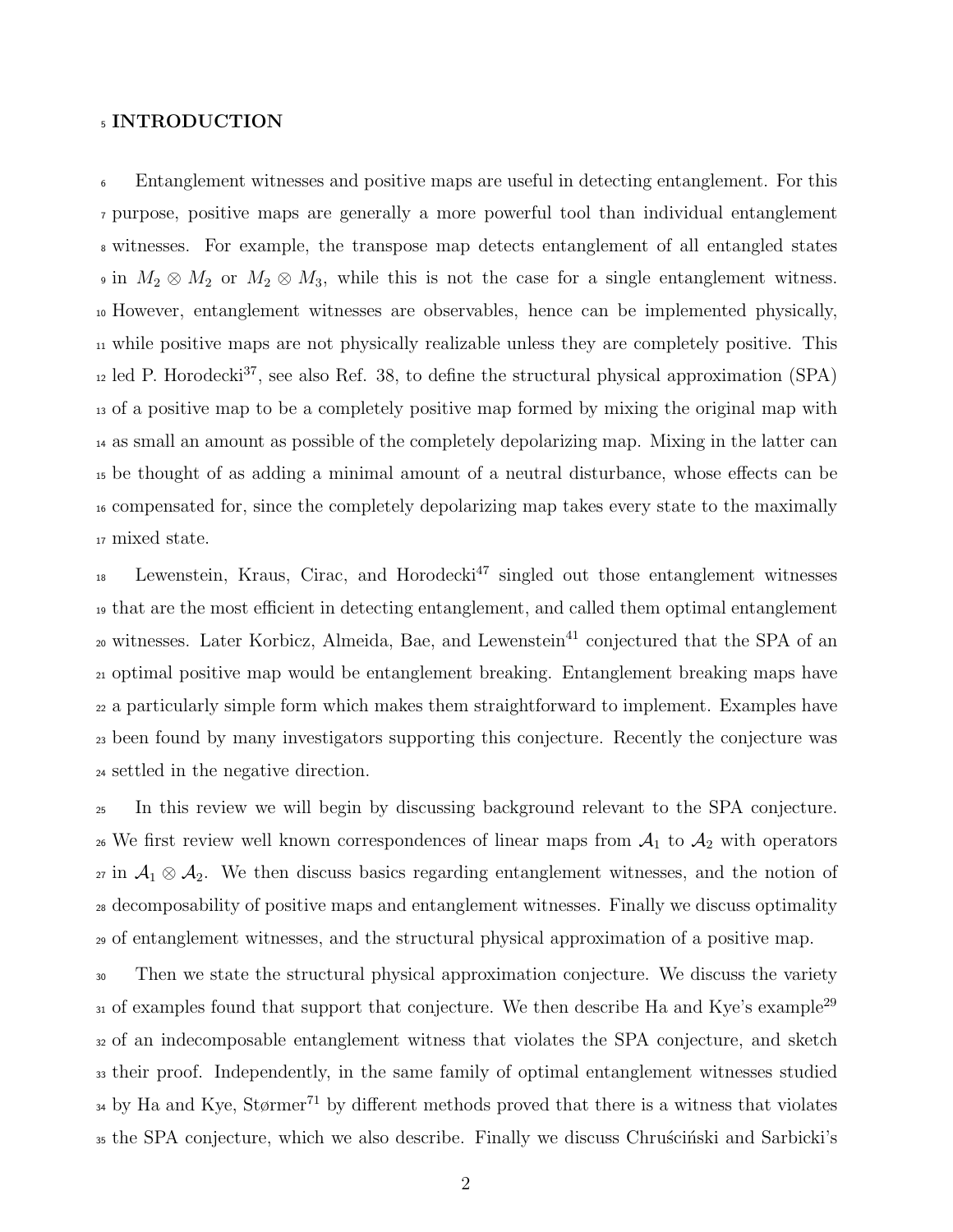## INTRODUCTION

 Entanglement witnesses and positive maps are useful in detecting entanglement. For this purpose, positive maps are generally a more powerful tool than individual entanglement witnesses. For example, the transpose map detects entanglement of all entangled states  $\varphi$  in  $M_2 \otimes M_2$  or  $M_2 \otimes M_3$ , while this is not the case for a single entanglement witness. However, entanglement witnesses are observables, hence can be implemented physically, while positive maps are not physically realizable unless they are completely positive. This  $_{12}$  led P. Horodecki<sup>37</sup>, see also Ref. 38, to define the structural physical approximation (SPA) of a positive map to be a completely positive map formed by mixing the original map with as small an amount as possible of the completely depolarizing map. Mixing in the latter can be thought of as adding a minimal amount of a neutral disturbance, whose effects can be compensated for, since the completely depolarizing map takes every state to the maximally mixed state.

 $L_{18}$  Lewenstein, Kraus, Cirac, and Horodecki<sup>47</sup> singled out those entanglement witnesses that are the most efficient in detecting entanglement, and called them optimal entanglement 20 witnesses. Later Korbicz, Almeida, Bae, and Lewenstein<sup>41</sup> conjectured that the SPA of an optimal positive map would be entanglement breaking. Entanglement breaking maps have a particularly simple form which makes them straightforward to implement. Examples have been found by many investigators supporting this conjecture. Recently the conjecture was settled in the negative direction.

 In this review we will begin by discussing background relevant to the SPA conjecture. <sup>26</sup> We first review well known correspondences of linear maps from  $A_1$  to  $A_2$  with operators 27 in  $\mathcal{A}_1 \otimes \mathcal{A}_2$ . We then discuss basics regarding entanglement witnesses, and the notion of decomposability of positive maps and entanglement witnesses. Finally we discuss optimality of entanglement witnesses, and the structural physical approximation of a positive map.

 Then we state the structural physical approximation conjecture. We discuss the variety 31 of examples found that support that conjecture. We then describe Ha and Kye's example<sup>29</sup> of an indecomposable entanglement witness that violates the SPA conjecture, and sketch their proof. Independently, in the same family of optimal entanglement witnesses studied <sup>34</sup> by Ha and Kye, Størmer<sup>71</sup> by different methods proved that there is a witness that violates 35 the SPA conjecture, which we also describe. Finally we discuss Chruscinski and Sarbicki's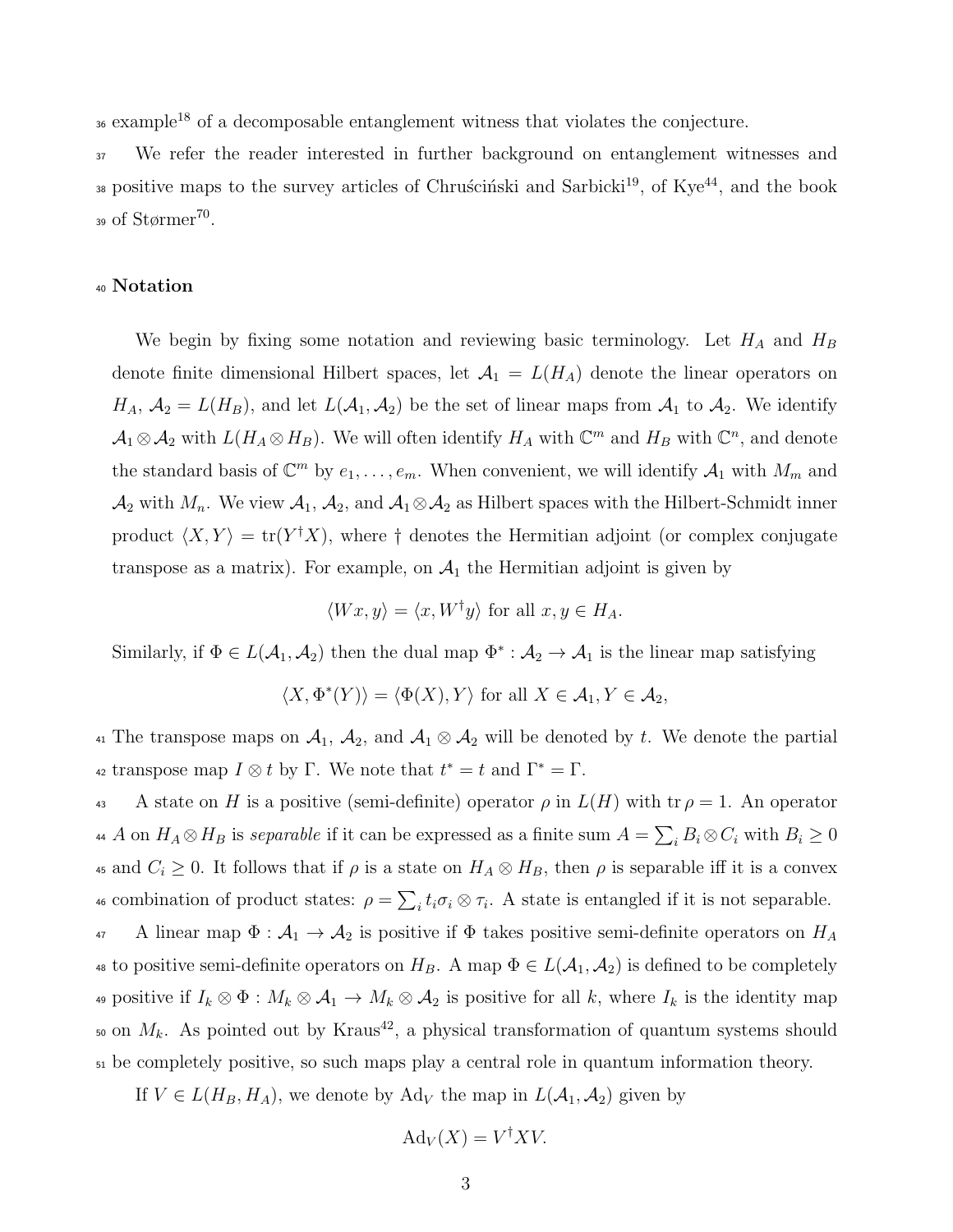36 example<sup>18</sup> of a decomposable entanglement witness that violates the conjecture.

<sup>37</sup> We refer the reader interested in further background on entanglement witnesses and 38 positive maps to the survey articles of Chruscinski and Sarbicki<sup>19</sup>, of Kye<sup>44</sup>, and the book 39 of Størmer<sup>70</sup>.

## <sup>40</sup> Notation

We begin by fixing some notation and reviewing basic terminology. Let  $H_A$  and  $H_B$ denote finite dimensional Hilbert spaces, let  $\mathcal{A}_1 = L(H_A)$  denote the linear operators on  $H_A$ ,  $A_2 = L(H_B)$ , and let  $L(A_1, A_2)$  be the set of linear maps from  $A_1$  to  $A_2$ . We identify  $\mathcal{A}_1 \otimes \mathcal{A}_2$  with  $L(H_A \otimes H_B)$ . We will often identify  $H_A$  with  $\mathbb{C}^m$  and  $H_B$  with  $\mathbb{C}^n$ , and denote the standard basis of  $\mathbb{C}^m$  by  $e_1, \ldots, e_m$ . When convenient, we will identify  $\mathcal{A}_1$  with  $M_m$  and  $\mathcal{A}_2$  with  $M_n$ . We view  $\mathcal{A}_1, \mathcal{A}_2$ , and  $\mathcal{A}_1 \otimes \mathcal{A}_2$  as Hilbert spaces with the Hilbert-Schmidt inner product  $\langle X, Y \rangle = \text{tr}(Y^{\dagger}X)$ , where  $\dagger$  denotes the Hermitian adjoint (or complex conjugate transpose as a matrix). For example, on  $A_1$  the Hermitian adjoint is given by

$$
\langle Wx, y \rangle = \langle x, W^{\dagger}y \rangle
$$
 for all  $x, y \in H_A$ .

Similarly, if  $\Phi \in L(\mathcal{A}_1, \mathcal{A}_2)$  then the dual map  $\Phi^* : \mathcal{A}_2 \to \mathcal{A}_1$  is the linear map satisfying

$$
\langle X, \Phi^*(Y) \rangle = \langle \Phi(X), Y \rangle \text{ for all } X \in \mathcal{A}_1, Y \in \mathcal{A}_2,
$$

41 The transpose maps on  $\mathcal{A}_1$ ,  $\mathcal{A}_2$ , and  $\mathcal{A}_1 \otimes \mathcal{A}_2$  will be denoted by t. We denote the partial <sup>42</sup> transpose map  $I \otimes t$  by Γ. We note that  $t^* = t$  and  $\Gamma^* = \Gamma$ .

43 A state on H is a positive (semi-definite) operator  $\rho$  in  $L(H)$  with tr  $\rho = 1$ . An operator 44 A on  $H_A \otimes H_B$  is *separable* if it can be expressed as a finite sum  $A = \sum_i B_i \otimes C_i$  with  $B_i \ge 0$ 45 and  $C_i \geq 0$ . It follows that if  $\rho$  is a state on  $H_A \otimes H_B$ , then  $\rho$  is separable iff it is a convex 46 combination of product states:  $\rho = \sum_i t_i \sigma_i \otimes \tau_i$ . A state is entangled if it is not separable.

47 A linear map  $\Phi: \mathcal{A}_1 \to \mathcal{A}_2$  is positive if  $\Phi$  takes positive semi-definite operators on  $H_A$ 48 to positive semi-definite operators on  $H_B$ . A map  $\Phi \in L(\mathcal{A}_1, \mathcal{A}_2)$  is defined to be completely 49 positive if  $I_k \otimes \Phi : M_k \otimes A_1 \to M_k \otimes A_2$  is positive for all k, where  $I_k$  is the identity map so on  $M_k$ . As pointed out by Kraus<sup>42</sup>, a physical transformation of quantum systems should <sup>51</sup> be completely positive, so such maps play a central role in quantum information theory.

If  $V \in L(H_B, H_A)$ , we denote by Ad<sub>V</sub> the map in  $L(A_1, A_2)$  given by

$$
Ad_V(X) = V^{\dagger} X V.
$$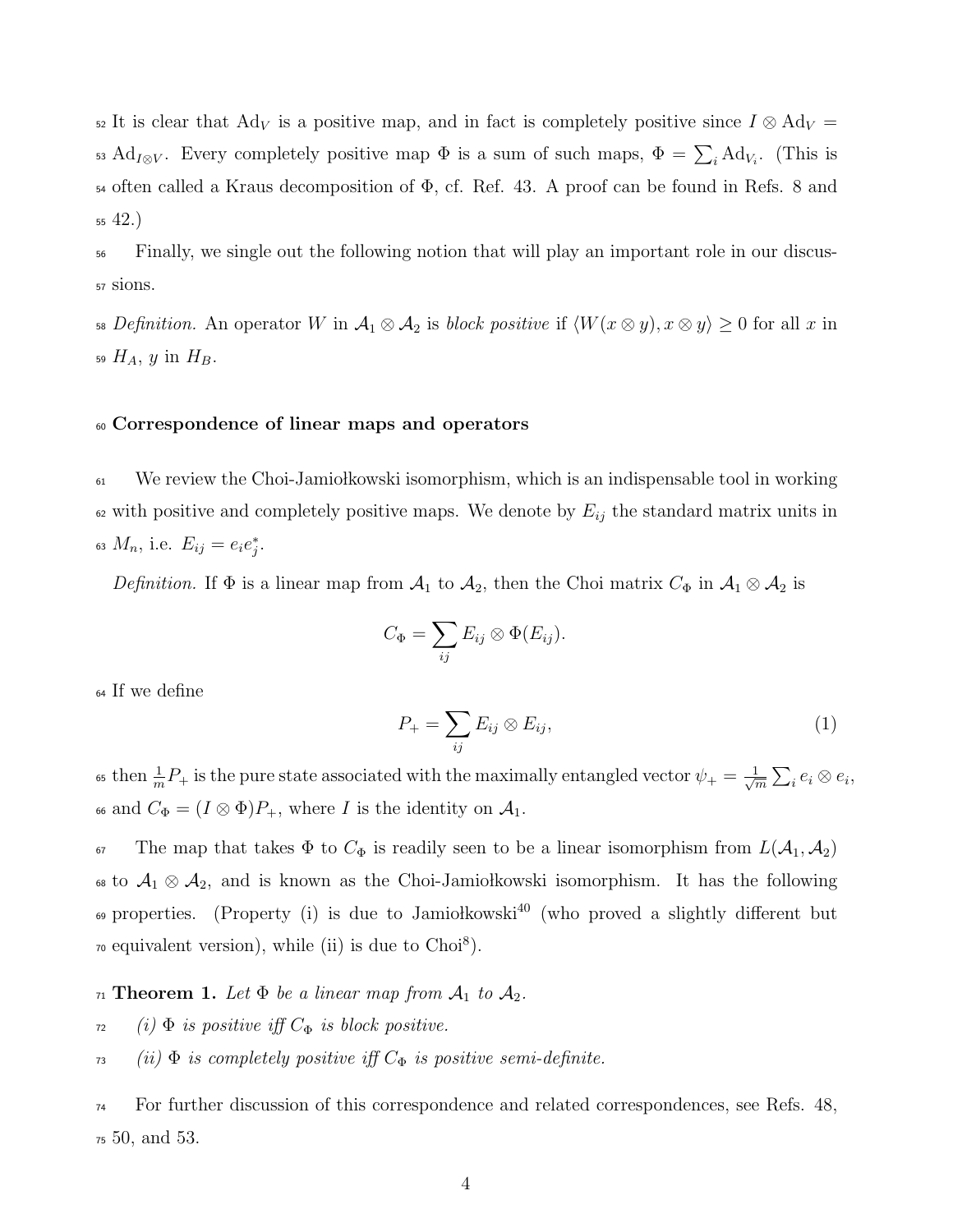It is clear that Ad<sub>V</sub> is a positive map, and in fact is completely positive since  $I \otimes \text{Ad}_V =$  $\text{Ad}_{I\otimes V}$ . Every completely positive map  $\Phi$  is a sum of such maps,  $\Phi = \sum_i \text{Ad}_{V_i}$ . (This is often called a Kraus decomposition of Φ, cf. Ref. 43. A proof can be found in Refs. 8 and <sup>55</sup> 42.)

<sup>56</sup> Finally, we single out the following notion that will play an important role in our discus-<sup>57</sup> sions.

58 Definition. An operator W in  $\mathcal{A}_1 \otimes \mathcal{A}_2$  is block positive if  $\langle W(x \otimes y), x \otimes y \rangle \ge 0$  for all x in 59  $H_A$ , y in  $H_B$ .

## <sup>60</sup> Correspondence of linear maps and operators

 $61$  We review the Choi-Jamiołkowski isomorphism, which is an indispensable tool in working  $\epsilon_2$  with positive and completely positive maps. We denote by  $E_{ij}$  the standard matrix units in 63  $M_n$ , i.e.  $E_{ij} = e_i e_j^*$ .

Definition. If  $\Phi$  is a linear map from  $\mathcal{A}_1$  to  $\mathcal{A}_2$ , then the Choi matrix  $C_{\Phi}$  in  $\mathcal{A}_1 \otimes \mathcal{A}_2$  is

$$
C_{\Phi} = \sum_{ij} E_{ij} \otimes \Phi(E_{ij}).
$$

<sup>64</sup> If we define

$$
P_{+} = \sum_{ij} E_{ij} \otimes E_{ij}, \qquad (1)
$$

then  $\frac{1}{m}P_+$  is the pure state associated with the maximally entangled vector  $\psi_+ = \frac{1}{\sqrt{2}}$ 65 then  $\frac{1}{m}P_+$  is the pure state associated with the maximally entangled vector  $\psi_+ = \frac{1}{\sqrt{m}}\sum_i e_i \otimes e_i$ , <sup>66</sup> and  $C_{\Phi} = (I \otimes \Phi)P_+$ , where *I* is the identity on  $\mathcal{A}_1$ .

67 The map that takes  $\Phi$  to  $C_{\Phi}$  is readily seen to be a linear isomorphism from  $L(\mathcal{A}_1, \mathcal{A}_2)$ 68 to  $A_1 \otimes A_2$ , and is known as the Choi-Jamiołkowski isomorphism. It has the following <sup>69</sup> properties. (Property (i) is due to Jamiołkowski<sup>40</sup> (who proved a slightly different but  $\infty$  equivalent version), while (ii) is due to Choi<sup>8</sup>).

71 **Theorem 1.** Let  $\Phi$  be a linear map from  $\mathcal{A}_1$  to  $\mathcal{A}_2$ .

- $72$  (i)  $\Phi$  is positive iff  $C_{\Phi}$  is block positive.
- $73$  (ii)  $\Phi$  is completely positive iff  $C_{\Phi}$  is positive semi-definite.

<sup>74</sup> For further discussion of this correspondence and related correspondences, see Refs. 48, <sup>75</sup> 50, and 53.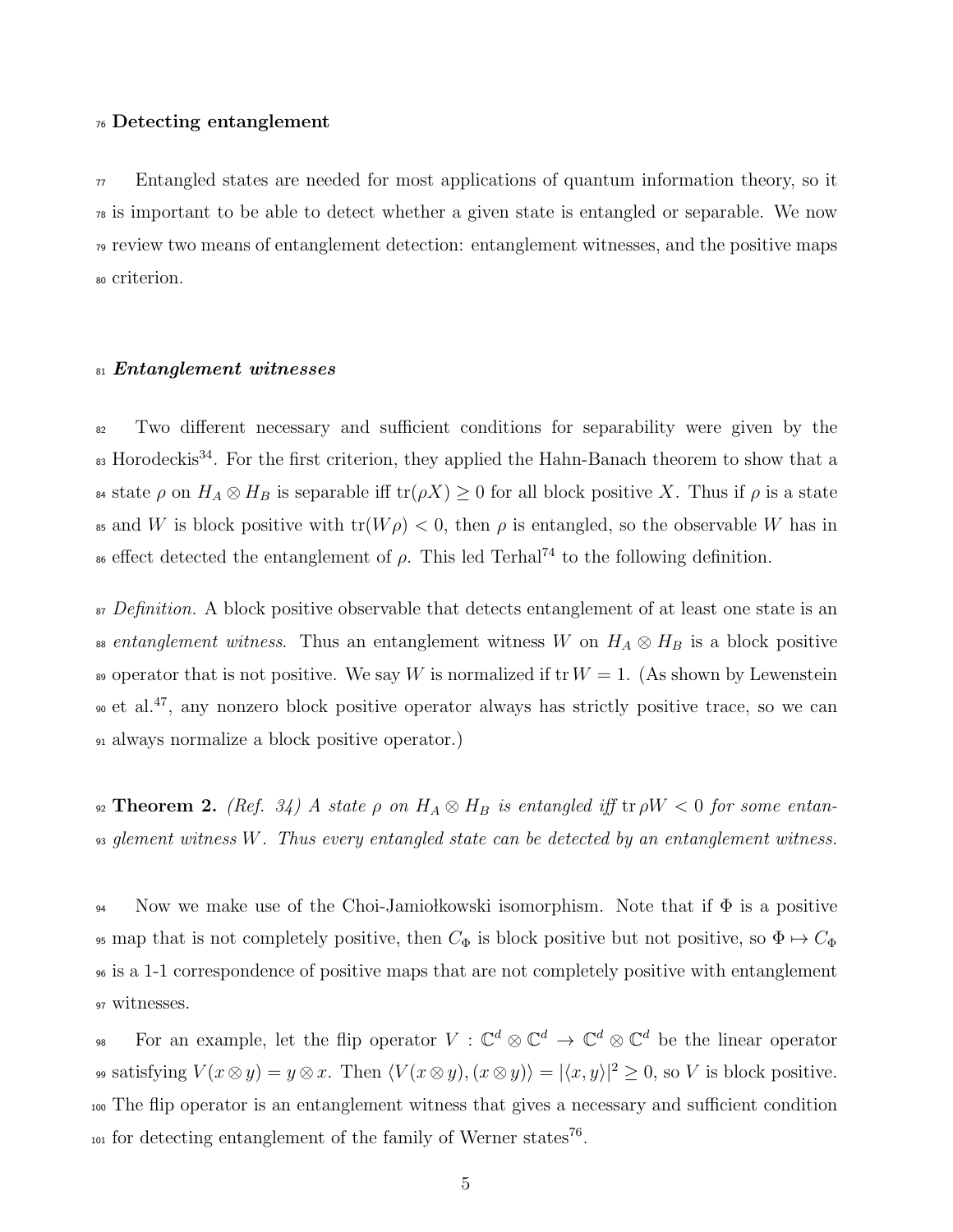#### <sup>76</sup> Detecting entanglement

 $\pi$  Entangled states are needed for most applications of quantum information theory, so it is important to be able to detect whether a given state is entangled or separable. We now review two means of entanglement detection: entanglement witnesses, and the positive maps criterion.

#### 81 Entanglement witnesses

<sup>82</sup> Two different necessary and sufficient conditions for separability were given by the <sup>83</sup> Horodeckis<sup>34</sup>. For the first criterion, they applied the Hahn-Banach theorem to show that a <sup>84</sup> state  $\rho$  on  $H_A \otimes H_B$  is separable iff  $\text{tr}(\rho X) \geq 0$  for all block positive X. Thus if  $\rho$  is a state <sup>85</sup> and W is block positive with  $tr(W \rho) < 0$ , then  $\rho$  is entangled, so the observable W has in <sup>86</sup> effect detected the entanglement of  $ρ$ . This led Terhal<sup>74</sup> to the following definition.

<sup>87</sup> Definition. A block positive observable that detects entanglement of at least one state is an 88 entanglement witness. Thus an entanglement witness W on  $H_A \otimes H_B$  is a block positive 89 operator that is not positive. We say W is normalized if  $\text{tr } W = 1$ . (As shown by Lewenstein <sup>90</sup> et al.<sup>47</sup>, any nonzero block positive operator always has strictly positive trace, so we can <sup>91</sup> always normalize a block positive operator.)

92 Theorem 2. (Ref. 34) A state  $\rho$  on  $H_A \otimes H_B$  is entangled iff  $tr \rho W < 0$  for some entan-<sup>93</sup> glement witness W. Thus every entangled state can be detected by an entanglement witness.

94 Now we make use of the Choi-Jamio kowski isomorphism. Note that if  $\Phi$  is a positive 95 map that is not completely positive, then  $C_{\Phi}$  is block positive but not positive, so  $\Phi \mapsto C_{\Phi}$ <sup>96</sup> is a 1-1 correspondence of positive maps that are not completely positive with entanglement <sup>97</sup> witnesses.

98 For an example, let the flip operator  $V : \mathbb{C}^d \otimes \mathbb{C}^d \to \mathbb{C}^d \otimes \mathbb{C}^d$  be the linear operator satisfying  $V(x \otimes y) = y \otimes x$ . Then  $\langle V(x \otimes y), (x \otimes y) \rangle = |\langle x, y \rangle|^2 \geq 0$ , so V is block positive. <sup>100</sup> The flip operator is an entanglement witness that gives a necessary and sufficient condition  $\frac{101}{101}$  for detecting entanglement of the family of Werner states<sup>76</sup>.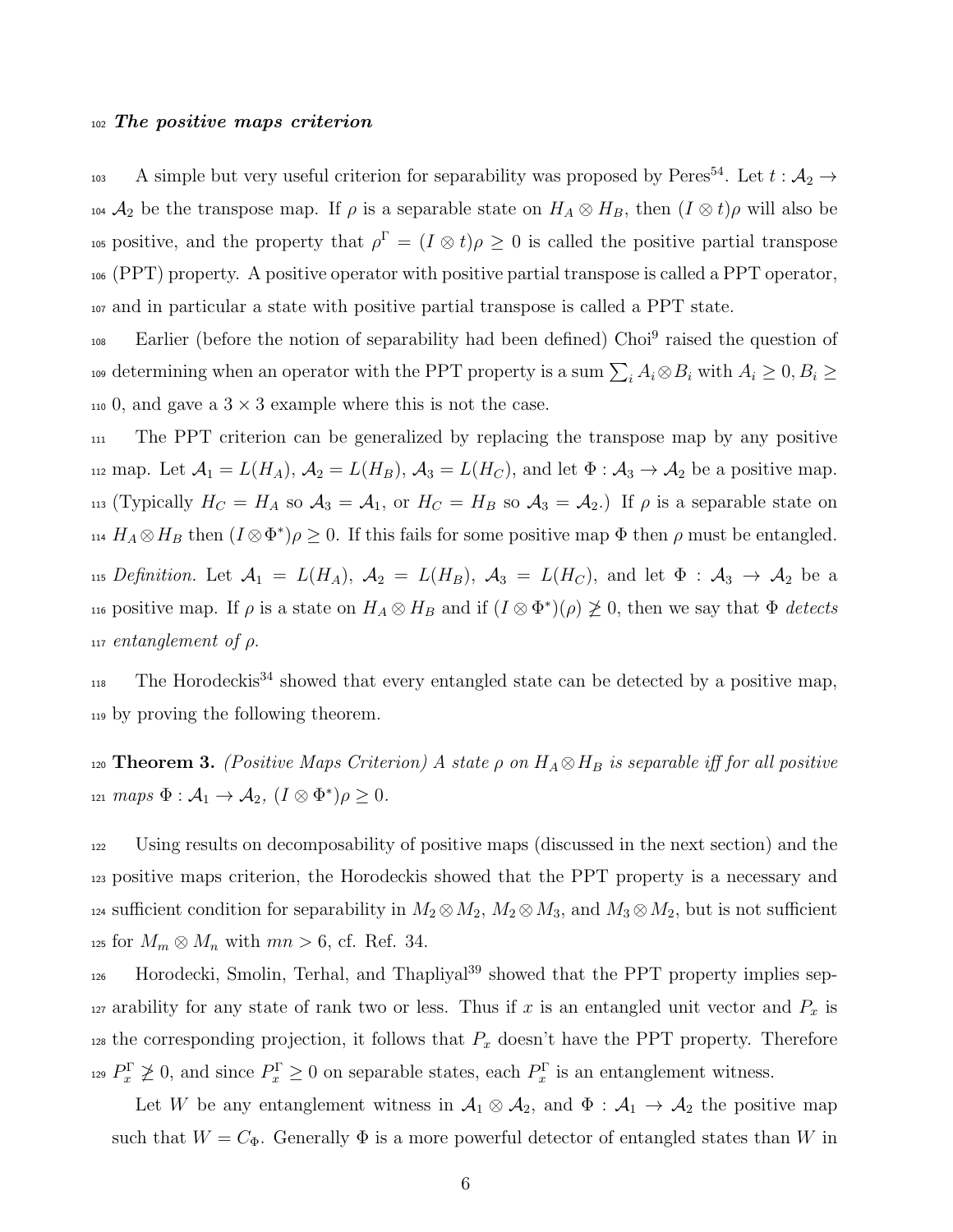#### <sup>102</sup> The positive maps criterion

103 A simple but very useful criterion for separability was proposed by Peres<sup>54</sup>. Let  $t : A_2 \rightarrow$ <sup>104</sup>  $\mathcal{A}_2$  be the transpose map. If  $\rho$  is a separable state on  $H_A \otimes H_B$ , then  $(I \otimes t)\rho$  will also be <sup>105</sup> positive, and the property that  $\rho^{\Gamma} = (I \otimes t)\rho \geq 0$  is called the positive partial transpose <sup>106</sup> (PPT) property. A positive operator with positive partial transpose is called a PPT operator, <sup>107</sup> and in particular a state with positive partial transpose is called a PPT state.

<sup>108</sup> Earlier (before the notion of separability had been defined) Choi<sup>9</sup> raised the question of 109 determining when an operator with the PPT property is a sum  $\sum_i A_i \otimes B_i$  with  $A_i \geq 0, B_i \geq 0$ 110 0, and gave a  $3 \times 3$  example where this is not the case.

<sup>111</sup> The PPT criterion can be generalized by replacing the transpose map by any positive 112 map. Let  $\mathcal{A}_1 = L(H_A)$ ,  $\mathcal{A}_2 = L(H_B)$ ,  $\mathcal{A}_3 = L(H_C)$ , and let  $\Phi : \mathcal{A}_3 \to \mathcal{A}_2$  be a positive map. 113 (Typically  $H_C = H_A$  so  $A_3 = A_1$ , or  $H_C = H_B$  so  $A_3 = A_2$ .) If  $\rho$  is a separable state on <sup>114</sup>  $H_A \otimes H_B$  then  $(I \otimes \Phi^*)\rho \geq 0$ . If this fails for some positive map  $\Phi$  then  $\rho$  must be entangled. 115 Definition. Let  $\mathcal{A}_1 = L(H_A)$ ,  $\mathcal{A}_2 = L(H_B)$ ,  $\mathcal{A}_3 = L(H_C)$ , and let  $\Phi : \mathcal{A}_3 \to \mathcal{A}_2$  be a <sup>116</sup> positive map. If  $\rho$  is a state on  $H_A \otimes H_B$  and if  $(I \otimes \Phi^*)(\rho) \not\geq 0$ , then we say that  $\Phi$  *detects* 117 entanglement of  $ρ$ .

<sup>118</sup> The Horodeckis<sup>34</sup> showed that every entangled state can be detected by a positive map, <sup>119</sup> by proving the following theorem.

120 Theorem 3. (Positive Maps Criterion) A state  $\rho$  on  $H_A \otimes H_B$  is separable iff for all positive 121  $maps \Phi : \mathcal{A}_1 \to \mathcal{A}_2$ ,  $(I \otimes \Phi^*)\rho \geq 0$ .

<sup>122</sup> Using results on decomposability of positive maps (discussed in the next section) and the <sup>123</sup> positive maps criterion, the Horodeckis showed that the PPT property is a necessary and <sup>124</sup> sufficient condition for separability in  $M_2 \otimes M_2$ ,  $M_2 \otimes M_3$ , and  $M_3 \otimes M_2$ , but is not sufficient 125 for  $M_m \otimes M_n$  with  $mn > 6$ , cf. Ref. 34.

126 Horodecki, Smolin, Terhal, and Thapliyal<sup>39</sup> showed that the PPT property implies sep-127 arability for any state of rank two or less. Thus if x is an entangled unit vector and  $P_x$  is <sup>128</sup> the corresponding projection, it follows that  $P_x$  doesn't have the PPT property. Therefore <sup>129</sup>  $P_x^{\Gamma} \not\geq 0$ , and since  $P_x^{\Gamma} \geq 0$  on separable states, each  $P_x^{\Gamma}$  is an entanglement witness.

Let W be any entanglement witness in  $\mathcal{A}_1 \otimes \mathcal{A}_2$ , and  $\Phi : \mathcal{A}_1 \to \mathcal{A}_2$  the positive map such that  $W = C_{\Phi}$ . Generally  $\Phi$  is a more powerful detector of entangled states than W in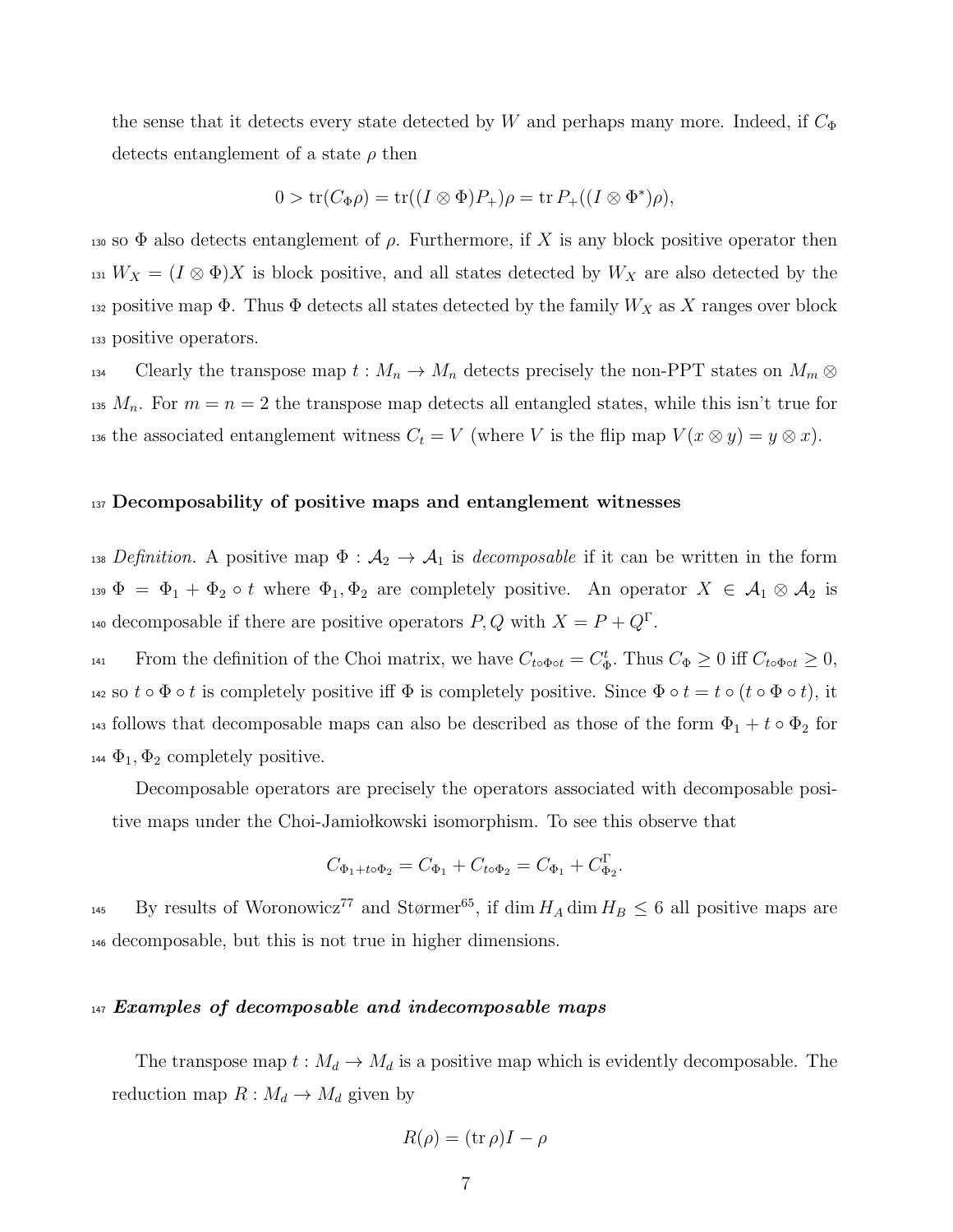the sense that it detects every state detected by W and perhaps many more. Indeed, if  $C_{\Phi}$ detects entanglement of a state  $\rho$  then

$$
0 > \operatorname{tr}(C_{\Phi}\rho) = \operatorname{tr}((I \otimes \Phi)P_+)\rho = \operatorname{tr} P_+((I \otimes \Phi^*)\rho),
$$

 $130$  so Φ also detects entanglement of  $ρ$ . Furthermore, if X is any block positive operator then <sup>131</sup>  $W_X = (I \otimes \Phi)X$  is block positive, and all states detected by  $W_X$  are also detected by the 132 positive map  $\Phi$ . Thus  $\Phi$  detects all states detected by the family  $W_X$  as X ranges over block <sup>133</sup> positive operators.

134 Clearly the transpose map  $t : M_n \to M_n$  detects precisely the non-PPT states on  $M_m \otimes$ <sup>135</sup>  $M_n$ . For  $m = n = 2$  the transpose map detects all entangled states, while this isn't true for 136 the associated entanglement witness  $C_t = V$  (where V is the flip map  $V(x \otimes y) = y \otimes x$ ).

#### <sup>137</sup> Decomposability of positive maps and entanglement witnesses

138 Definition. A positive map  $\Phi : A_2 \to A_1$  is decomposable if it can be written in the form 139  $\Phi = \Phi_1 + \Phi_2 \circ t$  where  $\Phi_1, \Phi_2$  are completely positive. An operator  $X \in \mathcal{A}_1 \otimes \mathcal{A}_2$  is <sup>140</sup> decomposable if there are positive operators  $P, Q$  with  $X = P + Q^{\Gamma}$ .

From the definition of the Choi matrix, we have  $C_{t\circ \Phi \circ t} = C_{\Phi}^t$ . Thus  $C_{\Phi} \geq 0$  iff  $C_{t\circ \Phi \circ t} \geq 0$ , <sup>142</sup> so  $t \circ \Phi \circ t$  is completely positive iff  $\Phi$  is completely positive. Since  $\Phi \circ t = t \circ (t \circ \Phi \circ t)$ , it <sup>143</sup> follows that decomposable maps can also be described as those of the form  $\Phi_1 + t \circ \Phi_2$  for <sup>144</sup>  $\Phi_1, \Phi_2$  completely positive.

Decomposable operators are precisely the operators associated with decomposable positive maps under the Choi-Jamio kowski isomorphism. To see this observe that

$$
C_{\Phi_1 + t \circ \Phi_2} = C_{\Phi_1} + C_{t \circ \Phi_2} = C_{\Phi_1} + C_{\Phi_2}^{\Gamma}.
$$

<sup>145</sup> By results of Woronowicz<sup>77</sup> and Størmer<sup>65</sup>, if dim  $H_A$  dim  $H_B \leq 6$  all positive maps are <sup>146</sup> decomposable, but this is not true in higher dimensions.

#### $147$  Examples of decomposable and indecomposable maps

The transpose map  $t : M_d \to M_d$  is a positive map which is evidently decomposable. The reduction map  $R: M_d \to M_d$  given by

$$
R(\rho) = (\operatorname{tr} \rho)I - \rho
$$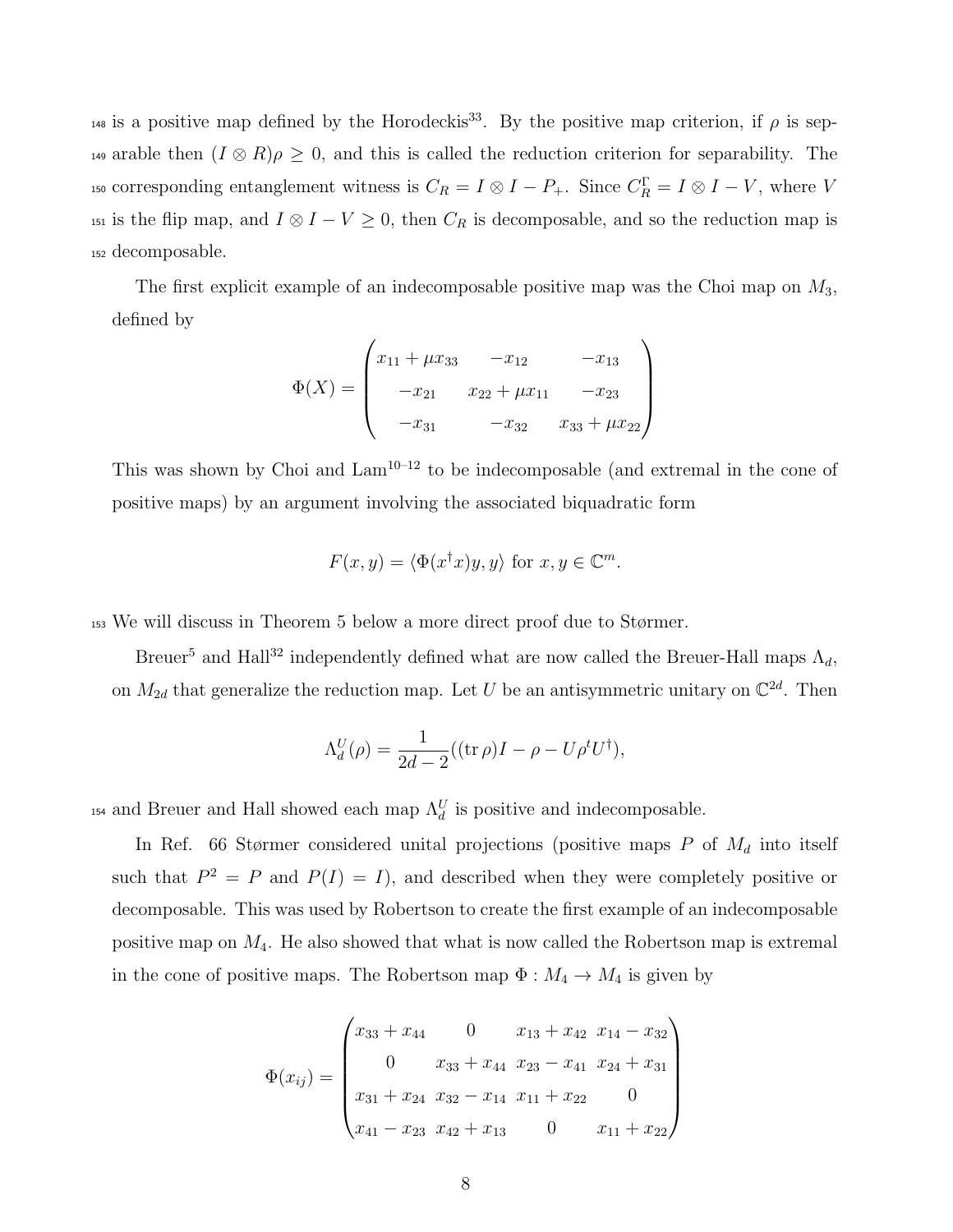<sup>148</sup> is a positive map defined by the Horodeckis<sup>33</sup>. By the positive map criterion, if  $\rho$  is sep-<sup>149</sup> arable then  $(I \otimes R)\rho \geq 0$ , and this is called the reduction criterion for separability. The <sup>150</sup> corresponding entanglement witness is  $C_R = I \otimes I - P_+$ . Since  $C_R^{\Gamma} = I \otimes I - V$ , where V <sup>151</sup> is the flip map, and  $I \otimes I - V \geq 0$ , then  $C_R$  is decomposable, and so the reduction map is <sup>152</sup> decomposable.

The first explicit example of an indecomposable positive map was the Choi map on  $M_3$ , defined by

$$
\Phi(X) = \begin{pmatrix} x_{11} + \mu x_{33} & -x_{12} & -x_{13} \\ -x_{21} & x_{22} + \mu x_{11} & -x_{23} \\ -x_{31} & -x_{32} & x_{33} + \mu x_{22} \end{pmatrix}
$$

This was shown by Choi and  $\text{Lam}^{10-12}$  to be indecomposable (and extremal in the cone of positive maps) by an argument involving the associated biquadratic form

$$
F(x, y) = \langle \Phi(x^{\dagger}x)y, y \rangle \text{ for } x, y \in \mathbb{C}^m.
$$

<sup>153</sup> We will discuss in Theorem 5 below a more direct proof due to Størmer.

Breuer<sup>5</sup> and Hall<sup>32</sup> independently defined what are now called the Breuer-Hall maps  $\Lambda_d$ , on  $M_{2d}$  that generalize the reduction map. Let U be an antisymmetric unitary on  $\mathbb{C}^{2d}$ . Then

$$
\Lambda_d^U(\rho) = \frac{1}{2d-2}((\text{tr}\,\rho)I - \rho - U\rho^t U^\dagger),
$$

<sup>154</sup> and Breuer and Hall showed each map  $\Lambda_d^U$  is positive and indecomposable.

In Ref. 66 Størmer considered unital projections (positive maps  $P$  of  $M_d$  into itself such that  $P^2 = P$  and  $P(I) = I$ , and described when they were completely positive or decomposable. This was used by Robertson to create the first example of an indecomposable positive map on  $M_4$ . He also showed that what is now called the Robertson map is extremal in the cone of positive maps. The Robertson map  $\Phi : M_4 \to M_4$  is given by

$$
\Phi(x_{ij}) = \begin{pmatrix} x_{33} + x_{44} & 0 & x_{13} + x_{42} & x_{14} - x_{32} \\ 0 & x_{33} + x_{44} & x_{23} - x_{41} & x_{24} + x_{31} \\ x_{31} + x_{24} & x_{32} - x_{14} & x_{11} + x_{22} & 0 \\ x_{41} - x_{23} & x_{42} + x_{13} & 0 & x_{11} + x_{22} \end{pmatrix}
$$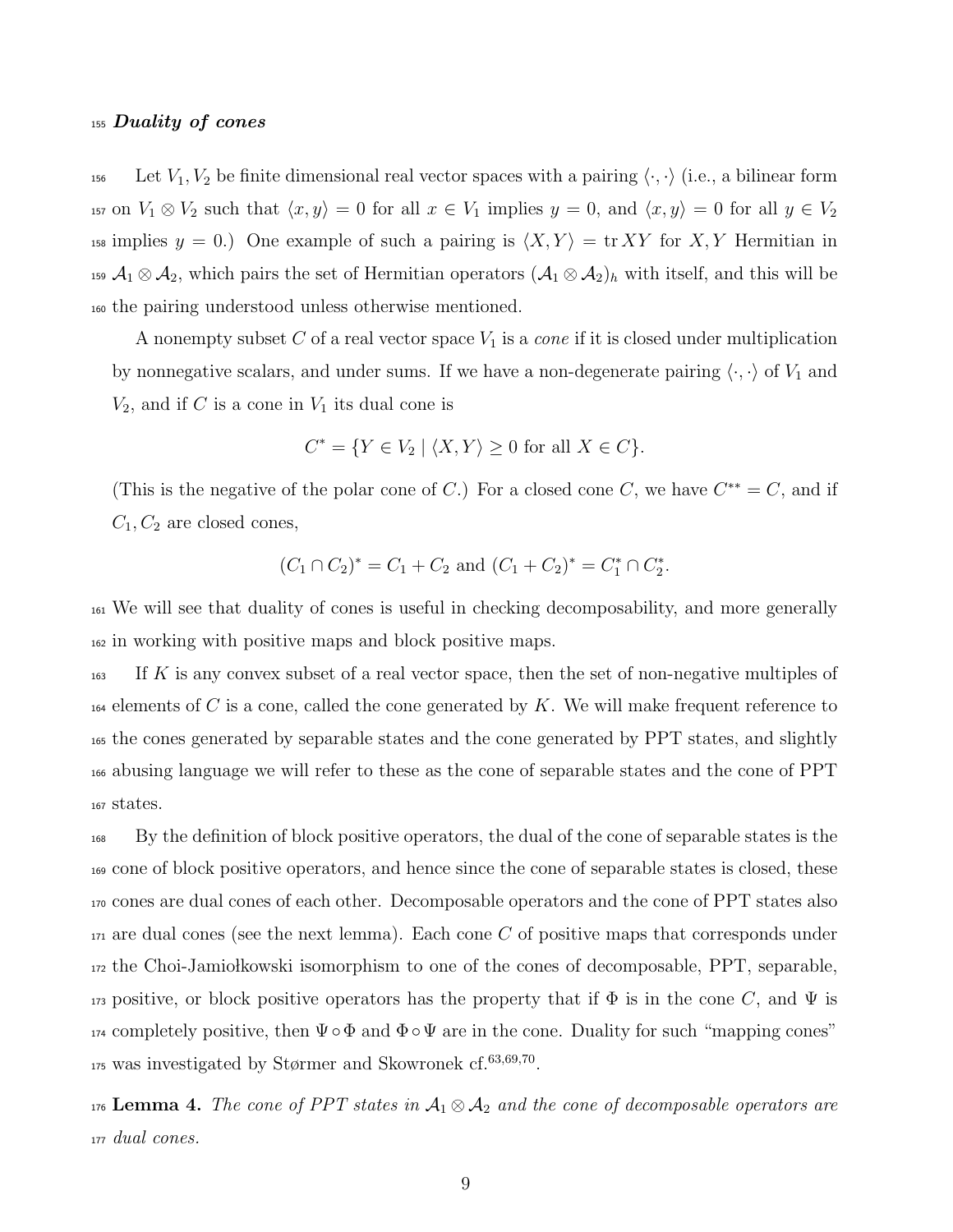## <sup>155</sup> Duality of cones

156 Let  $V_1, V_2$  be finite dimensional real vector spaces with a pairing  $\langle \cdot, \cdot \rangle$  (i.e., a bilinear form <sup>157</sup> on  $V_1 \otimes V_2$  such that  $\langle x, y \rangle = 0$  for all  $x \in V_1$  implies  $y = 0$ , and  $\langle x, y \rangle = 0$  for all  $y \in V_2$ <sup>158</sup> implies y = 0.) One example of such a pairing is  $\langle X, Y \rangle = \text{tr } XY$  for X, Y Hermitian in <sup>159</sup>  $\mathcal{A}_1 \otimes \mathcal{A}_2$ , which pairs the set of Hermitian operators  $(\mathcal{A}_1 \otimes \mathcal{A}_2)_h$  with itself, and this will be <sup>160</sup> the pairing understood unless otherwise mentioned.

A nonempty subset  $C$  of a real vector space  $V_1$  is a *cone* if it is closed under multiplication by nonnegative scalars, and under sums. If we have a non-degenerate pairing  $\langle \cdot, \cdot \rangle$  of  $V_1$  and  $V_2$ , and if C is a cone in  $V_1$  its dual cone is

$$
C^* = \{ Y \in V_2 \mid \langle X, Y \rangle \ge 0 \text{ for all } X \in C \}.
$$

(This is the negative of the polar cone of C.) For a closed cone C, we have  $C^{**} = C$ , and if  $C_1, C_2$  are closed cones,

$$
(C_1 \cap C_2)^* = C_1 + C_2
$$
 and  $(C_1 + C_2)^* = C_1^* \cap C_2^*$ .

<sup>161</sup> We will see that duality of cones is useful in checking decomposability, and more generally <sup>162</sup> in working with positive maps and block positive maps.

 $163$  If K is any convex subset of a real vector space, then the set of non-negative multiples of  $_{164}$  elements of C is a cone, called the cone generated by K. We will make frequent reference to <sup>165</sup> the cones generated by separable states and the cone generated by PPT states, and slightly <sup>166</sup> abusing language we will refer to these as the cone of separable states and the cone of PPT <sup>167</sup> states.

<sup>168</sup> By the definition of block positive operators, the dual of the cone of separable states is the <sup>169</sup> cone of block positive operators, and hence since the cone of separable states is closed, these <sup>170</sup> cones are dual cones of each other. Decomposable operators and the cone of PPT states also  $_{171}$  are dual cones (see the next lemma). Each cone C of positive maps that corresponds under 172 the Choi-Jamiołkowski isomorphism to one of the cones of decomposable, PPT, separable, 173 positive, or block positive operators has the property that if  $\Phi$  is in the cone C, and  $\Psi$  is 174 completely positive, then  $\Psi \circ \Phi$  and  $\Phi \circ \Psi$  are in the cone. Duality for such "mapping cones"  $175$  was investigated by Størmer and Skowronek cf.<sup>63,69,70</sup>.

176 Lemma 4. The cone of PPT states in  $A_1 \otimes A_2$  and the cone of decomposable operators are <sup>177</sup> dual cones.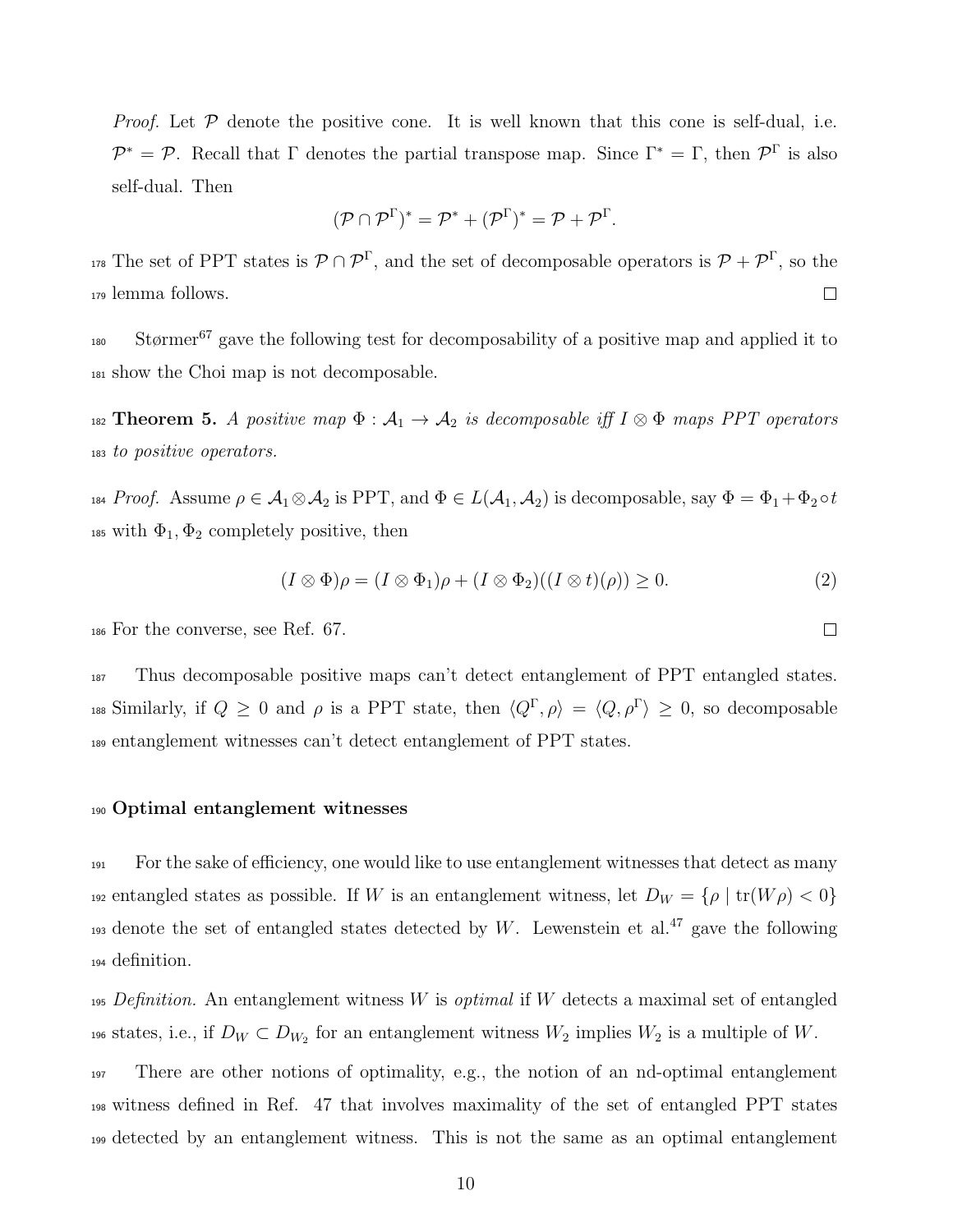*Proof.* Let  $P$  denote the positive cone. It is well known that this cone is self-dual, i.e.  $\mathcal{P}^* = \mathcal{P}$ . Recall that  $\Gamma$  denotes the partial transpose map. Since  $\Gamma^* = \Gamma$ , then  $\mathcal{P}^{\Gamma}$  is also self-dual. Then

$$
(\mathcal{P}\cap \mathcal{P}^{\Gamma})^*=\mathcal{P}^*+(\mathcal{P}^{\Gamma})^*=\mathcal{P}+\mathcal{P}^{\Gamma}.
$$

<sup>178</sup> The set of PPT states is  $\mathcal{P} \cap \mathcal{P}^{\Gamma}$ , and the set of decomposable operators is  $\mathcal{P} + \mathcal{P}^{\Gamma}$ , so the  $\Box$ <sup>179</sup> lemma follows.

 $_{180}$  Størmer<sup>67</sup> gave the following test for decomposability of a positive map and applied it to <sup>181</sup> show the Choi map is not decomposable.

182 **Theorem 5.** A positive map  $\Phi : A_1 \to A_2$  is decomposable iff  $I \otimes \Phi$  maps PPT operators <sup>183</sup> to positive operators.

<sup>184</sup> Proof. Assume  $\rho \in A_1 \otimes A_2$  is PPT, and  $\Phi \in L(A_1, A_2)$  is decomposable, say  $\Phi = \Phi_1 + \Phi_2 \circ t$ <sup>185</sup> with  $\Phi_1, \Phi_2$  completely positive, then

$$
(I \otimes \Phi)\rho = (I \otimes \Phi_1)\rho + (I \otimes \Phi_2)((I \otimes t)(\rho)) \ge 0.
$$
 (2)

<sup>186</sup> For the converse, see Ref. 67.

<sup>187</sup> Thus decomposable positive maps can't detect entanglement of PPT entangled states. 188 Similarly, if  $Q \geq 0$  and  $\rho$  is a PPT state, then  $\langle Q^{\Gamma}, \rho \rangle = \langle Q, \rho^{\Gamma} \rangle \geq 0$ , so decomposable <sup>189</sup> entanglement witnesses can't detect entanglement of PPT states.

#### <sup>190</sup> Optimal entanglement witnesses

 For the sake of efficiency, one would like to use entanglement witnesses that detect as many <sup>192</sup> entangled states as possible. If W is an entanglement witness, let  $D_W = \{ \rho \mid \text{tr}(W\rho) < 0 \}$  denote the set of entangled states detected by W. Lewenstein et al.<sup>47</sup> gave the following definition.

195 Definition. An entanglement witness  $W$  is optimal if  $W$  detects a maximal set of entangled <sup>196</sup> states, i.e., if  $D_W \subset D_{W_2}$  for an entanglement witness  $W_2$  implies  $W_2$  is a multiple of W.

<sup>197</sup> There are other notions of optimality, e.g., the notion of an nd-optimal entanglement <sup>198</sup> witness defined in Ref. 47 that involves maximality of the set of entangled PPT states <sup>199</sup> detected by an entanglement witness. This is not the same as an optimal entanglement

 $\Box$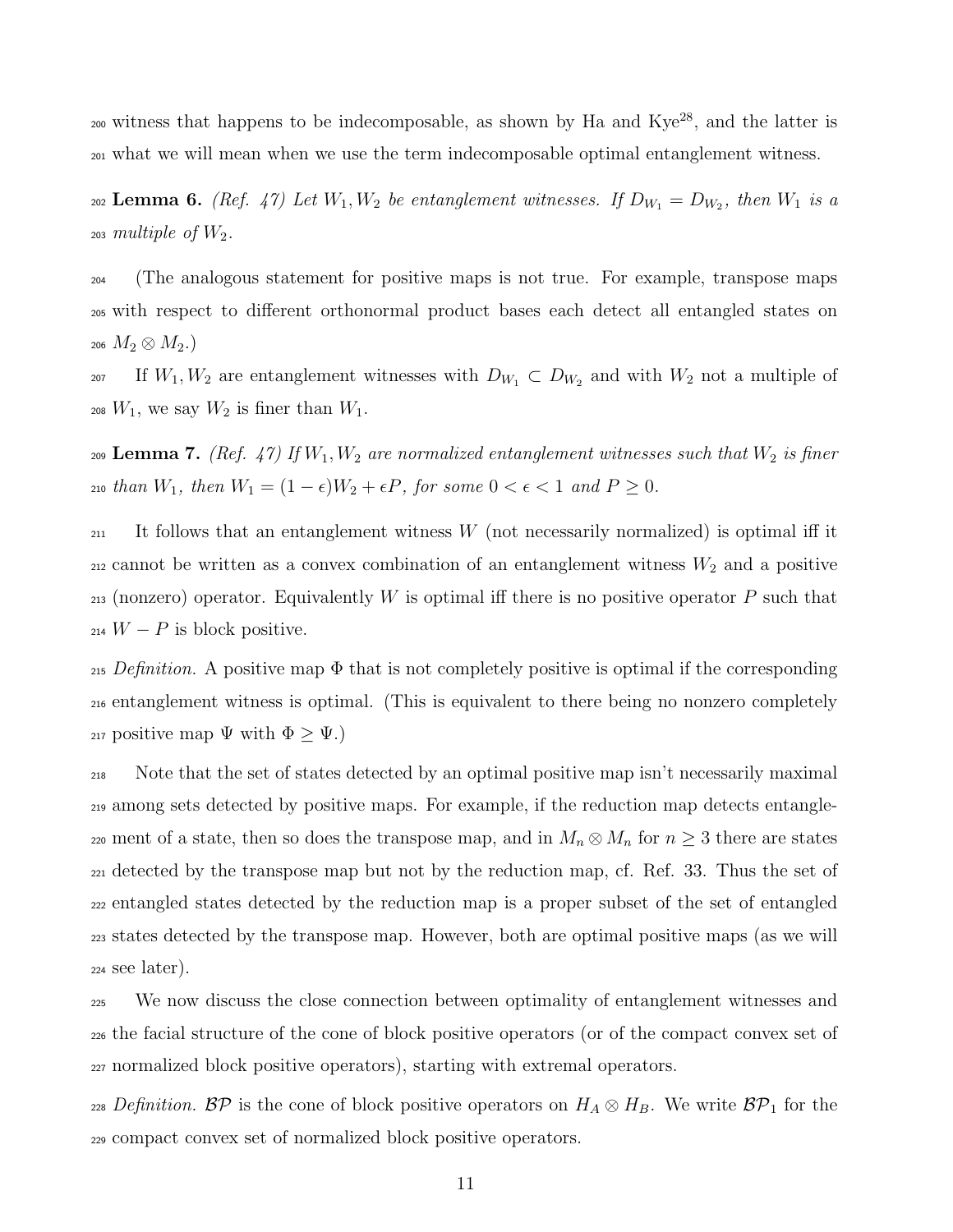$_{200}$  witness that happens to be indecomposable, as shown by Ha and Kye<sup>28</sup>, and the latter is <sup>201</sup> what we will mean when we use the term indecomposable optimal entanglement witness.

 $\sum_{1 \leq l}$  Lemma 6. (Ref. 47) Let  $W_1, W_2$  be entanglement witnesses. If  $D_{W_1} = D_{W_2}$ , then  $W_1$  is a 203 multiple of  $W_2$ .

<sup>204</sup> (The analogous statement for positive maps is not true. For example, transpose maps <sup>205</sup> with respect to different orthonormal product bases each detect all entangled states on 206  $M_2 \otimes M_2$ .)

207 If  $W_1, W_2$  are entanglement witnesses with  $D_{W_1} \subset D_{W_2}$  and with  $W_2$  not a multiple of <sup>208</sup>  $W_1$ , we say  $W_2$  is finer than  $W_1$ .

209 Lemma 7. (Ref. 47) If  $W_1, W_2$  are normalized entanglement witnesses such that  $W_2$  is finer 210 than  $W_1$ , then  $W_1 = (1 - \epsilon)W_2 + \epsilon P$ , for some  $0 < \epsilon < 1$  and  $P \ge 0$ .

 $_{211}$  It follows that an entanglement witness W (not necessarily normalized) is optimal iff it  $_{212}$  cannot be written as a convex combination of an entanglement witness  $W_2$  and a positive  $_{213}$  (nonzero) operator. Equivalently W is optimal iff there is no positive operator P such that <sup>214</sup>  $W - P$  is block positive.

215 Definition. A positive map  $\Phi$  that is not completely positive is optimal if the corresponding <sup>216</sup> entanglement witness is optimal. (This is equivalent to there being no nonzero completely <sup>217</sup> positive map  $\Psi$  with  $\Phi \geq \Psi$ .)

 Note that the set of states detected by an optimal positive map isn't necessarily maximal among sets detected by positive maps. For example, if the reduction map detects entangle-220 ment of a state, then so does the transpose map, and in  $M_n \otimes M_n$  for  $n \geq 3$  there are states detected by the transpose map but not by the reduction map, cf. Ref. 33. Thus the set of entangled states detected by the reduction map is a proper subset of the set of entangled states detected by the transpose map. However, both are optimal positive maps (as we will see later).

<sup>225</sup> We now discuss the close connection between optimality of entanglement witnesses and <sup>226</sup> the facial structure of the cone of block positive operators (or of the compact convex set of <sup>227</sup> normalized block positive operators), starting with extremal operators.

228 Definition. BP is the cone of block positive operators on  $H_A \otimes H_B$ . We write  $BP_1$  for the <sup>229</sup> compact convex set of normalized block positive operators.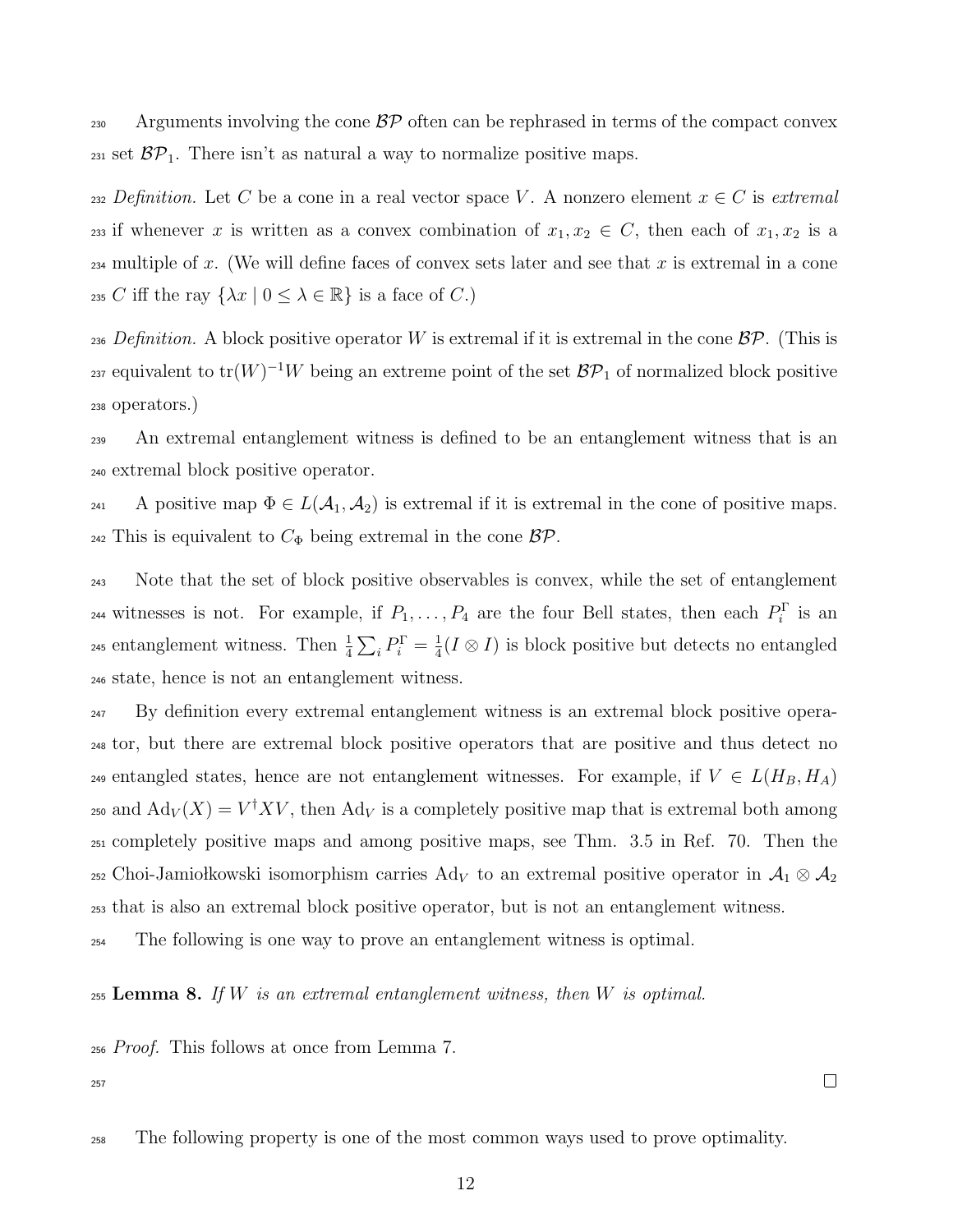230 Arguments involving the cone  $\mathcal{BP}$  often can be rephrased in terms of the compact convex 231 set  $BP_1$ . There isn't as natural a way to normalize positive maps.

232 Definition. Let C be a cone in a real vector space V. A nonzero element  $x \in C$  is extremal 233 if whenever x is written as a convex combination of  $x_1, x_2 \in C$ , then each of  $x_1, x_2$  is a  $_{234}$  multiple of x. (We will define faces of convex sets later and see that x is extremal in a cone  $_{\rm 235}$   $C$  iff the ray  $\{\lambda x\mid 0\leq\lambda\in\mathbb{R}\}$  is a face of  $C. )$ 

236 Definition. A block positive operator W is extremal if it is extremal in the cone  $BP$ . (This is <sup>237</sup> equivalent to tr $(W)^{-1}W$  being an extreme point of the set  $\mathcal{BP}_1$  of normalized block positive <sup>238</sup> operators.)

<sup>239</sup> An extremal entanglement witness is defined to be an entanglement witness that is an <sup>240</sup> extremal block positive operator.

241 A positive map  $\Phi \in L(\mathcal{A}_1, \mathcal{A}_2)$  is extremal if it is extremal in the cone of positive maps. <sup>242</sup> This is equivalent to  $C_{\Phi}$  being extremal in the cone  $\mathcal{BP}$ .

<sup>243</sup> Note that the set of block positive observables is convex, while the set of entanglement <sup>244</sup> witnesses is not. For example, if  $P_1, \ldots, P_4$  are the four Bell states, then each  $P_i^{\Gamma}$  is an entanglement witness. Then  $\frac{1}{4}\sum_i P_i^{\Gamma} = \frac{1}{4}$ <sup>245</sup> entanglement witness. Then  $\frac{1}{4}\sum_i P_i^{\Gamma} = \frac{1}{4}(I \otimes I)$  is block positive but detects no entangled <sup>246</sup> state, hence is not an entanglement witness.

<sup>247</sup> By definition every extremal entanglement witness is an extremal block positive opera-<sup>248</sup> tor, but there are extremal block positive operators that are positive and thus detect no 249 entangled states, hence are not entanglement witnesses. For example, if  $V \in L(H_B, H_A)$ <sup>250</sup> and  $\mathrm{Ad}_V(X) = V^{\dagger} X V$ , then  $\mathrm{Ad}_V$  is a completely positive map that is extremal both among <sup>251</sup> completely positive maps and among positive maps, see Thm. 3.5 in Ref. 70. Then the <sup>252</sup> Choi-Jamiołkowski isomorphism carries Ad<sub>V</sub> to an extremal positive operator in  $\mathcal{A}_1 \otimes \mathcal{A}_2$ <sup>253</sup> that is also an extremal block positive operator, but is not an entanglement witness.

<sup>254</sup> The following is one way to prove an entanglement witness is optimal.

 $_{255}$  Lemma 8. If W is an extremal entanglement witness, then W is optimal.

<sup>256</sup> Proof. This follows at once from Lemma 7.

257

<sup>258</sup> The following property is one of the most common ways used to prove optimality.

 $\Box$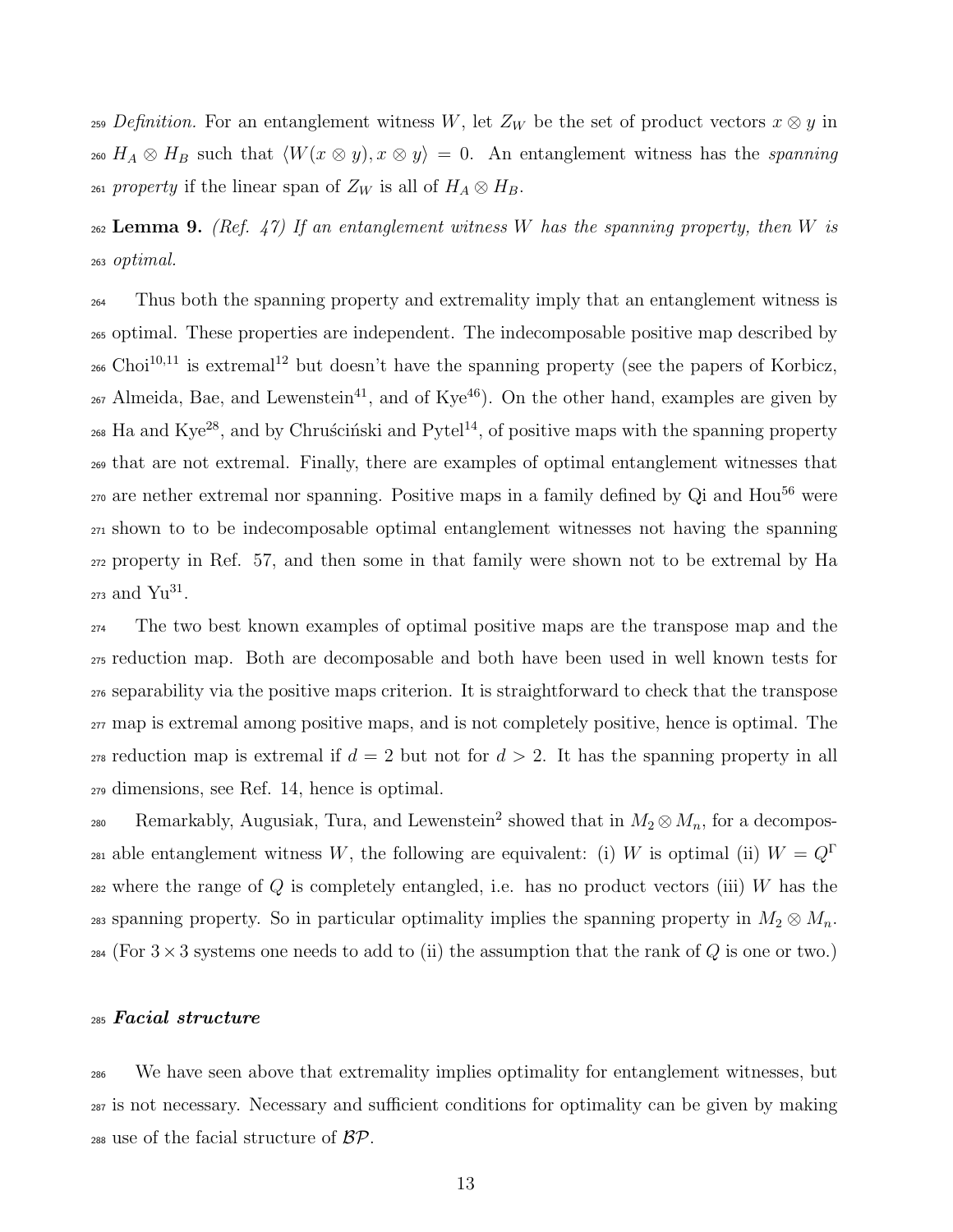259 Definition. For an entanglement witness W, let  $Z_W$  be the set of product vectors  $x \otimes y$  in 260  $H_A \otimes H_B$  such that  $\langle W(x \otimes y), x \otimes y \rangle = 0$ . An entanglement witness has the spanning <sup>261</sup> property if the linear span of  $Z_W$  is all of  $H_A \otimes H_B$ .

 $262$  Lemma 9. (Ref. 47) If an entanglement witness W has the spanning property, then W is <sup>263</sup> optimal.

<sup>264</sup> Thus both the spanning property and extremality imply that an entanglement witness is <sup>265</sup> optimal. These properties are independent. The indecomposable positive map described by  $_{266}$  Choi<sup>10,11</sup> is extremal<sup>12</sup> but doesn't have the spanning property (see the papers of Korbicz,  $_{267}$  Almeida, Bae, and Lewenstein<sup>41</sup>, and of Kye<sup>46</sup>). On the other hand, examples are given by  $_{268}$  Ha and Kye<sup>28</sup>, and by Chrus´cinski and Pytel<sup>14</sup>, of positive maps with the spanning property <sup>269</sup> that are not extremal. Finally, there are examples of optimal entanglement witnesses that <sub>270</sub> are nether extremal nor spanning. Positive maps in a family defined by Qi and Hou<sup>56</sup> were <sup>271</sup> shown to to be indecomposable optimal entanglement witnesses not having the spanning <sup>272</sup> property in Ref. 57, and then some in that family were shown not to be extremal by Ha  $_{273}$  and Yu<sup>31</sup>.

 The two best known examples of optimal positive maps are the transpose map and the reduction map. Both are decomposable and both have been used in well known tests for separability via the positive maps criterion. It is straightforward to check that the transpose <sub>277</sub> map is extremal among positive maps, and is not completely positive, hence is optimal. The 278 reduction map is extremal if  $d = 2$  but not for  $d > 2$ . It has the spanning property in all dimensions, see Ref. 14, hence is optimal.

280 Remarkably, Augusiak, Tura, and Lewenstein<sup>2</sup> showed that in  $M_2 \otimes M_n$ , for a decomposable entanglement witness W, the following are equivalent: (i) W is optimal (ii)  $W = Q^{\Gamma}$ 281  $282$  where the range of  $Q$  is completely entangled, i.e. has no product vectors (iii) W has the 283 spanning property. So in particular optimality implies the spanning property in  $M_2 \otimes M_n$ .  $_{284}$  (For  $3 \times 3$  systems one needs to add to (ii) the assumption that the rank of Q is one or two.)

#### <sup>285</sup> Facial structure

<sup>286</sup> We have seen above that extremality implies optimality for entanglement witnesses, but <sup>287</sup> is not necessary. Necessary and sufficient conditions for optimality can be given by making <sup>288</sup> use of the facial structure of BP.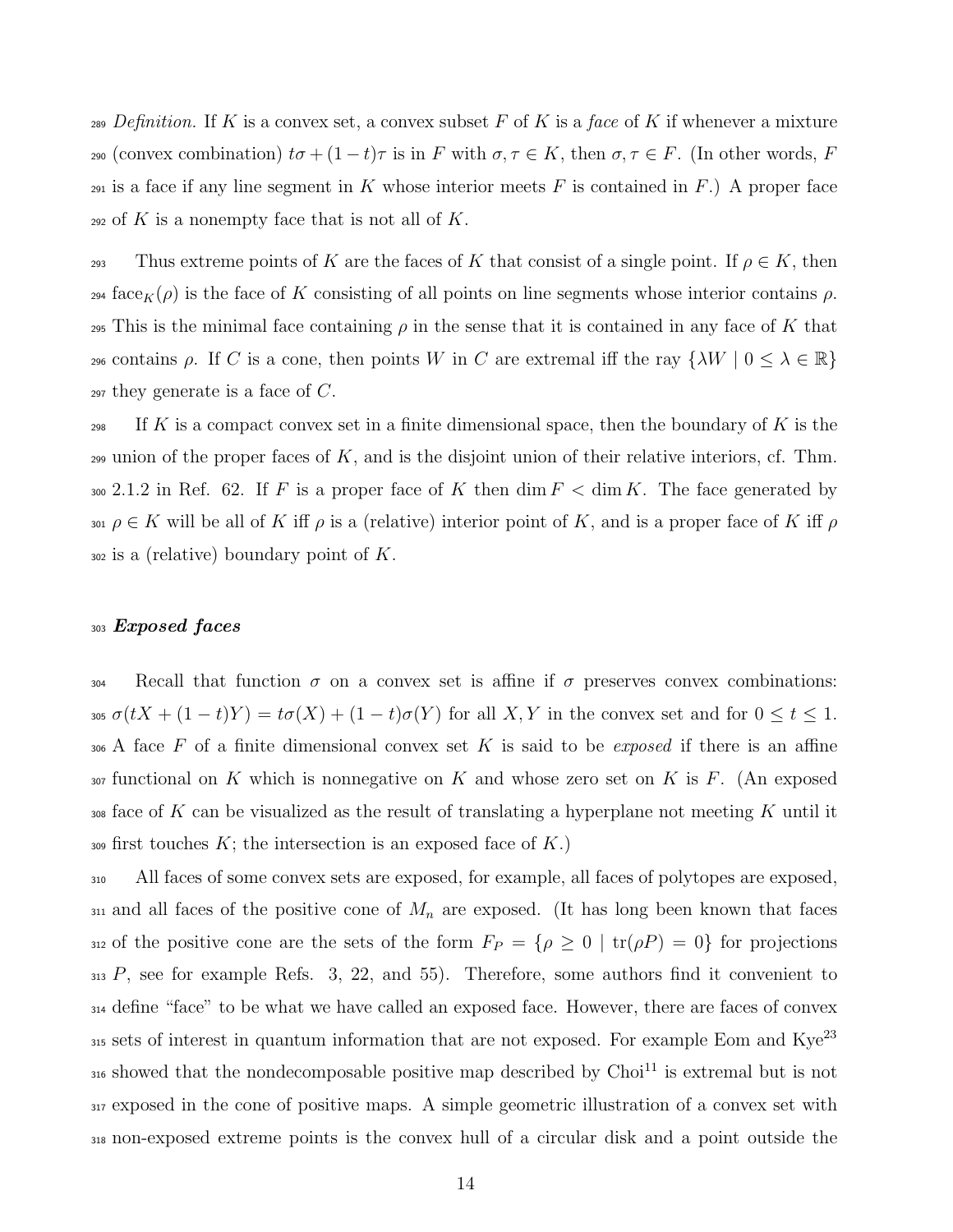289 Definition. If K is a convex set, a convex subset F of K is a face of K if whenever a mixture 290 (convex combination)  $t\sigma + (1-t)\tau$  is in F with  $\sigma, \tau \in K$ , then  $\sigma, \tau \in F$ . (In other words, F  $_{291}$  is a face if any line segment in K whose interior meets F is contained in F.) A proper face  $_{292}$  of K is a nonempty face that is not all of K.

293 Thus extreme points of K are the faces of K that consist of a single point. If  $\rho \in K$ , then <sup>294</sup> face<sub>K</sub>( $\rho$ ) is the face of K consisting of all points on line segments whose interior contains  $\rho$ . 295 This is the minimal face containing  $\rho$  in the sense that it is contained in any face of K that 296 contains  $\rho$ . If C is a cone, then points W in C are extremal iff the ray  $\{ \lambda W \mid 0 \leq \lambda \in \mathbb{R} \}$  $_{297}$  they generate is a face of C.

298 If K is a compact convex set in a finite dimensional space, then the boundary of K is the  $_{299}$  union of the proper faces of K, and is the disjoint union of their relative interiors, cf. Thm. 300 2.1.2 in Ref. 62. If F is a proper face of K then dim  $F < \dim K$ . The face generated by 301  $\rho \in K$  will be all of K iff  $\rho$  is a (relative) interior point of K, and is a proper face of K iff  $\rho$  $302$  is a (relative) boundary point of K.

## <sup>303</sup> Exposed faces

304 Recall that function  $\sigma$  on a convex set is affine if  $\sigma$  preserves convex combinations: 305  $\sigma(tX + (1-t)Y) = t\sigma(X) + (1-t)\sigma(Y)$  for all X, Y in the convex set and for  $0 \le t \le 1$ . 306 A face F of a finite dimensional convex set K is said to be exposed if there is an affine  $\overline{s}$  sor functional on K which is nonnegative on K and whose zero set on K is F. (An exposed  $\mathcal{S}_{308}$  face of K can be visualized as the result of translating a hyperplane not meeting K until it  $\mathfrak{so}$  first touches K; the intersection is an exposed face of K.)

<sup>310</sup> All faces of some convex sets are exposed, for example, all faces of polytopes are exposed,  $_{311}$  and all faces of the positive cone of  $M_n$  are exposed. (It has long been known that faces 312 of the positive cone are the sets of the form  $F_P = \{\rho \geq 0 \mid \text{tr}(\rho P) = 0\}$  for projections  $313$  P, see for example Refs. 3, 22, and 55). Therefore, some authors find it convenient to <sup>314</sup> define "face" to be what we have called an exposed face. However, there are faces of convex  $_{315}$  sets of interest in quantum information that are not exposed. For example Eom and Kye<sup>23</sup> 316 showed that the nondecomposable positive map described by Choi<sup>11</sup> is extremal but is not <sup>317</sup> exposed in the cone of positive maps. A simple geometric illustration of a convex set with <sup>318</sup> non-exposed extreme points is the convex hull of a circular disk and a point outside the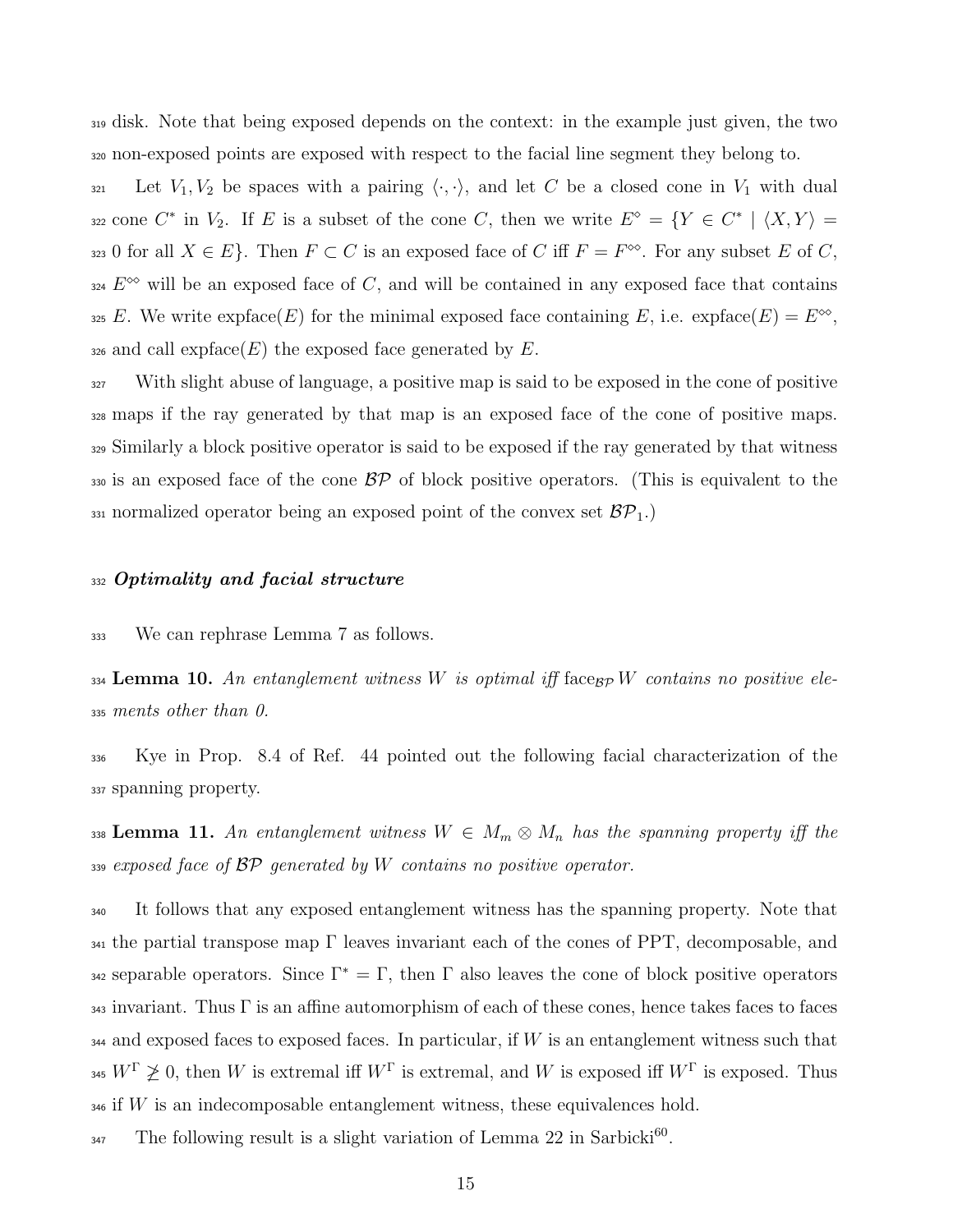<sup>319</sup> disk. Note that being exposed depends on the context: in the example just given, the two <sup>320</sup> non-exposed points are exposed with respect to the facial line segment they belong to.

321 Let  $V_1, V_2$  be spaces with a pairing  $\langle \cdot, \cdot \rangle$ , and let C be a closed cone in  $V_1$  with dual 322 cone  $C^*$  in  $V_2$ . If E is a subset of the cone C, then we write  $E^{\diamond} = \{ Y \in C^* \mid \langle X, Y \rangle =$ 323 0 for all  $X \in E$ . Then  $F \subset C$  is an exposed face of C iff  $F = F^{\infty}$ . For any subset E of C,  $224 E^{\infty}$  will be an exposed face of C, and will be contained in any exposed face that contains 325 E. We write  $expface(E)$  for the minimal exposed face containing E, i.e.  $expface(E) = E^{\infty}$ ,  $326$  and call expface(E) the exposed face generated by E.

<sup>327</sup> With slight abuse of language, a positive map is said to be exposed in the cone of positive <sup>328</sup> maps if the ray generated by that map is an exposed face of the cone of positive maps. <sup>329</sup> Similarly a block positive operator is said to be exposed if the ray generated by that witness 330 is an exposed face of the cone  $\mathcal{BP}$  of block positive operators. (This is equivalent to the 331 normalized operator being an exposed point of the convex set  $\mathcal{BP}_1$ .)

#### <sup>332</sup> Optimality and facial structure

<sup>333</sup> We can rephrase Lemma 7 as follows.

 $_{334}$  Lemma 10. An entanglement witness W is optimal iff face<sub>BP</sub> W contains no positive ele-<sup>335</sup> ments other than 0.

<sup>336</sup> Kye in Prop. 8.4 of Ref. 44 pointed out the following facial characterization of the <sup>337</sup> spanning property.

338 Lemma 11. An entanglement witness  $W \in M_m \otimes M_n$  has the spanning property iff the  $339$  exposed face of  $BP$  generated by W contains no positive operator.

 It follows that any exposed entanglement witness has the spanning property. Note that the partial transpose map Γ leaves invariant each of the cones of PPT, decomposable, and <sup>342</sup> separable operators. Since  $\Gamma^* = \Gamma$ , then  $\Gamma$  also leaves the cone of block positive operators invariant. Thus  $\Gamma$  is an affine automorphism of each of these cones, hence takes faces to faces and exposed faces to exposed faces. In particular, if W is an entanglement witness such that <sup>345</sup>  $W^{\Gamma} \not\geq 0$ , then W is extremal iff  $W^{\Gamma}$  is extremal, and W is exposed iff  $W^{\Gamma}$  is exposed. Thus if W is an indecomposable entanglement witness, these equivalences hold.

 $_{347}$  The following result is a slight variation of Lemma 22 in Sarbicki<sup>60</sup>.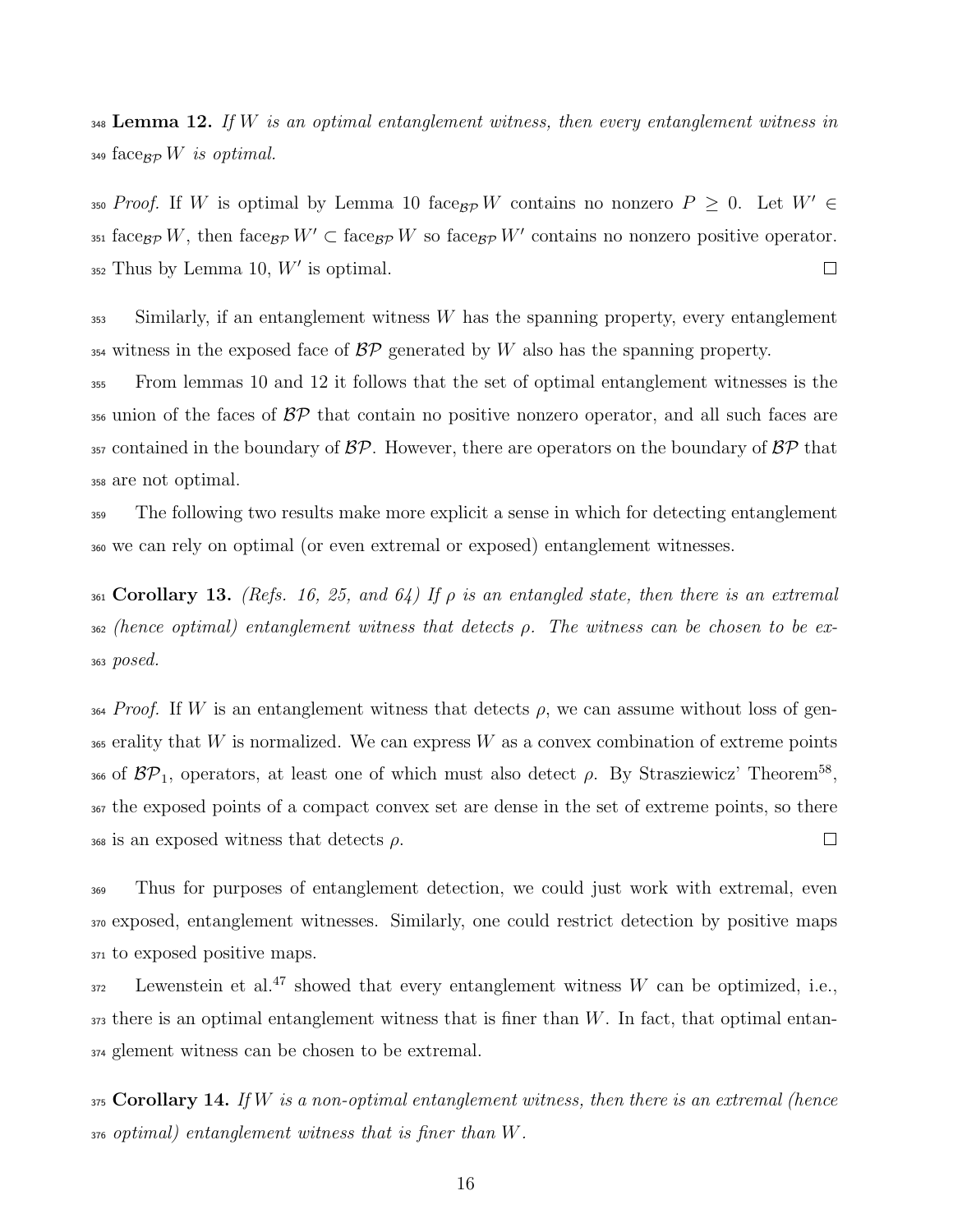$\sum_{348}$  Lemma 12. If W is an optimal entanglement witness, then every entanglement witness in  $_{349}$  face<sub>BP</sub> W is optimal.

350 *Proof.* If W is optimal by Lemma 10 face<sub>BP</sub> W contains no nonzero  $P \geq 0$ . Let  $W' \in$ 351 face<sub>BP</sub> W, then face<sub>BP</sub>  $W' \subset \text{face}_{BP}$  W so face<sub>BP</sub> W' contains no nonzero positive operator.  $352$  Thus by Lemma 10,  $W'$  is optimal.  $\Box$ 

<sup>353</sup> Similarly, if an entanglement witness W has the spanning property, every entanglement  $354$  witness in the exposed face of  $\beta \mathcal{P}$  generated by W also has the spanning property.

<sup>355</sup> From lemmas 10 and 12 it follows that the set of optimal entanglement witnesses is the  $\frac{356}{100}$  union of the faces of  $\beta\gamma$  that contain no positive nonzero operator, and all such faces are 357 contained in the boundary of  $BP$ . However, there are operators on the boundary of  $BP$  that <sup>358</sup> are not optimal.

<sup>359</sup> The following two results make more explicit a sense in which for detecting entanglement <sup>360</sup> we can rely on optimal (or even extremal or exposed) entanglement witnesses.

361 Corollary 13. (Refs. 16, 25, and 64) If  $\rho$  is an entangled state, then there is an extremal  $\sigma_{362}$  (hence optimal) entanglement witness that detects  $\rho$ . The witness can be chosen to be ex-<sup>363</sup> posed.

 $364$  Proof. If W is an entanglement witness that detects  $\rho$ , we can assume without loss of gen- $\alpha$ <sub>365</sub> erality that W is normalized. We can express W as a convex combination of extreme points 366 of  $\mathcal{BP}_1$ , operators, at least one of which must also detect  $\rho$ . By Strasziewicz' Theorem<sup>58</sup>, 367 the exposed points of a compact convex set are dense in the set of extreme points, so there  $368$  is an exposed witness that detects  $\rho$ .  $\Box$ 

<sup>369</sup> Thus for purposes of entanglement detection, we could just work with extremal, even <sup>370</sup> exposed, entanglement witnesses. Similarly, one could restrict detection by positive maps <sup>371</sup> to exposed positive maps.

 $1372$  Lewenstein et al.<sup>47</sup> showed that every entanglement witness W can be optimized, i.e.,  $373$  there is an optimal entanglement witness that is finer than W. In fact, that optimal entan-<sup>374</sup> glement witness can be chosen to be extremal.

 $375$  Corollary 14. If W is a non-optimal entanglement witness, then there is an extremal (hence <sup>376</sup> optimal) entanglement witness that is finer than W.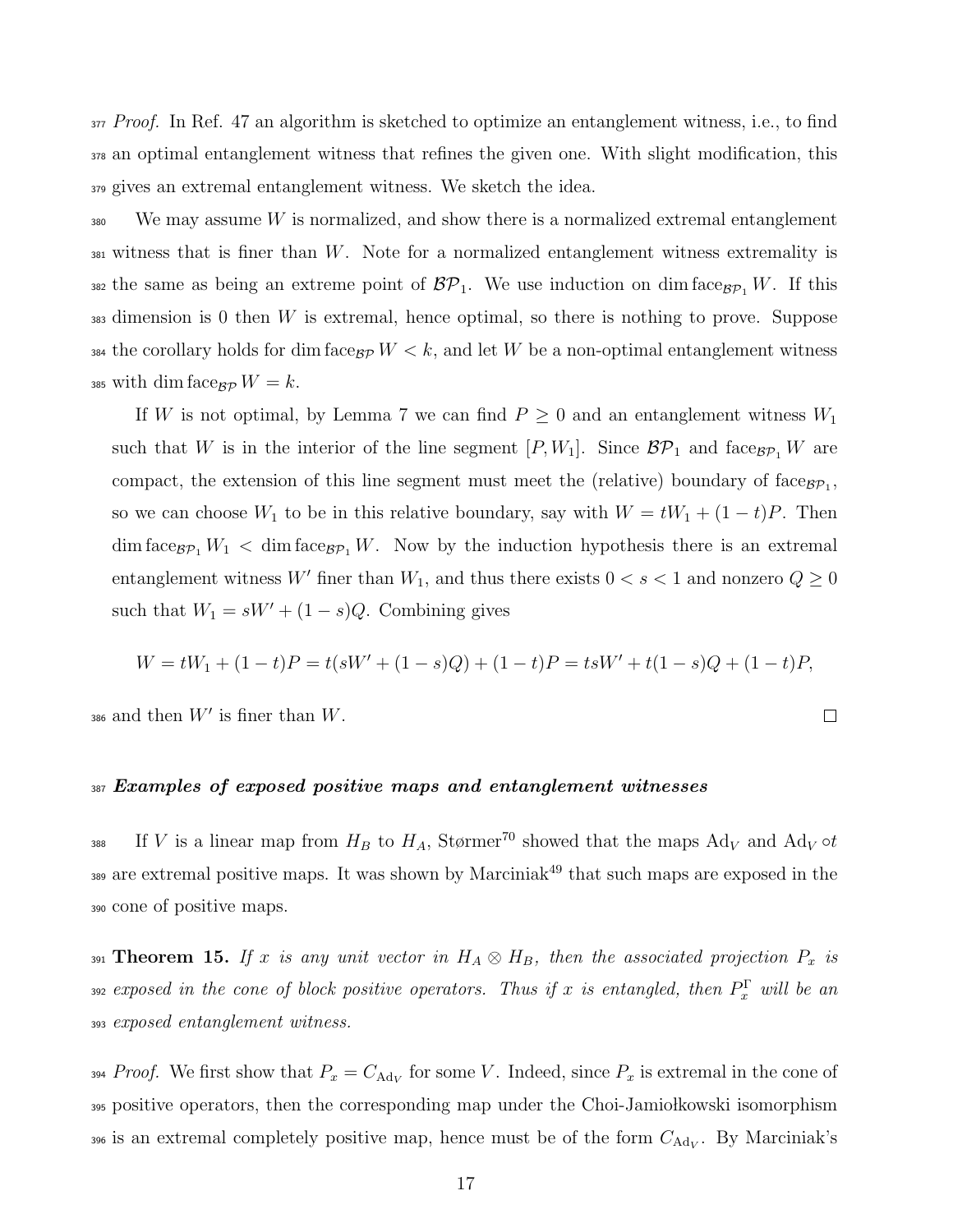$377$  Proof. In Ref. 47 an algorithm is sketched to optimize an entanglement witness, i.e., to find <sup>378</sup> an optimal entanglement witness that refines the given one. With slight modification, this <sup>379</sup> gives an extremal entanglement witness. We sketch the idea.

 $380$  We may assume W is normalized, and show there is a normalized extremal entanglement <sup>381</sup> witness that is finer than W. Note for a normalized entanglement witness extremality is 382 the same as being an extreme point of  $\mathcal{BP}_1$ . We use induction on dim face  $_{\mathcal{BP}_1}W$ . If this  $383$  dimension is 0 then W is extremal, hence optimal, so there is nothing to prove. Suppose 384 the corollary holds for dim face<sub>BP</sub>  $W < k$ , and let W be a non-optimal entanglement witness 385 with dim face  $pW = k$ .

If W is not optimal, by Lemma 7 we can find  $P \geq 0$  and an entanglement witness  $W_1$ such that W is in the interior of the line segment  $[P, W_1]$ . Since  $\mathcal{BP}_1$  and face  $\mathcal{BP}_1$  W are compact, the extension of this line segment must meet the (relative) boundary of face  $_{\mathcal{BP}_1}$ , so we can choose  $W_1$  to be in this relative boundary, say with  $W = tW_1 + (1 - t)P$ . Then  $\dim \text{face}_{\mathcal{BP}_1} W_1 < \dim \text{face}_{\mathcal{BP}_1} W$ . Now by the induction hypothesis there is an extremal entanglement witness W' finer than  $W_1$ , and thus there exists  $0 < s < 1$  and nonzero  $Q \ge 0$ such that  $W_1 = sW' + (1 - s)Q$ . Combining gives

$$
W = tW_1 + (1 - t)P = t(sW' + (1 - s)Q) + (1 - t)P = tsW' + t(1 - s)Q + (1 - t)P,
$$

 $\Box$ 

 $386$  and then  $W'$  is finer than  $W$ .

## 387 Examples of exposed positive maps and entanglement witnesses

388 If V is a linear map from  $H_B$  to  $H_A$ , Størmer<sup>70</sup> showed that the maps Ad<sub>V</sub> and Ad<sub>V</sub>  $\circ t$ 389 are extremal positive maps. It was shown by Marciniak<sup>49</sup> that such maps are exposed in the <sup>390</sup> cone of positive maps.

391 Theorem 15. If x is any unit vector in  $H_A \otimes H_B$ , then the associated projection  $P_x$  is 392 exposed in the cone of block positive operators. Thus if x is entangled, then  $P_x^{\Gamma}$  will be an <sup>393</sup> exposed entanglement witness.

<sup>394</sup> Proof. We first show that  $P_x = C_{\text{Adv}}$  for some V. Indeed, since  $P_x$  is extremal in the cone of <sup>395</sup> positive operators, then the corresponding map under the Choi-Jamiołkowski isomorphism  $\mathcal{L}_{\text{396}}$  is an extremal completely positive map, hence must be of the form  $C_{\text{Adv}}$ . By Marciniak's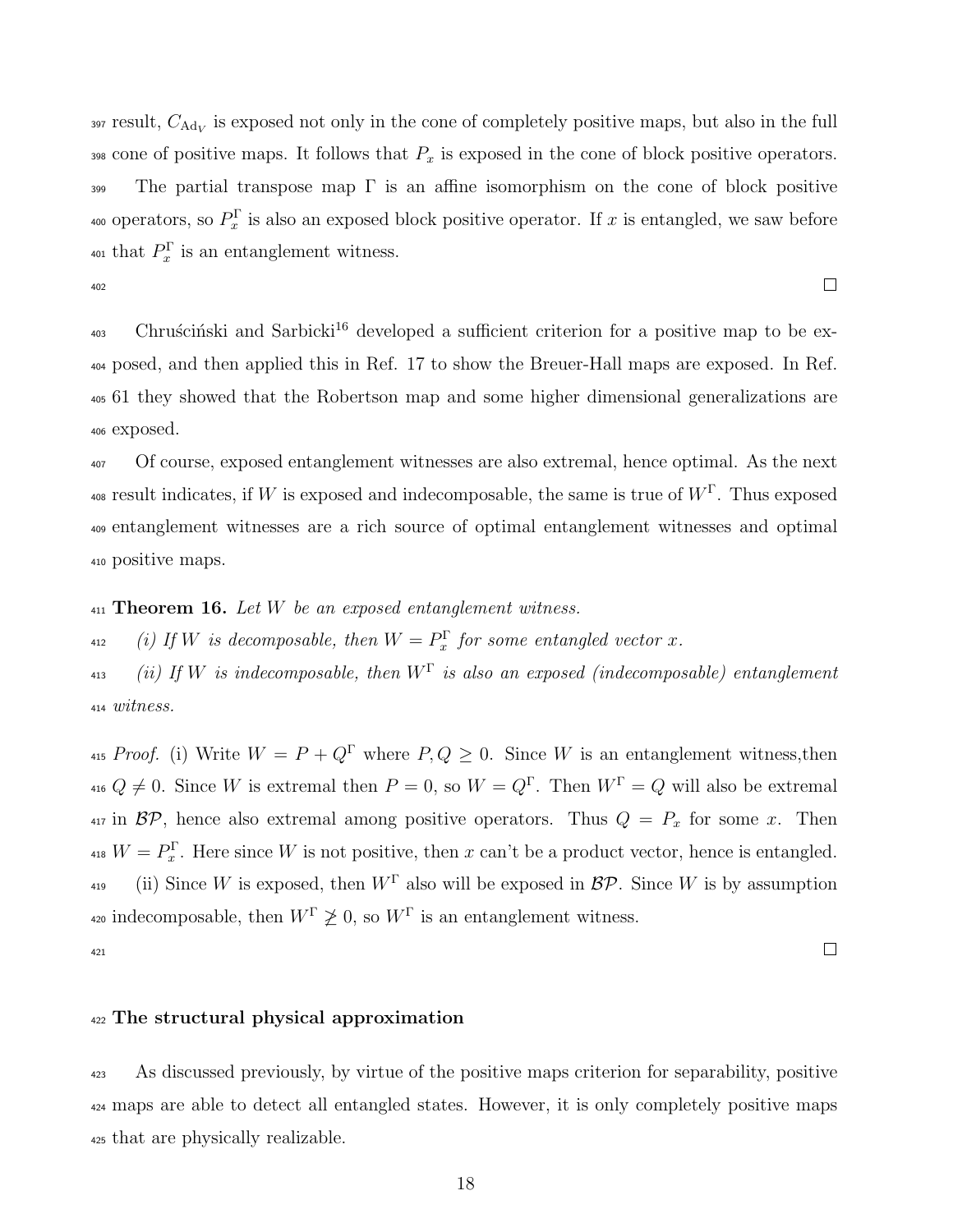<sup>397</sup> result,  $C_{\text{Adv}}$  is exposed not only in the cone of completely positive maps, but also in the full 398 cone of positive maps. It follows that  $P_x$  is exposed in the cone of block positive operators. 399 The partial transpose map  $\Gamma$  is an affine isomorphism on the cone of block positive <sup>400</sup> operators, so  $P_x^{\Gamma}$  is also an exposed block positive operator. If x is entangled, we saw before <sup>401</sup> that  $P_x^{\Gamma}$  is an entanglement witness.

402

 $\Box$ 

 $\Box$ 

 $\epsilon_{403}$  Chruścinski and Sarbicki<sup>16</sup> developed a sufficient criterion for a positive map to be ex-<sup>404</sup> posed, and then applied this in Ref. 17 to show the Breuer-Hall maps are exposed. In Ref. <sup>405</sup> 61 they showed that the Robertson map and some higher dimensional generalizations are <sup>406</sup> exposed.

 Of course, exposed entanglement witnesses are also extremal, hence optimal. As the next <sup>408</sup> result indicates, if W is exposed and indecomposable, the same is true of  $W<sup>\Gamma</sup>$ . Thus exposed entanglement witnesses are a rich source of optimal entanglement witnesses and optimal positive maps.

## $_{411}$  Theorem 16. Let W be an exposed entanglement witness.

 $\begin{array}{ll} \textit{(i)} \ \textit{If $W$ is decomposable, then $W = P_x^{\Gamma}$ for some entangled vector $x$.} \end{array}$ 

 $\mu_{\text{413}}$  (ii) If W is indecomposable, then  $W^{\Gamma}$  is also an exposed (indecomposable) entanglement <sup>414</sup> witness.

<sup>415</sup> Proof. (i) Write  $W = P + Q^{\Gamma}$  where  $P, Q \ge 0$ . Since W is an entanglement witness, then <sup>416</sup>  $Q \neq 0$ . Since W is extremal then  $P = 0$ , so  $W = Q^{\Gamma}$ . Then  $W^{\Gamma} = Q$  will also be extremal <sup>417</sup> in  $\mathcal{BP}$ , hence also extremal among positive operators. Thus  $Q = P_x$  for some x. Then <sup>418</sup>  $W = P_x^{\Gamma}$ . Here since W is not positive, then x can't be a product vector, hence is entangled. <sup>419</sup> (ii) Since W is exposed, then  $W^{\Gamma}$  also will be exposed in  $\mathcal{BP}$ . Since W is by assumption <sup>420</sup> indecomposable, then  $W^{\Gamma} \not\geq 0$ , so  $W^{\Gamma}$  is an entanglement witness.

421

## <sup>422</sup> The structural physical approximation

<sup>423</sup> As discussed previously, by virtue of the positive maps criterion for separability, positive <sup>424</sup> maps are able to detect all entangled states. However, it is only completely positive maps <sup>425</sup> that are physically realizable.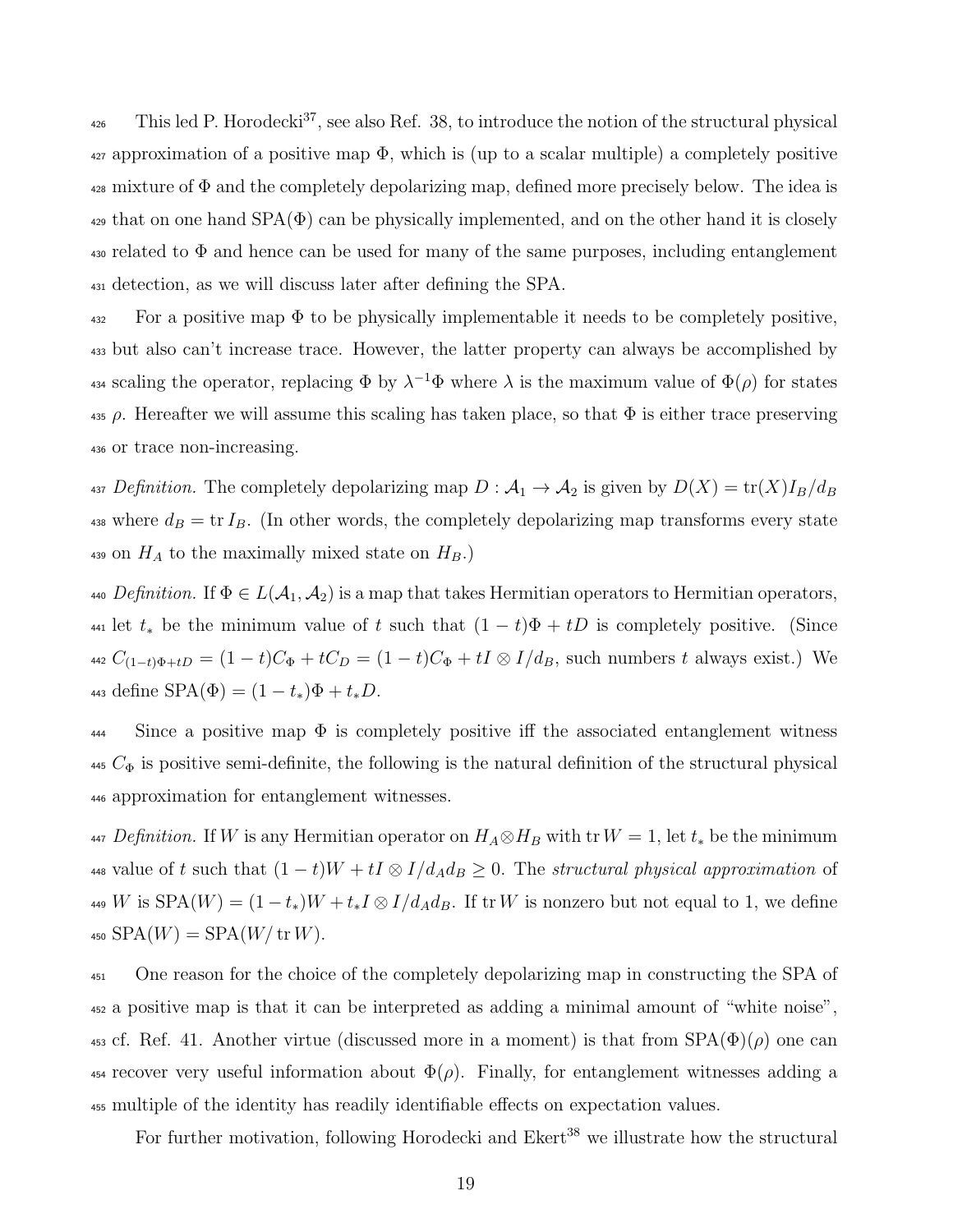$_{426}$  This led P. Horodecki<sup>37</sup>, see also Ref. 38, to introduce the notion of the structural physical  $427$  approximation of a positive map  $\Phi$ , which is (up to a scalar multiple) a completely positive  $\frac{428}{428}$  mixture of  $\Phi$  and the completely depolarizing map, defined more precisely below. The idea is  $\Delta_{429}$  that on one hand SPA( $\Phi$ ) can be physically implemented, and on the other hand it is closely  $\frac{430}{100}$  related to  $\Phi$  and hence can be used for many of the same purposes, including entanglement <sup>431</sup> detection, as we will discuss later after defining the SPA.

 $\frac{432}{1}$  For a positive map  $\Phi$  to be physically implementable it needs to be completely positive, <sup>433</sup> but also can't increase trace. However, the latter property can always be accomplished by 434 scaling the operator, replacing  $\Phi$  by  $\lambda^{-1}\Phi$  where  $\lambda$  is the maximum value of  $\Phi(\rho)$  for states  $\mu$ <sub>435</sub> ρ. Hereafter we will assume this scaling has taken place, so that  $\Phi$  is either trace preserving <sup>436</sup> or trace non-increasing.

437 Definition. The completely depolarizing map  $D : A_1 \to A_2$  is given by  $D(X) = \text{tr}(X)I_B/d_B$ 438 where  $d_B = \text{tr } I_B$ . (In other words, the completely depolarizing map transforms every state 439 on  $H_A$  to the maximally mixed state on  $H_B$ .)

440 Definition. If  $\Phi \in L(\mathcal{A}_1, \mathcal{A}_2)$  is a map that takes Hermitian operators to Hermitian operators, 441 let  $t_*$  be the minimum value of t such that  $(1-t)\Phi + tD$  is completely positive. (Since  $^{442}C_{(1-t)Φ+tD} = (1-t)CΦ + tC_D = (1-t)CΦ + tD ∅ I/d_B$ , such numbers t always exist.) We 443 define  $SPA(\Phi) = (1 - t_*)\Phi + t_*D$ .

 $\frac{444}{444}$  Since a positive map  $\Phi$  is completely positive iff the associated entanglement witness  $_{445}$  C<sub> $_{\Phi}$ </sub> is positive semi-definite, the following is the natural definition of the structural physical <sup>446</sup> approximation for entanglement witnesses.

447 Definition. If W is any Hermitian operator on  $H_A \otimes H_B$  with tr  $W = 1$ , let  $t_*$  be the minimum 448 value of t such that  $(1-t)W + tI \otimes I/d_A d_B \geq 0$ . The structural physical approximation of 449 W is  $SPA(W) = (1 - t_*)W + t_*I \otimes I/d_A d_B$ . If tr W is nonzero but not equal to 1, we define 450  $SPA(W) = SPA(W/\text{tr }W)$ .

<sup>451</sup> One reason for the choice of the completely depolarizing map in constructing the SPA of <sup>452</sup> a positive map is that it can be interpreted as adding a minimal amount of "white noise", 453 cf. Ref. 41. Another virtue (discussed more in a moment) is that from  $\text{SPA}(\Phi)(\rho)$  one can <sup>454</sup> recover very useful information about  $\Phi(\rho)$ . Finally, for entanglement witnesses adding a <sup>455</sup> multiple of the identity has readily identifiable effects on expectation values.

For further motivation, following Horodecki and  $E \nvert^{38}$  we illustrate how the structural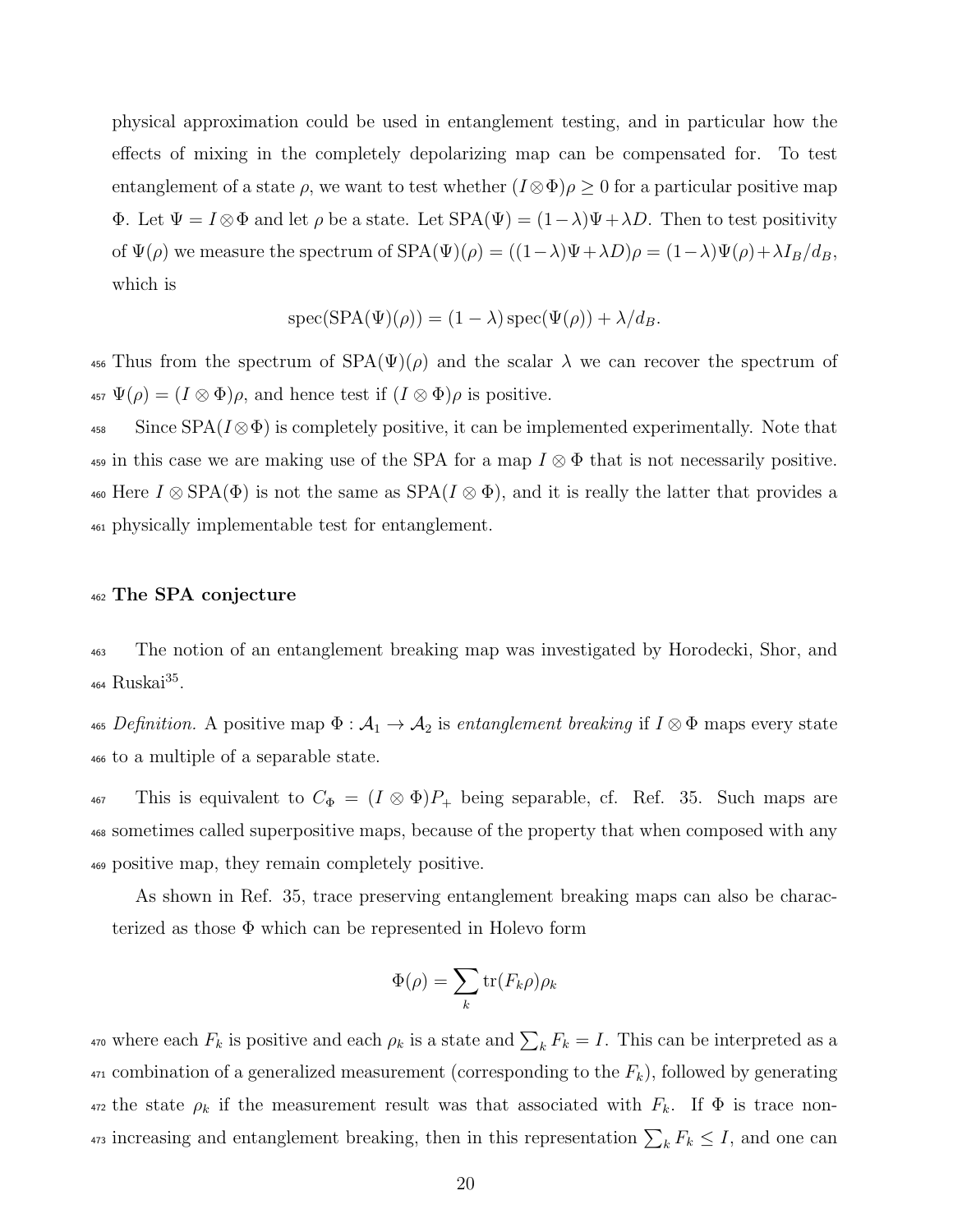physical approximation could be used in entanglement testing, and in particular how the effects of mixing in the completely depolarizing map can be compensated for. To test entanglement of a state  $\rho$ , we want to test whether  $(I \otimes \Phi)\rho \geq 0$  for a particular positive map  $Φ.$  Let  $Ψ = I ⊗ Φ$  and let  $ρ$  be a state. Let  $SPA(Ψ) = (1−λ)Ψ + λD$ . Then to test positivity of  $\Psi(\rho)$  we measure the spectrum of  $\text{SPA}(\Psi)(\rho) = ((1-\lambda)\Psi + \lambda D)\rho = (1-\lambda)\Psi(\rho) + \lambda I_B/d_B$ , which is

$$
spec(SPA(\Psi)(\rho)) = (1 - \lambda) spec(\Psi(\rho)) + \lambda/d_B.
$$

<sup>456</sup> Thus from the spectrum of  $SPA(\Psi)(\rho)$  and the scalar  $\lambda$  we can recover the spectrum of 457  $\Psi(\rho) = (I \otimes \Phi)\rho$ , and hence test if  $(I \otimes \Phi)\rho$  is positive.

 $458$  Since SPA( $I \otimes \Phi$ ) is completely positive, it can be implemented experimentally. Note that 459 in this case we are making use of the SPA for a map  $I \otimes \Phi$  that is not necessarily positive. 460 Here  $I \otimes \text{SPA}(\Phi)$  is not the same as  $\text{SPA}(I \otimes \Phi)$ , and it is really the latter that provides a <sup>461</sup> physically implementable test for entanglement.

#### <sup>462</sup> The SPA conjecture

<sup>463</sup> The notion of an entanglement breaking map was investigated by Horodecki, Shor, and  $464$  Ruskai<sup>35</sup>.

465 Definition. A positive map  $\Phi: \mathcal{A}_1 \to \mathcal{A}_2$  is entanglement breaking if  $I \otimes \Phi$  maps every state <sup>466</sup> to a multiple of a separable state.

467 This is equivalent to  $C_{\Phi} = (I \otimes \Phi)P_+$  being separable, cf. Ref. 35. Such maps are <sup>468</sup> sometimes called superpositive maps, because of the property that when composed with any <sup>469</sup> positive map, they remain completely positive.

As shown in Ref. 35, trace preserving entanglement breaking maps can also be characterized as those Φ which can be represented in Holevo form

$$
\Phi(\rho) = \sum_{k} \text{tr}(F_k \rho) \rho_k
$$

<sup>470</sup> where each  $F_k$  is positive and each  $\rho_k$  is a state and  $\sum_k F_k = I$ . This can be interpreted as a  $471$  combination of a generalized measurement (corresponding to the  $F_k$ ), followed by generating <sup>472</sup> the state  $\rho_k$  if the measurement result was that associated with  $F_k$ . If  $\Phi$  is trace non-<sup>473</sup> increasing and entanglement breaking, then in this representation  $\sum_k F_k \leq I$ , and one can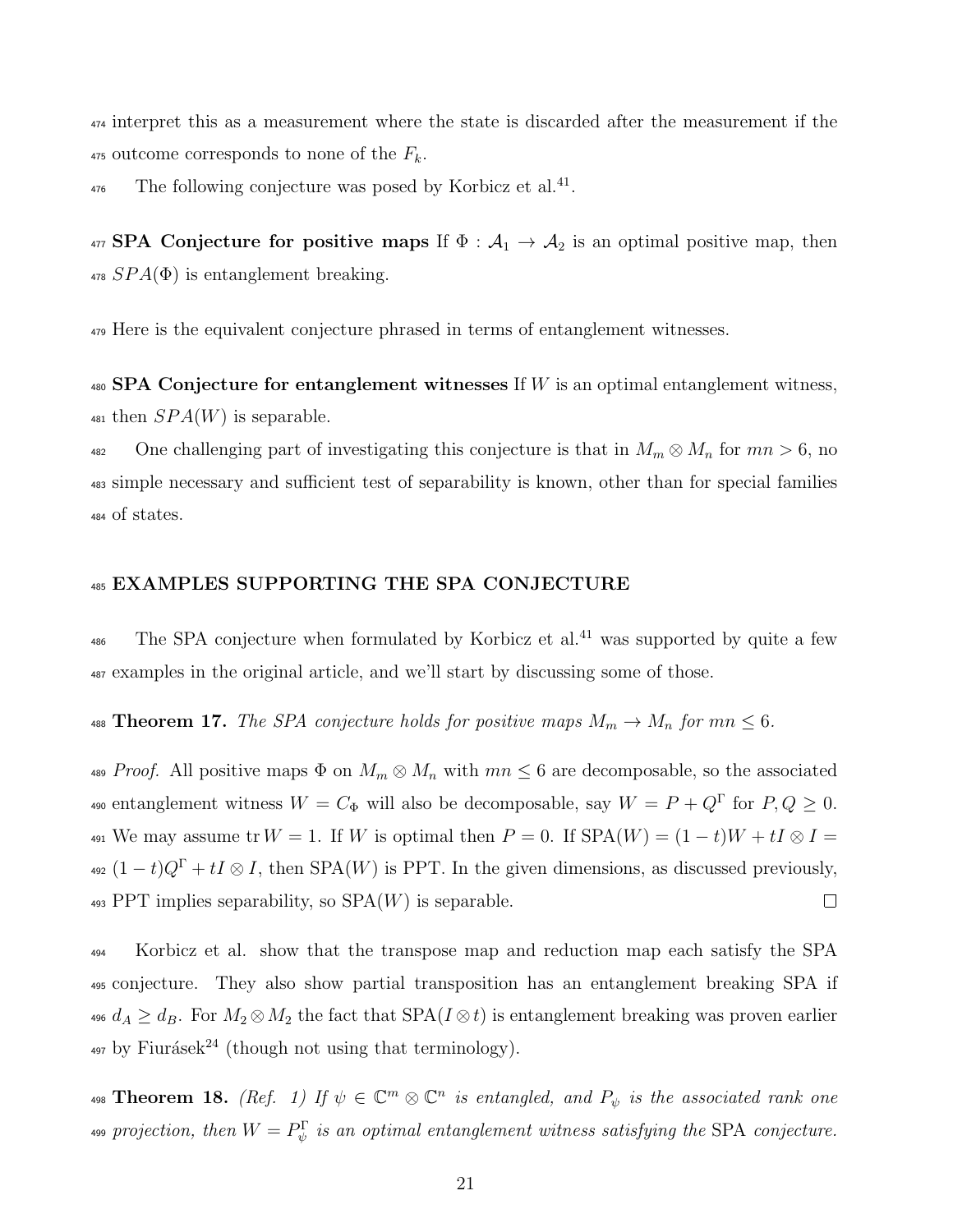<sup>474</sup> interpret this as a measurement where the state is discarded after the measurement if the 475 outcome corresponds to none of the  $F_k$ .

 $\frac{476}{476}$  The following conjecture was posed by Korbicz et al.<sup>41</sup>.

477 **SPA Conjecture for positive maps** If  $\Phi : A_1 \to A_2$  is an optimal positive map, then  $478$   $SPA$ ( $\Phi$ ) is entanglement breaking.

<sup>479</sup> Here is the equivalent conjecture phrased in terms of entanglement witnesses.

 $480$  SPA Conjecture for entanglement witnesses If W is an optimal entanglement witness,  $481$  then  $SPA(W)$  is separable.

482 One challenging part of investigating this conjecture is that in  $M_m \otimes M_n$  for  $mn > 6$ , no <sup>483</sup> simple necessary and sufficient test of separability is known, other than for special families <sup>484</sup> of states.

## <sup>485</sup> EXAMPLES SUPPORTING THE SPA CONJECTURE

 $_{486}$  The SPA conjecture when formulated by Korbicz et al.<sup>41</sup> was supported by quite a few <sup>487</sup> examples in the original article, and we'll start by discussing some of those.

488 **Theorem 17.** The SPA conjecture holds for positive maps  $M_m \to M_n$  for  $mn \leq 6$ .

489 Proof. All positive maps  $\Phi$  on  $M_m \otimes M_n$  with  $mn \leq 6$  are decomposable, so the associated 490 entanglement witness  $W = C_{\Phi}$  will also be decomposable, say  $W = P + Q^{\Gamma}$  for  $P, Q \ge 0$ . 491 We may assume tr  $W = 1$ . If W is optimal then  $P = 0$ . If  $SPA(W) = (1 - t)W + tI \otimes I =$  $_{492}$   $(1-t)Q^{\Gamma} + tI \otimes I$ , then SPA(W) is PPT. In the given dimensions, as discussed previously,  $493$  PPT implies separability, so SPA( $W$ ) is separable.  $\Box$ 

 Korbicz et al. show that the transpose map and reduction map each satisfy the SPA conjecture. They also show partial transposition has an entanglement breaking SPA if  $d_A \geq d_B$ . For  $M_2 \otimes M_2$  the fact that SPA( $I \otimes t$ ) is entanglement breaking was proven earlier by Fiurásek<sup>24</sup> (though not using that terminology).

<sup>498</sup> Theorem 18. (Ref. 1) If  $\psi \in \mathbb{C}^m \otimes \mathbb{C}^n$  is entangled, and  $P_{\psi}$  is the associated rank one  $_{499}\,\, projection,\,\,then\,\,W=P^{\Gamma}_{\psi}\,\,is\,\,an\,\,optimal\,\,entanglement\,\,winess\,\,satisfying\,\,the\,\,SPA\,\,conjecture.$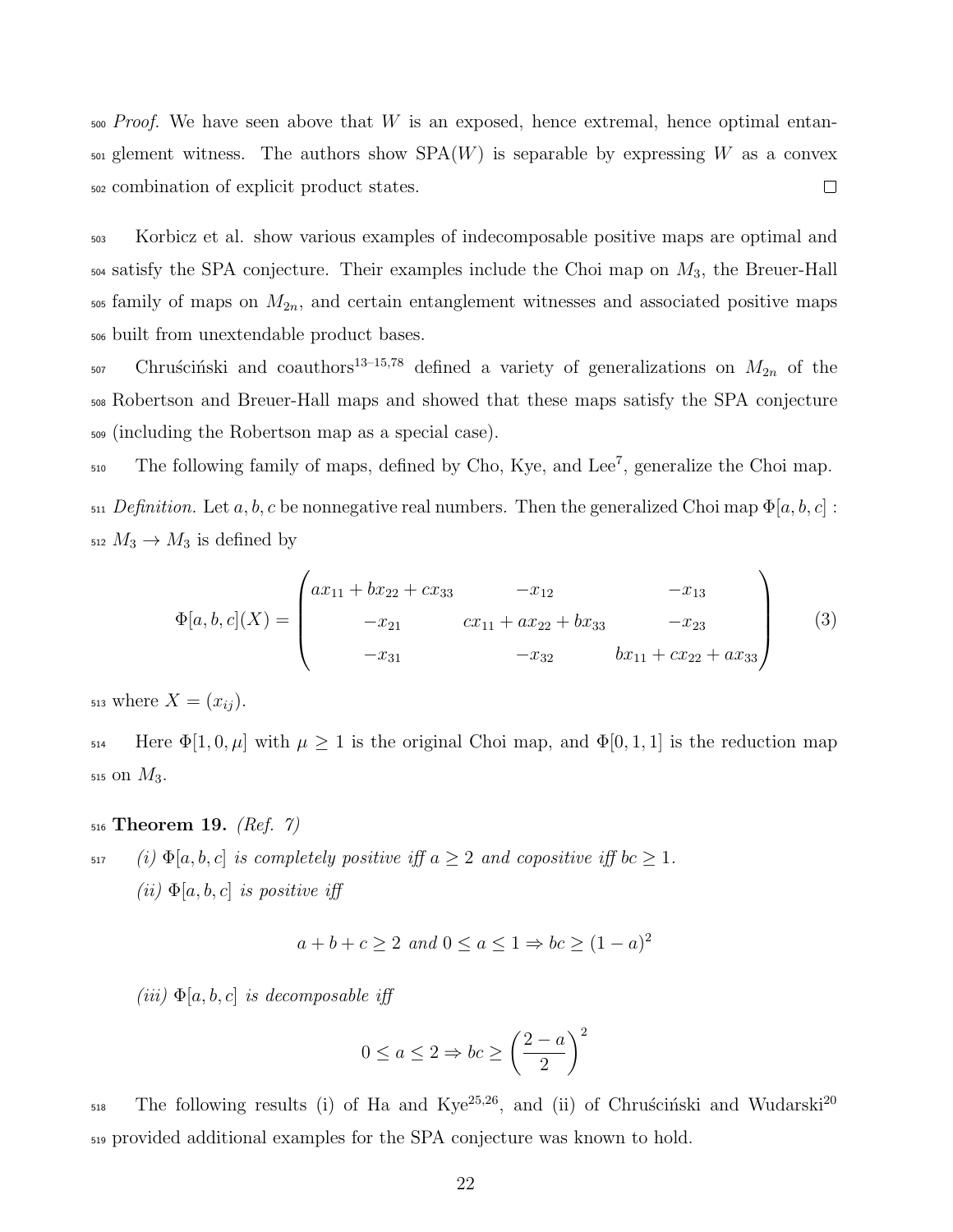$500$  Proof. We have seen above that W is an exposed, hence extremal, hence optimal entan- $\mathfrak{so}_1$  glement witness. The authors show SPA(W) is separable by expressing W as a convex <sup>502</sup> combination of explicit product states.  $\Box$ 

 Korbicz et al. show various examples of indecomposable positive maps are optimal and satisfy the SPA conjecture. Their examples include the Choi map on  $M_3$ , the Breuer-Hall  $\epsilon$ <sub>505</sub> family of maps on  $M_{2n}$ , and certain entanglement witnesses and associated positive maps built from unextendable product bases.

 $S_{507}$  Chrus´cinski and coauthors<sup>13–15,78</sup> defined a variety of generalizations on  $M_{2n}$  of the <sup>508</sup> Robertson and Breuer-Hall maps and showed that these maps satisfy the SPA conjecture <sup>509</sup> (including the Robertson map as a special case).

510 The following family of maps, defined by Cho, Kye, and Lee<sup>7</sup>, generalize the Choi map.

511 Definition. Let a, b, c be nonnegative real numbers. Then the generalized Choi map  $\Phi[a, b, c]$ :  $_{512} M_3 \rightarrow M_3$  is defined by

$$
\Phi[a, b, c](X) = \begin{pmatrix} ax_{11} + bx_{22} + cx_{33} & -x_{12} & -x_{13} \\ -x_{21} & cx_{11} + ax_{22} + bx_{33} & -x_{23} \\ -x_{31} & -x_{32} & bx_{11} + cx_{22} + ax_{33} \end{pmatrix}
$$
(3)

513 where  $X = (x_{ij})$ .

514 Here  $\Phi[1, 0, \mu]$  with  $\mu \geq 1$  is the original Choi map, and  $\Phi[0, 1, 1]$  is the reduction map  $515$  on  $M_3$ .

#### $_{516}$  Theorem 19. (Ref. 7)

 $\mathfrak{so}_{17}$  (i)  $\Phi[a, b, c]$  is completely positive iff  $a \geq 2$  and copositive iff  $bc \geq 1$ . (ii)  $\Phi[a, b, c]$  is positive iff

$$
a+b+c \ge 2 \text{ and } 0 \le a \le 1 \Rightarrow bc \ge (1-a)^2
$$

(iii)  $\Phi[a, b, c]$  is decomposable iff

$$
0 \le a \le 2 \Rightarrow bc \ge \left(\frac{2-a}{2}\right)^2
$$

The following results (i) of Ha and Kye<sup>25,26</sup>, and (ii) of Chruscinski and Wudarski<sup>20</sup> 518 <sup>519</sup> provided additional examples for the SPA conjecture was known to hold.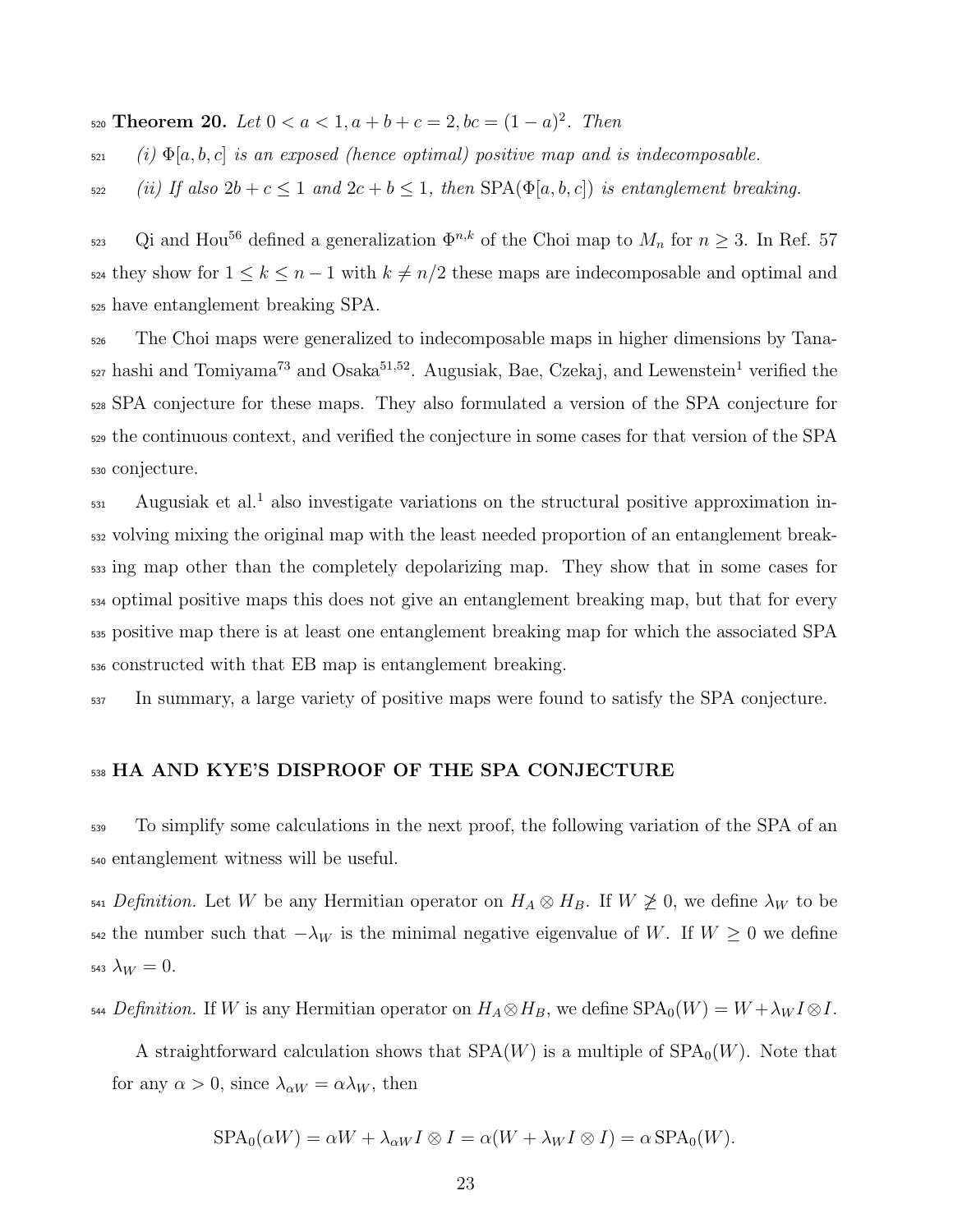$\sum_{n=1}^{\infty}$  Theorem 20. Let  $0 < a < 1, a+b+c=2, bc=(1-a)^2$ . Then

- $\mathfrak{so}_1$  (i)  $\Phi[a, b, c]$  is an exposed (hence optimal) positive map and is indecomposable.
- 522 (ii) If also  $2b + c \le 1$  and  $2c + b \le 1$ , then  $SPA(\Phi[a, b, c])$  is entanglement breaking.

<sup>523</sup> Qi and Hou<sup>56</sup> defined a generalization  $\Phi^{n,k}$  of the Choi map to  $M_n$  for  $n \geq 3$ . In Ref. 57  $\frac{524}{524}$  they show for  $1 \leq k \leq n-1$  with  $k \neq n/2$  these maps are indecomposable and optimal and <sup>525</sup> have entanglement breaking SPA.

 The Choi maps were generalized to indecomposable maps in higher dimensions by Tana- $_{527}$  hashi and Tomiyama<sup>73</sup> and Osaka<sup>51,52</sup>. Augusiak, Bae, Czekaj, and Lewenstein<sup>1</sup> verified the SPA conjecture for these maps. They also formulated a version of the SPA conjecture for the continuous context, and verified the conjecture in some cases for that version of the SPA conjecture.

 $\mu_{\text{531}}$  Augusiak et al.<sup>1</sup> also investigate variations on the structural positive approximation in- volving mixing the original map with the least needed proportion of an entanglement break- ing map other than the completely depolarizing map. They show that in some cases for optimal positive maps this does not give an entanglement breaking map, but that for every positive map there is at least one entanglement breaking map for which the associated SPA constructed with that EB map is entanglement breaking.

<sup>537</sup> In summary, a large variety of positive maps were found to satisfy the SPA conjecture.

#### <sup>538</sup> HA AND KYE'S DISPROOF OF THE SPA CONJECTURE

<sup>539</sup> To simplify some calculations in the next proof, the following variation of the SPA of an <sup>540</sup> entanglement witness will be useful.

541 Definition. Let W be any Hermitian operator on  $H_A \otimes H_B$ . If  $W \not\geq 0$ , we define  $\lambda_W$  to be 542 the number such that  $-\lambda_W$  is the minimal negative eigenvalue of W. If  $W \geq 0$  we define  $_{543}$   $\lambda_W = 0$ .

544 Definition. If W is any Hermitian operator on  $H_A \otimes H_B$ , we define  $SPA_0(W) = W + \lambda_W I \otimes I$ .

A straightforward calculation shows that  $SPA(W)$  is a multiple of  $SPA_0(W)$ . Note that for any  $\alpha > 0$ , since  $\lambda_{\alpha W} = \alpha \lambda_W$ , then

$$
SPA_0(\alpha W) = \alpha W + \lambda_{\alpha W} I \otimes I = \alpha (W + \lambda_W I \otimes I) = \alpha SPA_0(W).
$$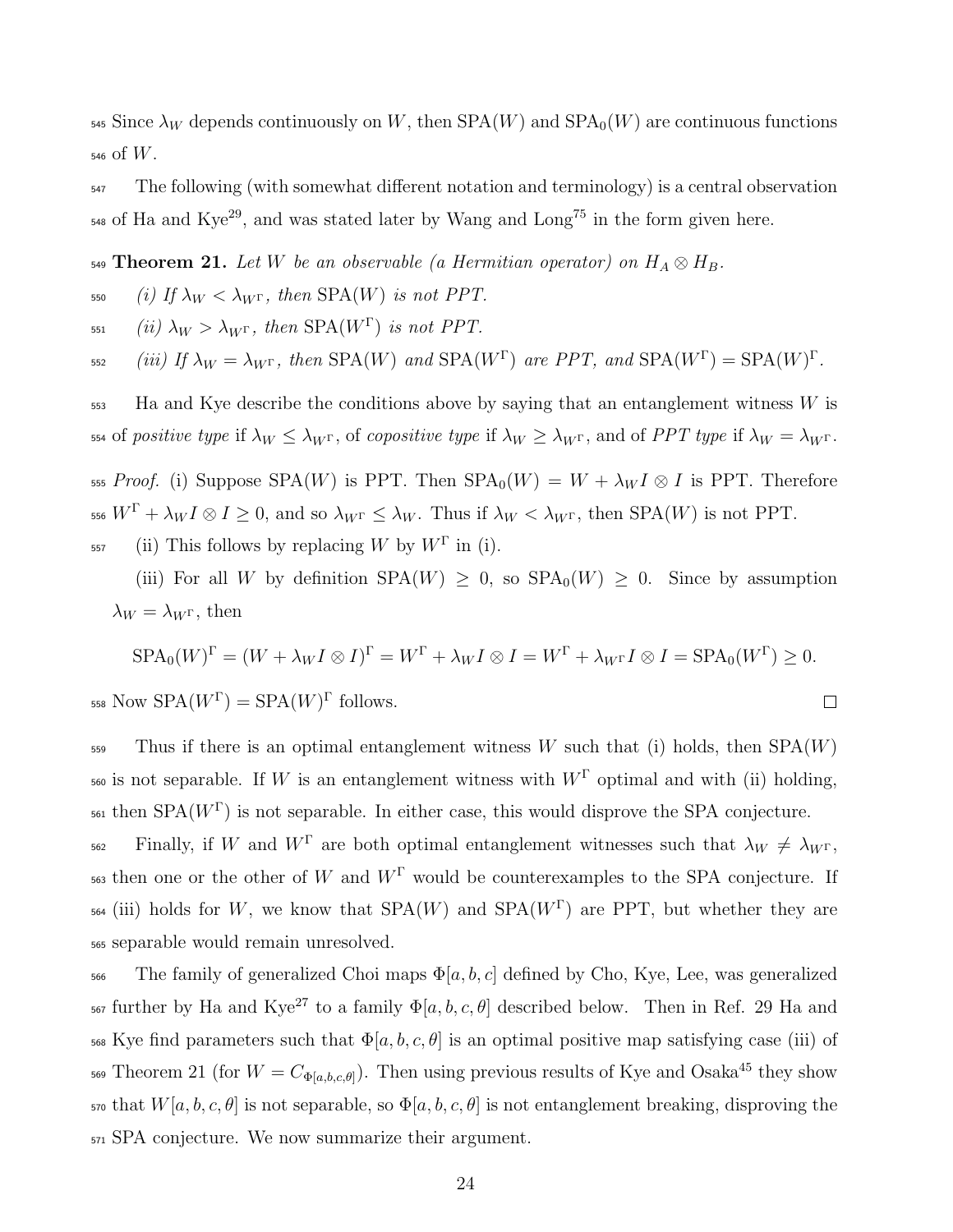$545$  Since  $\lambda_W$  depends continuously on W, then SPA(W) and SPA<sub>0</sub>(W) are continuous functions <sup>546</sup> of W.

<sup>547</sup> The following (with somewhat different notation and terminology) is a central observation  $_{548}$  of Ha and Kye<sup>29</sup>, and was stated later by Wang and Long<sup>75</sup> in the form given here.

549 Theorem 21. Let W be an observable (a Hermitian operator) on  $H_A \otimes H_B$ .

550 (i) If  $\lambda_W < \lambda_{W^{\Gamma}}$ , then SPA(W) is not PPT.

 $\delta_{\text{551}}$  (ii)  $\lambda_W > \lambda_{W^{\Gamma}}$ , then SPA( $W^{\Gamma}$ ) is not PPT.

<sup>552</sup> (iii) If  $\lambda_W = \lambda_{W^{\Gamma}}$ , then  $\text{SPA}(W)$  and  $\text{SPA}(W^{\Gamma})$  are PPT, and  $\text{SPA}(W^{\Gamma}) = \text{SPA}(W)^{\Gamma}$ .

<sup>553</sup> Ha and Kye describe the conditions above by saying that an entanglement witness W is 554 of positive type if  $\lambda_W \leq \lambda_{W^{\Gamma}}$ , of copositive type if  $\lambda_W \geq \lambda_{W^{\Gamma}}$ , and of PPT type if  $\lambda_W = \lambda_{W^{\Gamma}}$ . 555 Proof. (i) Suppose SPA(W) is PPT. Then  $SPA_0(W) = W + \lambda_W I \otimes I$  is PPT. Therefore 556  $W^{\Gamma} + \lambda_W I \otimes I \geq 0$ , and so  $\lambda_{W^{\Gamma}} \leq \lambda_W$ . Thus if  $\lambda_W < \lambda_{W^{\Gamma}}$ , then  $SPA(W)$  is not PPT.  $_{557}$  (ii) This follows by replacing W by  $W^{\Gamma}$  in (i).

(iii) For all W by definition  $SPA(W) \geq 0$ , so  $SPA_0(W) \geq 0$ . Since by assumption  $\lambda_W = \lambda_{W^{\Gamma}}$ , then

$$
SPA_0(W)^{\Gamma} = (W + \lambda_W I \otimes I)^{\Gamma} = W^{\Gamma} + \lambda_W I \otimes I = W^{\Gamma} + \lambda_{W^{\Gamma}} I \otimes I = \text{SPA}_0(W^{\Gamma}) \ge 0.
$$
  
Now 
$$
SPA(W^{\Gamma}) = \text{SPA}(W)^{\Gamma}
$$
 follows.

<sup>558</sup> Now  $\text{SPA}(W^{\Gamma}) = \text{SPA}(W)^{\Gamma}$  follows.

 $\mathcal{F}_{559}$  Thus if there is an optimal entanglement witness W such that (i) holds, then SPA(W)  $\mathfrak{so}$  is not separable. If W is an entanglement witness with  $W^{\Gamma}$  optimal and with (ii) holding,  $\mathfrak{so}_1$  then  $\text{SPA}(W^{\Gamma})$  is not separable. In either case, this would disprove the SPA conjecture.

 $\mathcal{F}_{\text{562}}$  Finally, if W and  $W^{\Gamma}$  are both optimal entanglement witnesses such that  $\lambda_W \neq \lambda_{W^{\Gamma}}$ ,  $\mathfrak{so}$  then one or the other of W and  $W^{\Gamma}$  would be counterexamples to the SPA conjecture. If  $_{564}$  (iii) holds for W, we know that SPA(W) and SPA(W<sup>T</sup>) are PPT, but whether they are <sup>565</sup> separable would remain unresolved.

566 The family of generalized Choi maps  $\Phi[a, b, c]$  defined by Cho, Kye, Lee, was generalized <sup>567</sup> further by Ha and Kye<sup>27</sup> to a family  $\Phi[a, b, c, \theta]$  described below. Then in Ref. 29 Ha and <sup>568</sup> Kye find parameters such that  $\Phi[a, b, c, \theta]$  is an optimal positive map satisfying case (iii) of <sup>569</sup> Theorem 21 (for  $W = C_{\Phi[a,b,c,\theta]}$ ). Then using previous results of Kye and Osaka<sup>45</sup> they show  $\mathbf{570}$  that  $W[a, b, c, \theta]$  is not separable, so  $\Phi[a, b, c, \theta]$  is not entanglement breaking, disproving the <sup>571</sup> SPA conjecture. We now summarize their argument.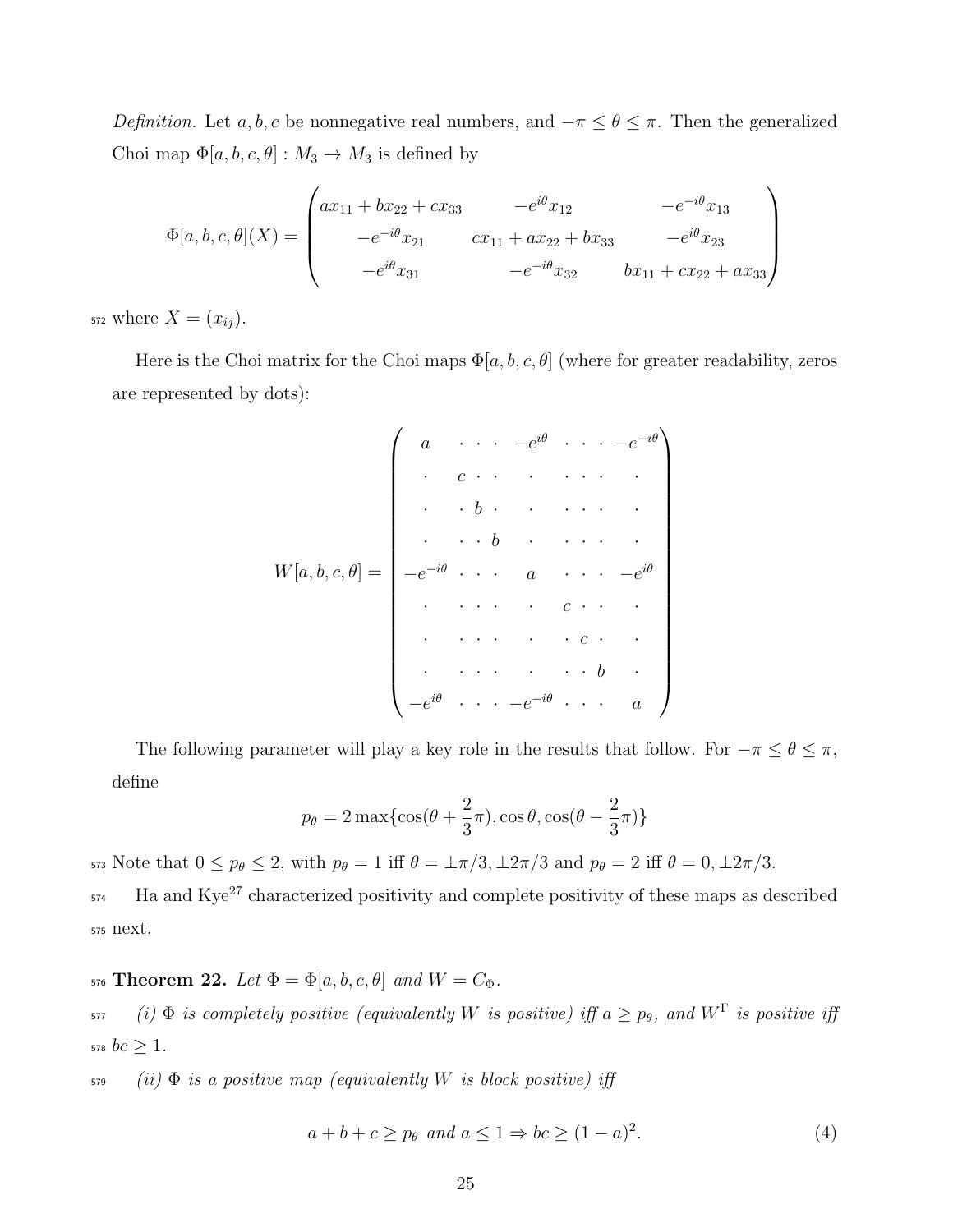Definition. Let a, b, c be nonnegative real numbers, and  $-\pi \leq \theta \leq \pi$ . Then the generalized Choi map  $\Phi[a,b,c,\theta] : M_3 \to M_3$  is defined by

$$
\Phi[a, b, c, \theta](X) = \begin{pmatrix} ax_{11} + bx_{22} + cx_{33} & -e^{i\theta}x_{12} & -e^{-i\theta}x_{13} \\ -e^{-i\theta}x_{21} & cx_{11} + ax_{22} + bx_{33} & -e^{i\theta}x_{23} \\ -e^{i\theta}x_{31} & -e^{-i\theta}x_{32} & bx_{11} + cx_{22} + ax_{33} \end{pmatrix}
$$

572 where  $X = (x_{ij})$ .

Here is the Choi matrix for the Choi maps  $\Phi[a, b, c, \theta]$  (where for greater readability, zeros are represented by dots):

$$
W[a, b, c, \theta] = \begin{pmatrix} a & \cdots & -e^{i\theta} & \cdots & -e^{-i\theta} \\ \vdots & c & \cdots & \cdots & \cdots & \vdots \\ \vdots & \ddots & \vdots & \ddots & \vdots & \ddots & \vdots \\ -e^{-i\theta} & \cdots & c & \cdots & \cdots & \vdots \\ \vdots & \ddots & \vdots & \ddots & \vdots & \ddots & \vdots \\ -e^{i\theta} & \cdots & -e^{-i\theta} & \cdots & a \end{pmatrix}
$$

The following parameter will play a key role in the results that follow. For  $-\pi \leq \theta \leq \pi$ , define

$$
p_{\theta} = 2 \max \{ \cos(\theta + \frac{2}{3}\pi), \cos \theta, \cos(\theta - \frac{2}{3}\pi) \}
$$

573 Note that  $0 \le p_{\theta} \le 2$ , with  $p_{\theta} = 1$  iff  $\theta = \pm \pi/3, \pm 2\pi/3$  and  $p_{\theta} = 2$  iff  $\theta = 0, \pm 2\pi/3$ . <sup>574</sup> Ha and Kye<sup>27</sup> characterized positivity and complete positivity of these maps as described <sup>575</sup> next.

576 Theorem 22. Let  $\Phi = \Phi[a, b, c, \theta]$  and  $W = C_{\Phi}$ .

 $\delta_{\rm 577}$  (i)  $\Phi$  is completely positive (equivalently W is positive) iff  $a\geq p_\theta$ , and  $W^{\Gamma}$  is positive iff 578  $bc \geq 1$ .

 $579$  (ii)  $\Phi$  is a positive map (equivalently W is block positive) iff

$$
a+b+c \ge p_{\theta} \text{ and } a \le 1 \Rightarrow bc \ge (1-a)^2. \tag{4}
$$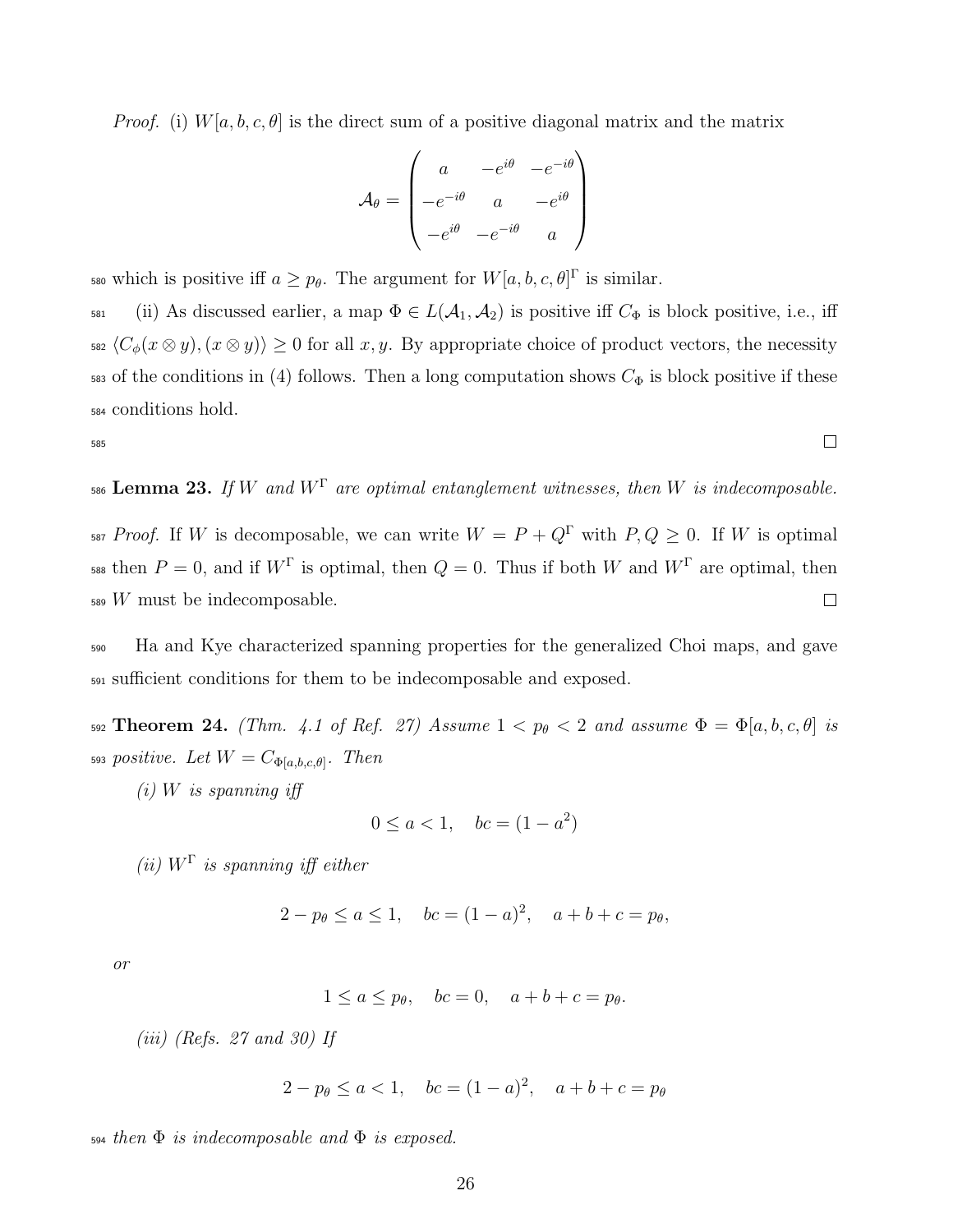*Proof.* (i)  $W[a, b, c, \theta]$  is the direct sum of a positive diagonal matrix and the matrix

$$
\mathcal{A}_{\theta} = \begin{pmatrix} a & -e^{i\theta} & -e^{-i\theta} \\ -e^{-i\theta} & a & -e^{i\theta} \\ -e^{i\theta} & -e^{-i\theta} & a \end{pmatrix}
$$

580 which is positive iff  $a \geq p_{\theta}$ . The argument for  $W[a, b, c, \theta]^{\Gamma}$  is similar.

581 (ii) As discussed earlier, a map  $\Phi \in L(\mathcal{A}_1, \mathcal{A}_2)$  is positive iff  $C_{\Phi}$  is block positive, i.e., iff 582  $\langle C_{\phi}(x \otimes y), (x \otimes y) \rangle \ge 0$  for all  $x, y$ . By appropriate choice of product vectors, the necessity 583 of the conditions in (4) follows. Then a long computation shows  $C_{\Phi}$  is block positive if these <sup>584</sup> conditions hold.

585

 $\sim$  586 Lemma 23. If W and  $W^{\Gamma}$  are optimal entanglement witnesses, then W is indecomposable.

<sup>587</sup> Proof. If W is decomposable, we can write  $W = P + Q^{\Gamma}$  with  $P, Q \ge 0$ . If W is optimal <sup>588</sup> then  $P=0$ , and if  $W^{\Gamma}$  is optimal, then  $Q=0$ . Thus if both W and  $W^{\Gamma}$  are optimal, then  $589$  W must be indecomposable.  $\Box$ 

<sup>590</sup> Ha and Kye characterized spanning properties for the generalized Choi maps, and gave <sup>591</sup> sufficient conditions for them to be indecomposable and exposed.

592 **Theorem 24.** (Thm. 4.1 of Ref. 27) Assume  $1 < p_{\theta} < 2$  and assume  $\Phi = \Phi[a, b, c, \theta]$  is 593 positive. Let  $W = C_{\Phi[a,b,c,\theta]}$ . Then

 $(i)$  W is spanning iff

$$
0 \le a < 1, \quad bc = (1 - a^2)
$$

(ii)  $W^{\Gamma}$  is spanning iff either

$$
2 - p_{\theta} \le a \le 1
$$
,  $bc = (1 - a)^2$ ,  $a + b + c = p_{\theta}$ ,

or

$$
1 \le a \le p_\theta, \quad bc = 0, \quad a + b + c = p_\theta.
$$

 $(iii)$  (Refs. 27 and 30) If

$$
2 - p_{\theta} \le a < 1
$$
,  $bc = (1 - a)^2$ ,  $a + b + c = p_{\theta}$ 

 $594$  then  $\Phi$  is indecomposable and  $\Phi$  is exposed.

 $\Box$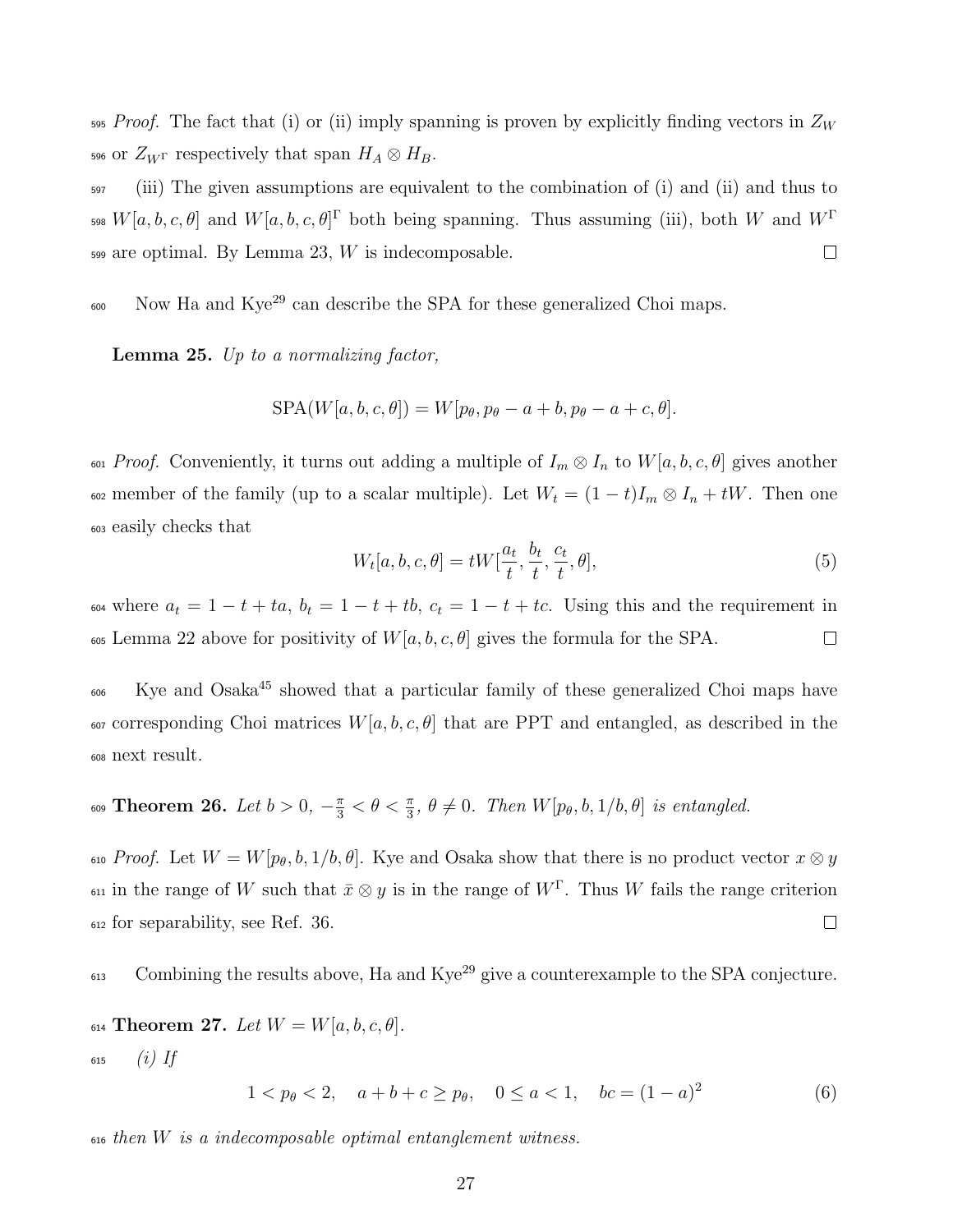$595$  Proof. The fact that (i) or (ii) imply spanning is proven by explicitly finding vectors in  $Z_W$ 596 or  $Z_{W^{\Gamma}}$  respectively that span  $H_A \otimes H_B$ .

<sup>597</sup> (iii) The given assumptions are equivalent to the combination of (i) and (ii) and thus to <sup>598</sup>  $W[a, b, c, \theta]$  and  $W[a, b, c, \theta]$ <sup>r</sup> both being spanning. Thus assuming (iii), both W and  $W$ <sup>r</sup>  $599$  are optimal. By Lemma 23, W is indecomposable.  $\Box$ 

<sup>600</sup> Now Ha and Kye<sup>29</sup> can describe the SPA for these generalized Choi maps.

**Lemma 25.** Up to a normalizing factor,

$$
SPA(W[a, b, c, \theta]) = W[p_{\theta}, p_{\theta} - a + b, p_{\theta} - a + c, \theta].
$$

601 Proof. Conveniently, it turns out adding a multiple of  $I_m \otimes I_n$  to  $W[a, b, c, \theta]$  gives another 602 member of the family (up to a scalar multiple). Let  $W_t = (1-t)I_m \otimes I_n + tW$ . Then one <sup>603</sup> easily checks that

$$
W_t[a, b, c, \theta] = tW[\frac{a_t}{t}, \frac{b_t}{t}, \frac{c_t}{t}, \theta],
$$
\n
$$
(5)
$$

604 where  $a_t = 1 - t + ta$ ,  $b_t = 1 - t + tb$ ,  $c_t = 1 - t + tc$ . Using this and the requirement in 605 Lemma 22 above for positivity of  $W[a, b, c, \theta]$  gives the formula for the SPA.  $\Box$ 

<sup>606</sup> Kye and Osaka<sup>45</sup> showed that a particular family of these generalized Choi maps have 607 corresponding Choi matrices  $W[a, b, c, \theta]$  that are PPT and entangled, as described in the <sup>608</sup> next result.

# <sup>609</sup> Theorem 26. Let  $b > 0$ ,  $-\frac{\pi}{3} < \theta < \frac{\pi}{3}$ ,  $\theta \neq 0$ . Then  $W[p_{\theta}, b, 1/b, \theta]$  is entangled.

610 Proof. Let  $W = W[p_\theta, b, 1/b, \theta]$ . Kye and Osaka show that there is no product vector  $x \otimes y$  $\epsilon_{011}$  in the range of W such that  $\bar{x} \otimes y$  is in the range of  $W<sup>\Gamma</sup>$ . Thus W fails the range criterion <sup>612</sup> for separability, see Ref. 36.  $\Box$ 

 $\epsilon_{0.5}$  Combining the results above, Ha and Kye<sup>29</sup> give a counterexample to the SPA conjecture.

614 Theorem 27. Let  $W = W[a, b, c, \theta]$ .

615 (*i*) If

$$
1 < p_{\theta} < 2, \quad a + b + c \ge p_{\theta}, \quad 0 \le a < 1, \quad bc = (1 - a)^2 \tag{6}
$$

 $616$  then W is a indecomposable optimal entanglement witness.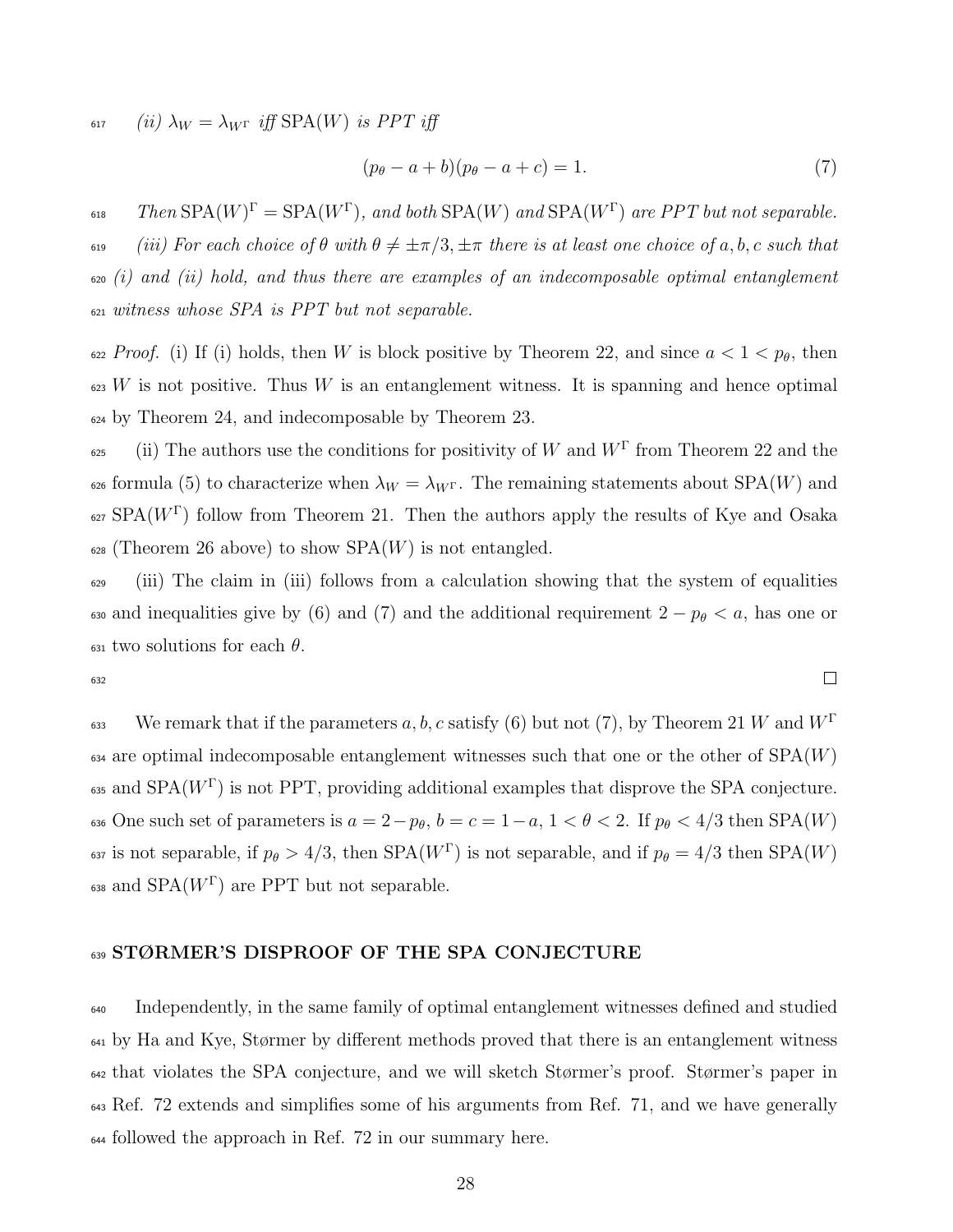617 (ii)  $\lambda_W = \lambda_{W}$  iff SPA(W) is PPT iff

$$
(p_{\theta} - a + b)(p_{\theta} - a + c) = 1.
$$
 (7)

 $\Box$ 

 $F_{\text{max}}$  Then  $\text{SPA}(W)^{\Gamma} = \text{SPA}(W^{\Gamma})$ , and both  $\text{SPA}(W)$  and  $\text{SPA}(W^{\Gamma})$  are PPT but not separable. 619 (iii) For each choice of  $\theta$  with  $\theta \neq \pm \pi/3, \pm \pi$  there is at least one choice of a, b, c such that  $\epsilon_{620}$  (i) and (ii) hold, and thus there are examples of an indecomposable optimal entanglement <sup>621</sup> witness whose SPA is PPT but not separable.

622 Proof. (i) If (i) holds, then W is block positive by Theorem 22, and since  $a < 1 < p_{\theta}$ , then  $623$  W is not positive. Thus W is an entanglement witness. It is spanning and hence optimal <sup>624</sup> by Theorem 24, and indecomposable by Theorem 23.

<sup>625</sup> (ii) The authors use the conditions for positivity of W and  $W^{\Gamma}$  from Theorem 22 and the 626 formula (5) to characterize when  $\lambda_W = \lambda_{W}$ . The remaining statements about SPA(W) and  $\epsilon_{627}$  SPA( $W^{\Gamma}$ ) follow from Theorem 21. Then the authors apply the results of Kye and Osaka  $\epsilon_{28}$  (Theorem 26 above) to show SPA(W) is not entangled.

<sup>629</sup> (iii) The claim in (iii) follows from a calculation showing that the system of equalities 630 and inequalities give by (6) and (7) and the additional requirement  $2 - p_{\theta} < a$ , has one or <sup>631</sup> two solutions for each  $θ$ .

632

We remark that if the parameters  $a, b, c$  satisfy (6) but not (7), by Theorem 21 W and  $W<sup>\Gamma</sup>$ 633  $\epsilon_{634}$  are optimal indecomposable entanglement witnesses such that one or the other of  $\text{SPA}(W)$  $\alpha$ <sub>635</sub> and SPA( $W^{\Gamma}$ ) is not PPT, providing additional examples that disprove the SPA conjecture. 636 One such set of parameters is  $a = 2-p_\theta$ ,  $b = c = 1-a$ ,  $1 < \theta < 2$ . If  $p_\theta < 4/3$  then SPA(W) 637 is not separable, if  $p_{\theta} > 4/3$ , then SPA( $W^{\Gamma}$ ) is not separable, and if  $p_{\theta} = 4/3$  then SPA( $W$ )  $\epsilon$ <sub>638</sub> and SPA( $W^{\Gamma}$ ) are PPT but not separable.

## <sup>639</sup> STØRMER'S DISPROOF OF THE SPA CONJECTURE

 Independently, in the same family of optimal entanglement witnesses defined and studied by Ha and Kye, Størmer by different methods proved that there is an entanglement witness that violates the SPA conjecture, and we will sketch Størmer's proof. Størmer's paper in Ref. 72 extends and simplifies some of his arguments from Ref. 71, and we have generally followed the approach in Ref. 72 in our summary here.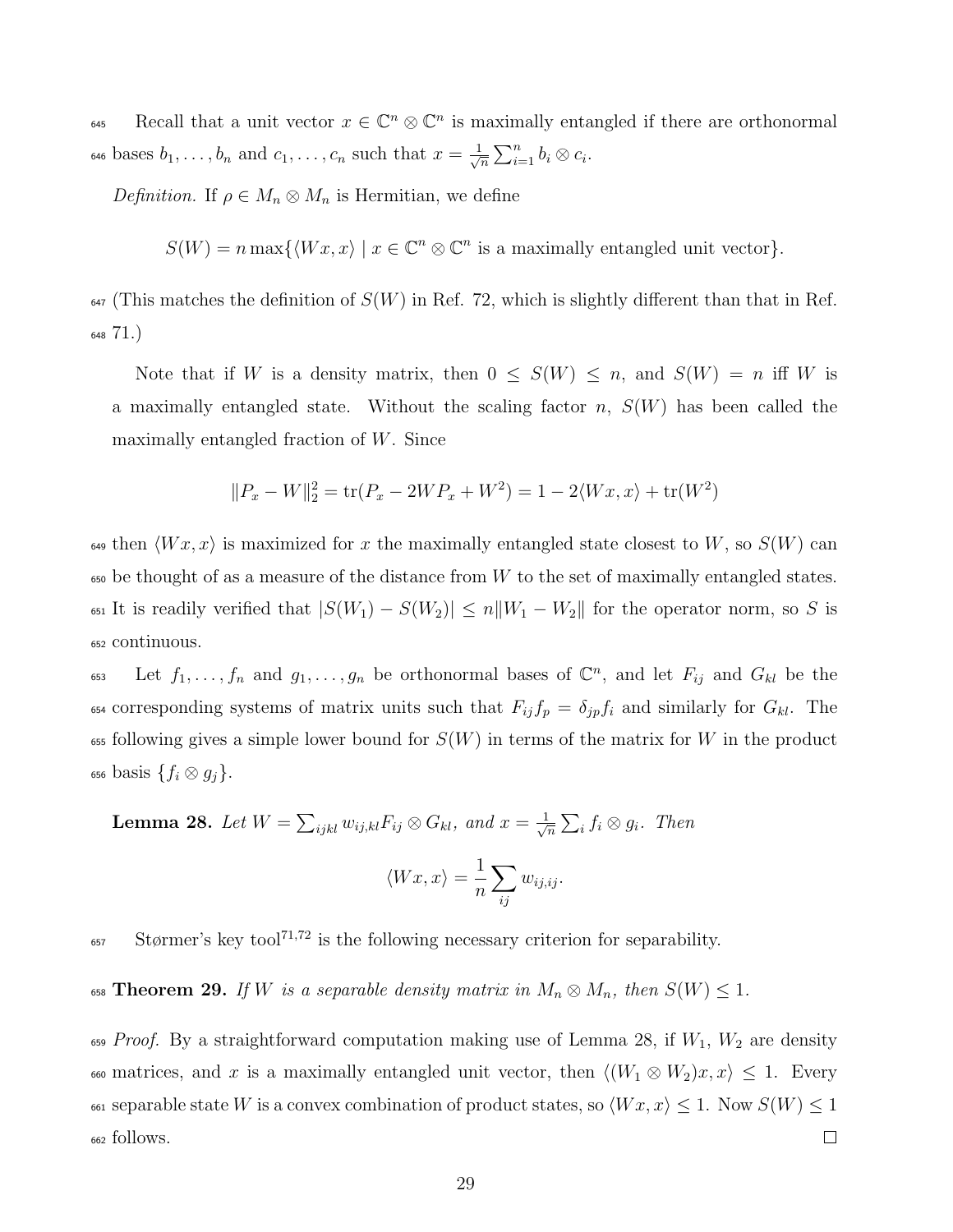645 Recall that a unit vector  $x \in \mathbb{C}^n \otimes \mathbb{C}^n$  is maximally entangled if there are orthonormal bases  $b_1, \ldots, b_n$  and  $c_1, \ldots, c_n$  such that  $x = \frac{1}{\sqrt{n}}$ 646 bases  $b_1, \ldots, b_n$  and  $c_1, \ldots, c_n$  such that  $x = \frac{1}{\sqrt{n}} \sum_{i=1}^n b_i \otimes c_i$ .

Definition. If  $\rho \in M_n \otimes M_n$  is Hermitian, we define

 $S(W) = n \max\{ \langle Wx, x \rangle \mid x \in \mathbb{C}^n \otimes \mathbb{C}^n \text{ is a maximally entangled unit vector} \}.$ 

 $647$  (This matches the definition of  $S(W)$  in Ref. 72, which is slightly different than that in Ref. <sup>648</sup> 71.)

Note that if W is a density matrix, then  $0 \leq S(W) \leq n$ , and  $S(W) = n$  iff W is a maximally entangled state. Without the scaling factor n,  $S(W)$  has been called the maximally entangled fraction of W. Since

$$
||P_x - W||_2^2 = \text{tr}(P_x - 2WP_x + W^2) = 1 - 2\langle Wx, x \rangle + \text{tr}(W^2)
$$

649 then  $\langle Wx, x \rangle$  is maximized for x the maximally entangled state closest to W, so  $S(W)$  can  $\epsilon$ <sub>550</sub> be thought of as a measure of the distance from W to the set of maximally entangled states. 651 It is readily verified that  $|S(W_1) - S(W_2)| \le n||W_1 - W_2||$  for the operator norm, so S is <sup>652</sup> continuous.

<sup>653</sup> Let  $f_1, \ldots, f_n$  and  $g_1, \ldots, g_n$  be orthonormal bases of  $\mathbb{C}^n$ , and let  $F_{ij}$  and  $G_{kl}$  be the 654 corresponding systems of matrix units such that  $F_{ij}f_p = \delta_{jp}f_i$  and similarly for  $G_{kl}$ . The  $\epsilon_{655}$  following gives a simple lower bound for  $S(W)$  in terms of the matrix for W in the product 656 basis  $\{f_i \otimes g_j\}.$ 

**Lemma 28.** Let  $W = \sum_{ijkl} w_{ij,kl} F_{ij} \otimes G_{kl}$ , and  $x = \frac{1}{\sqrt{3}}$  $\frac{1}{n} \sum_i f_i \otimes g_i$ . Then

$$
\langle Wx, x \rangle = \frac{1}{n} \sum_{ij} w_{ij,ij}.
$$

 $557$  Størmer's key tool<sup>71,72</sup> is the following necessary criterion for separability.

658 Theorem 29. If W is a separable density matrix in  $M_n \otimes M_n$ , then  $S(W) \leq 1$ .

 $659$  Proof. By a straightforward computation making use of Lemma 28, if  $W_1$ ,  $W_2$  are density 660 matrices, and x is a maximally entangled unit vector, then  $\langle (W_1 \otimes W_2)x, x \rangle \leq 1$ . Every 661 separable state W is a convex combination of product states, so  $\langle Wx, x \rangle \leq 1$ . Now  $S(W) \leq 1$ <sup>662</sup> follows.  $\Box$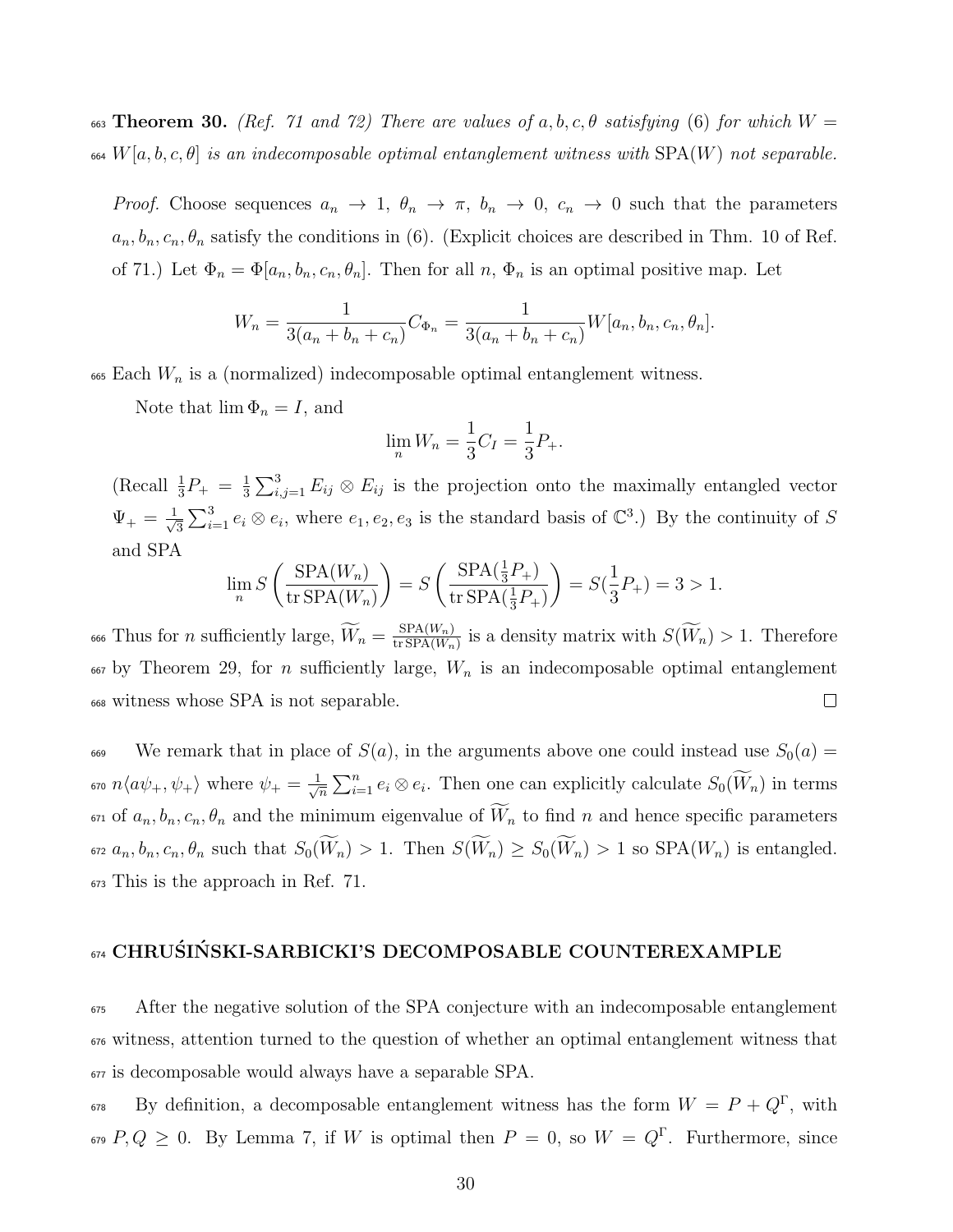663 Theorem 30. (Ref. 71 and 72) There are values of a, b, c,  $\theta$  satisfying (6) for which  $W =$  $W[a, b, c, \theta]$  is an indecomposable optimal entanglement witness with SPA(W) not separable.

*Proof.* Choose sequences  $a_n \to 1$ ,  $\theta_n \to \pi$ ,  $b_n \to 0$ ,  $c_n \to 0$  such that the parameters  $a_n, b_n, c_n, \theta_n$  satisfy the conditions in (6). (Explicit choices are described in Thm. 10 of Ref. of 71.) Let  $\Phi_n = \Phi[a_n, b_n, c_n, \theta_n]$ . Then for all  $n, \Phi_n$  is an optimal positive map. Let

$$
W_n = \frac{1}{3(a_n + b_n + c_n)} C_{\Phi_n} = \frac{1}{3(a_n + b_n + c_n)} W[a_n, b_n, c_n, \theta_n].
$$

 $\epsilon_{665}$  Each  $W_n$  is a (normalized) indecomposable optimal entanglement witness.

Note that  $\lim \Phi_n = I$ , and

$$
\lim_{n} W_{n} = \frac{1}{3}C_{I} = \frac{1}{3}P_{+}.
$$

(Recall  $\frac{1}{3}P_+ = \frac{1}{3}$  $\frac{1}{3}\sum_{i,j=1}^{3} E_{ij} \otimes E_{ij}$  is the projection onto the maximally entangled vector  $\Psi_+ = \frac{1}{\sqrt{2}}$  $\frac{1}{3}\sum_{i=1}^{3}e_i\otimes e_i$ , where  $e_1, e_2, e_3$  is the standard basis of  $\mathbb{C}^3$ .) By the continuity of S and SPA

$$
\lim_{n} S\left(\frac{\text{SPA}(W_n)}{\text{tr SPA}(W_n)}\right) = S\left(\frac{\text{SPA}(\frac{1}{3}P_+)}{\text{tr SPA}(\frac{1}{3}P_+)}\right) = S(\frac{1}{3}P_+) = 3 > 1.
$$

Thus for *n* sufficiently large,  $\widetilde{W}_n = \frac{\text{SPA}(W_n)}{\text{tr}\,\text{SPA}(W_n)}$ <sup>666</sup> Thus for *n* sufficiently large,  $W_n = \frac{\text{SPA}(W_n)}{\text{tr,SPA}(W_n)}$  is a density matrix with  $S(W_n) > 1$ . Therefore  $667$  by Theorem 29, for *n* sufficiently large,  $W_n$  is an indecomposable optimal entanglement <sup>668</sup> witness whose SPA is not separable.  $\Box$ 

669 We remark that in place of  $S(a)$ , in the arguments above one could instead use  $S_0(a)$  =  $n\langle a\psi_+,\psi_+\rangle$  where  $\psi_+ = \frac{1}{\sqrt{2}}$  $\langle \overline{\psi}_1, \overline{\psi}_2, \psi_1 \rangle$  where  $\psi_+ = \frac{1}{\sqrt{n}} \sum_{i=1}^n e_i \otimes e_i$ . Then one can explicitly calculate  $S_0(\widetilde{W}_n)$  in terms <sup>671</sup> of  $a_n, b_n, c_n, \theta_n$  and the minimum eigenvalue of  $\widetilde{W}_n$  to find n and hence specific parameters 672  $a_n, b_n, c_n, \theta_n$  such that  $S_0(\widetilde{W}_n) > 1$ . Then  $S(\widetilde{W}_n) \geq S_0(\widetilde{W}_n) > 1$  so  $SPA(W_n)$  is entangled. <sup>673</sup> This is the approach in Ref. 71.

# $_{674}$  CHRUŚIŃSKI-SARBICKI'S DECOMPOSABLE COUNTEREXAMPLE

<sup>675</sup> After the negative solution of the SPA conjecture with an indecomposable entanglement  $\epsilon_{676}$  witness, attention turned to the question of whether an optimal entanglement witness that <sup>677</sup> is decomposable would always have a separable SPA.

 $B_y$  definition, a decomposable entanglement witness has the form  $W = P + Q^{\Gamma}$ , with  $\epsilon_{59}$   $P,Q \geq 0$ . By Lemma 7, if W is optimal then  $P=0$ , so  $W=Q^{\Gamma}$ . Furthermore, since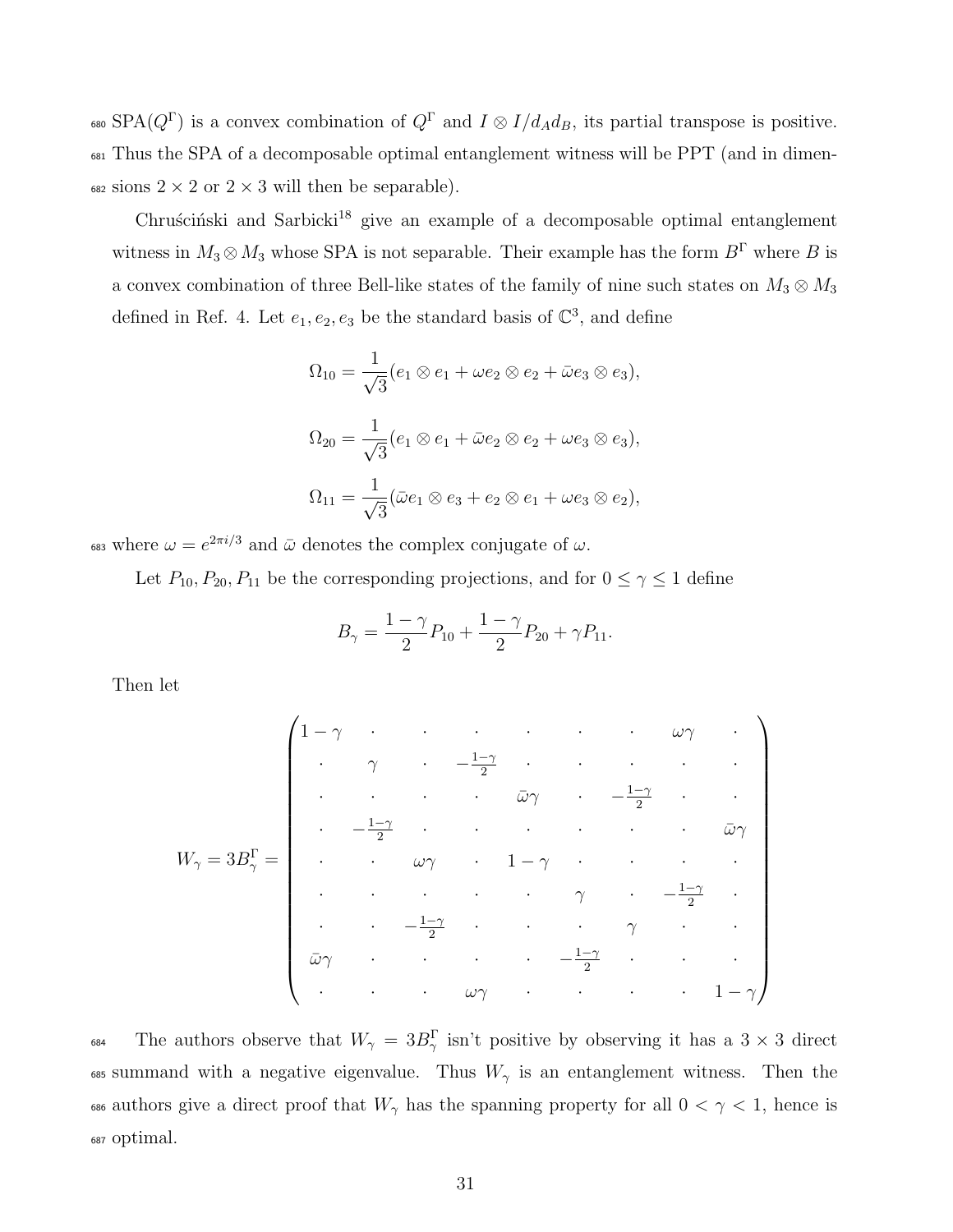680 SPA( $Q^{\Gamma}$ ) is a convex combination of  $Q^{\Gamma}$  and  $I \otimes I/d_A d_B$ , its partial transpose is positive. <sup>681</sup> Thus the SPA of a decomposable optimal entanglement witness will be PPT (and in dimen-682 sions  $2 \times 2$  or  $2 \times 3$  will then be separable).

Chrus´cinski and Sarbicki<sup>18</sup> give an example of a decomposable optimal entanglement witness in  $M_3 \otimes M_3$  whose SPA is not separable. Their example has the form  $B^{\Gamma}$  where B is a convex combination of three Bell-like states of the family of nine such states on  $M_3 \otimes M_3$ defined in Ref. 4. Let  $e_1, e_2, e_3$  be the standard basis of  $\mathbb{C}^3$ , and define

$$
\Omega_{10} = \frac{1}{\sqrt{3}} (e_1 \otimes e_1 + \omega e_2 \otimes e_2 + \bar{\omega} e_3 \otimes e_3),
$$
  
\n
$$
\Omega_{20} = \frac{1}{\sqrt{3}} (e_1 \otimes e_1 + \bar{\omega} e_2 \otimes e_2 + \omega e_3 \otimes e_3),
$$
  
\n
$$
\Omega_{11} = \frac{1}{\sqrt{3}} (\bar{\omega} e_1 \otimes e_3 + e_2 \otimes e_1 + \omega e_3 \otimes e_2),
$$

683 where  $\omega = e^{2\pi i/3}$  and  $\bar{\omega}$  denotes the complex conjugate of  $\omega$ .

Let  $P_{10}, P_{20}, P_{11}$  be the corresponding projections, and for  $0 \leq \gamma \leq 1$  define

$$
B_{\gamma} = \frac{1 - \gamma}{2} P_{10} + \frac{1 - \gamma}{2} P_{20} + \gamma P_{11}.
$$

Then let

$$
W_{\gamma} = 3B_{\gamma}^{\Gamma} = \begin{pmatrix} 1 - \gamma & \cdot & \cdot & \cdot & \cdot & \cdot & \cdot & \omega_{\gamma} & \cdot \\ \cdot & \gamma & \cdot & -\frac{1 - \gamma}{2} & \cdot & \cdot & \cdot & \cdot & \cdot \\ \cdot & \cdot & \cdot & \cdot & \bar{\omega}_{\gamma} & \cdot & -\frac{1 - \gamma}{2} & \cdot & \cdot \\ \cdot & \cdot & \cdot & \cdot & \cdot & \cdot & \cdot & \cdot & \cdot \\ \cdot & \cdot & \cdot & \cdot & \cdot & \cdot & \cdot & \cdot & \cdot \\ \cdot & \cdot & \cdot & \cdot & \cdot & \cdot & \cdot & \cdot & \cdot \\ \cdot & \cdot & \cdot & \cdot & \cdot & \cdot & \cdot & \cdot & \cdot \\ \bar{\omega}_{\gamma} & \cdot & \cdot & \cdot & \cdot & \cdot & \cdot & \cdot & \cdot \\ \cdot & \cdot & \cdot & \cdot & \cdot & \cdot & \cdot & \cdot & \cdot \\ \cdot & \cdot & \cdot & \cdot & \cdot & \cdot & \cdot & \cdot & \cdot \\ \end{pmatrix}
$$

<sup>684</sup> The authors observe that  $W_{\gamma} = 3B_{\gamma}^{\Gamma}$  isn't positive by observing it has a 3 × 3 direct 685 summand with a negative eigenvalue. Thus  $W_{\gamma}$  is an entanglement witness. Then the 686 authors give a direct proof that  $W_{\gamma}$  has the spanning property for all  $0 < \gamma < 1$ , hence is <sup>687</sup> optimal.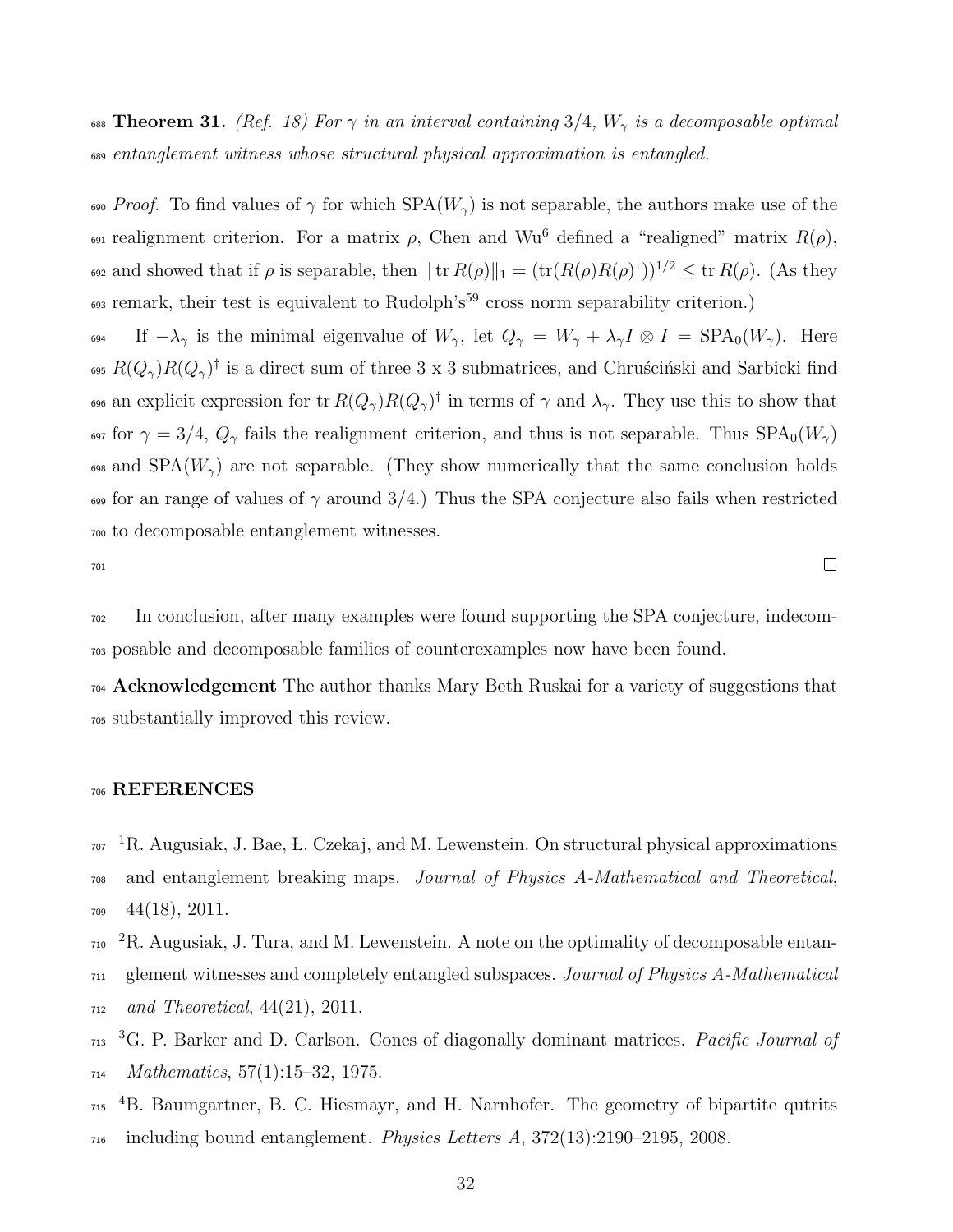688 Theorem 31. (Ref. 18) For  $\gamma$  in an interval containing 3/4,  $W_{\gamma}$  is a decomposable optimal <sup>689</sup> entanglement witness whose structural physical approximation is entangled.

690 Proof. To find values of  $\gamma$  for which SPA( $W_{\gamma}$ ) is not separable, the authors make use of the <sup>691</sup> realignment criterion. For a matrix  $\rho$ , Chen and Wu<sup>6</sup> defined a "realigned" matrix  $R(\rho)$ , <sup>692</sup> and showed that if *ρ* is separable, then  $|| \text{ tr } R(\rho) ||_1 = (\text{tr}(R(\rho)R(\rho)^{\dagger}))^{1/2} \leq \text{tr } R(\rho)$ . (As they 693 remark, their test is equivalent to Rudolph's<sup>59</sup> cross norm separability criterion.)

694 If  $-\lambda_{\gamma}$  is the minimal eigenvalue of  $W_{\gamma}$ , let  $Q_{\gamma} = W_{\gamma} + \lambda_{\gamma} I \otimes I = \text{SPA}_0(W_{\gamma})$ . Here <sup>695</sup>  $R(Q_\gamma)R(Q_\gamma)^\dagger$  is a direct sum of three 3 x 3 submatrices, and Chruscinski and Sarbicki find 696 an explicit expression for tr  $R(Q_\gamma)R(Q_\gamma)^\dagger$  in terms of  $\gamma$  and  $\lambda_\gamma$ . They use this to show that 697 for  $\gamma = 3/4$ ,  $Q_{\gamma}$  fails the realignment criterion, and thus is not separable. Thus  $\text{SPA}_0(W_{\gamma})$ 698 and  $SPA(W_{\gamma})$  are not separable. (They show numerically that the same conclusion holds 699 for an range of values of  $\gamma$  around 3/4.) Thus the SPA conjecture also fails when restricted <sup>700</sup> to decomposable entanglement witnesses.

701

<sup>702</sup> In conclusion, after many examples were found supporting the SPA conjecture, indecom-<sup>703</sup> posable and decomposable families of counterexamples now have been found.

 $\Box$ 

 $704$  Acknowledgement The author thanks Mary Beth Ruskai for a variety of suggestions that <sup>705</sup> substantially improved this review.

## <sup>706</sup> REFERENCES

- <sup>1</sup>R. Augusiak, J. Bae, L. Czekaj, and M. Lewenstein. On structural physical approximations <sup>708</sup> and entanglement breaking maps. Journal of Physics A-Mathematical and Theoretical,  $709 \quad 44(18), 2011.$
- $_{710}$   $^{2}$ R. Augusiak, J. Tura, and M. Lewenstein. A note on the optimality of decomposable entan-
- <sup>711</sup> glement witnesses and completely entangled subspaces. Journal of Physics A-Mathematical  $_{712}$  and Theoretical, 44(21), 2011.
- 713 <sup>3</sup>G. P. Barker and D. Carlson. Cones of diagonally dominant matrices. *Pacific Journal of* <sup>714</sup> Mathematics, 57(1):15–32, 1975.
- 4 <sup>715</sup> B. Baumgartner, B. C. Hiesmayr, and H. Narnhofer. The geometry of bipartite qutrits
- <sup>716</sup> including bound entanglement. Physics Letters A, 372(13):2190–2195, 2008.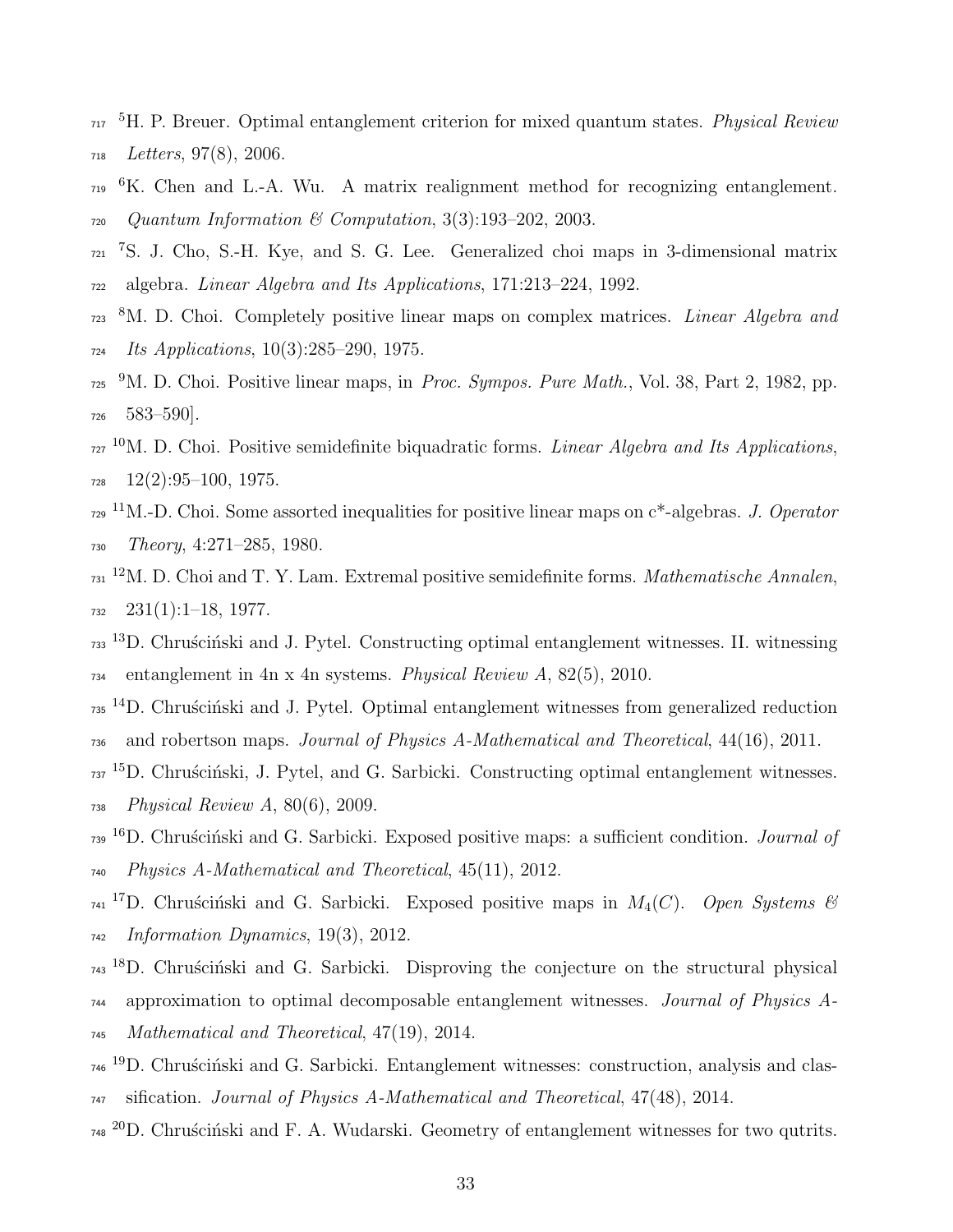- <sup>5</sup>H. P. Breuer. Optimal entanglement criterion for mixed quantum states. *Physical Review* Letters, 97(8), 2006.
- K. Chen and L.-A. Wu. A matrix realignment method for recognizing entanglement. Quantum Information & Computation, 3(3):193-202, 2003.
- <sup>7</sup>S. J. Cho, S.-H. Kye, and S. G. Lee. Generalized choi maps in 3-dimensional matrix algebra. Linear Algebra and Its Applications, 171:213–224, 1992.
- <sup>8</sup>M. D. Choi. Completely positive linear maps on complex matrices. *Linear Algebra and* Its Applications, 10(3):285–290, 1975.
- <sup>9</sup>M. D. Choi. Positive linear maps, in *Proc. Sympos. Pure Math.*, Vol. 38, Part 2, 1982, pp. 583–590].
- M. D. Choi. Positive semidefinite biquadratic forms. Linear Algebra and Its Applications,  $728 \quad 12(2):95-100, 1975.$
- <sup>11</sup>M.-D. Choi. Some assorted inequalities for positive linear maps on  $c^*$ -algebras. *J. Operator* Theory, 4:271–285, 1980.
- M. D. Choi and T. Y. Lam. Extremal positive semidefinite forms. *Mathematische Annalen*, 231(1):1–18, 1977.
- $13D$ . Chrus´ciński and J. Pytel. Constructing optimal entanglement witnesses. II. witnessing entanglement in 4n x 4n systems. Physical Review A, 82(5), 2010.
- <sup>14</sup>D. Chruscinski and J. Pytel. Optimal entanglement witnesses from generalized reduction and robertson maps. Journal of Physics A-Mathematical and Theoretical, 44(16), 2011.
- $^{15}$ D. Chruściński, J. Pytel, and G. Sarbicki. Constructing optimal entanglement witnesses. Physical Review A, 80(6), 2009.
- D. Chruściński and G. Sarbicki. Exposed positive maps: a sufficient condition. *Journal of* Physics A-Mathematical and Theoretical, 45(11), 2012.
- <sup>17</sup>D. Chruscinski and G. Sarbicki. Exposed positive maps in  $M_4(C)$ . Open Systems & Information Dynamics, 19(3), 2012.
- $18D$ . Chruscinski and G. Sarbicki. Disproving the conjecture on the structural physical
- approximation to optimal decomposable entanglement witnesses. Journal of Physics A-
- Mathematical and Theoretical, 47(19), 2014.
- $19D$ . Chruscinski and G. Sarbicki. Entanglement witnesses: construction, analysis and clas-
- sification. Journal of Physics A-Mathematical and Theoretical, 47(48), 2014.
- $^{20}$ D. Chrus´ciński and F. A. Wudarski. Geometry of entanglement witnesses for two qutrits.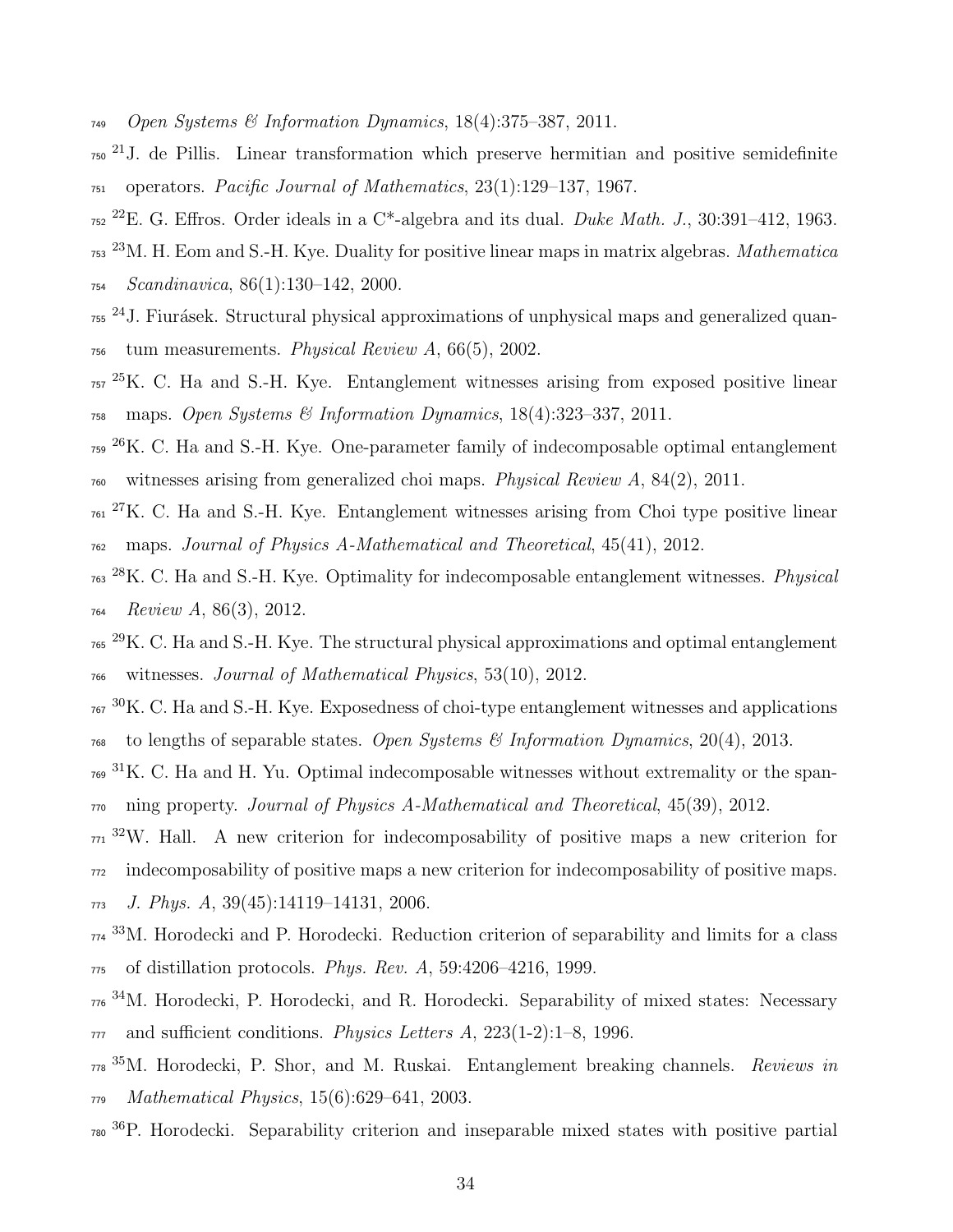- Open Systems & Information Dynamics, 18(4):375–387, 2011.
- <sup>21</sup> J. de Pillis. Linear transformation which preserve hermitian and positive semidefinite operators. Pacific Journal of Mathematics, 23(1):129–137, 1967.
- $_{752}$  <sup>22</sup>E. G. Effros. Order ideals in a C<sup>\*</sup>-algebra and its dual. *Duke Math. J.*, 30:391-412, 1963.
- $^{23}$ M. H. Eom and S.-H. Kye. Duality for positive linear maps in matrix algebras. *Mathematica* Scandinavica, 86(1):130–142, 2000.
- <sup>24</sup> J. Fiurásek. Structural physical approximations of unphysical maps and generalized quan- $_{756}$  tum measurements. Physical Review A, 66(5), 2002.
- $^{25}$ K. C. Ha and S.-H. Kye. Entanglement witnesses arising from exposed positive linear maps. Open Systems & Information Dynamics, 18(4):323-337, 2011.
- <sup>26</sup>K. C. Ha and S.-H. Kye. One-parameter family of indecomposable optimal entanglement witnesses arising from generalized choi maps. Physical Review A, 84(2), 2011.
- $27K$ . C. Ha and S.-H. Kye. Entanglement witnesses arising from Choi type positive linear maps. Journal of Physics A-Mathematical and Theoretical, 45(41), 2012.
- $^{28}$ K. C. Ha and S.-H. Kye. Optimality for indecomposable entanglement witnesses. *Physical* Review A, 86(3), 2012.
- $29K$ . C. Ha and S.-H. Kye. The structural physical approximations and optimal entanglement witnesses. Journal of Mathematical Physics, 53(10), 2012.
- K. C. Ha and S.-H. Kye. Exposedness of choi-type entanglement witnesses and applications  $\tau$ <sup>68</sup> to lengths of separable states. Open Systems & Information Dynamics, 20(4), 2013.
- K. C. Ha and H. Yu. Optimal indecomposable witnesses without extremality or the span-ning property. Journal of Physics A-Mathematical and Theoretical, 45(39), 2012.
- <sup>32</sup>W. Hall. A new criterion for indecomposability of positive maps a new criterion for indecomposability of positive maps a new criterion for indecomposability of positive maps. J. Phys. A, 39(45):14119–14131, 2006.
- M. Horodecki and P. Horodecki. Reduction criterion of separability and limits for a class of distillation protocols. Phys. Rev. A, 59:4206–4216, 1999.
- <sup>34</sup>M. Horodecki, P. Horodecki, and R. Horodecki. Separability of mixed states: Necessary and sufficient conditions. *Physics Letters A*, 223(1-2):1–8, 1996.
- $35M.$  Horodecki, P. Shor, and M. Ruskai. Entanglement breaking channels. Reviews in Mathematical Physics, 15(6):629–641, 2003.
- 780 <sup>36</sup> P. Horodecki. Separability criterion and inseparable mixed states with positive partial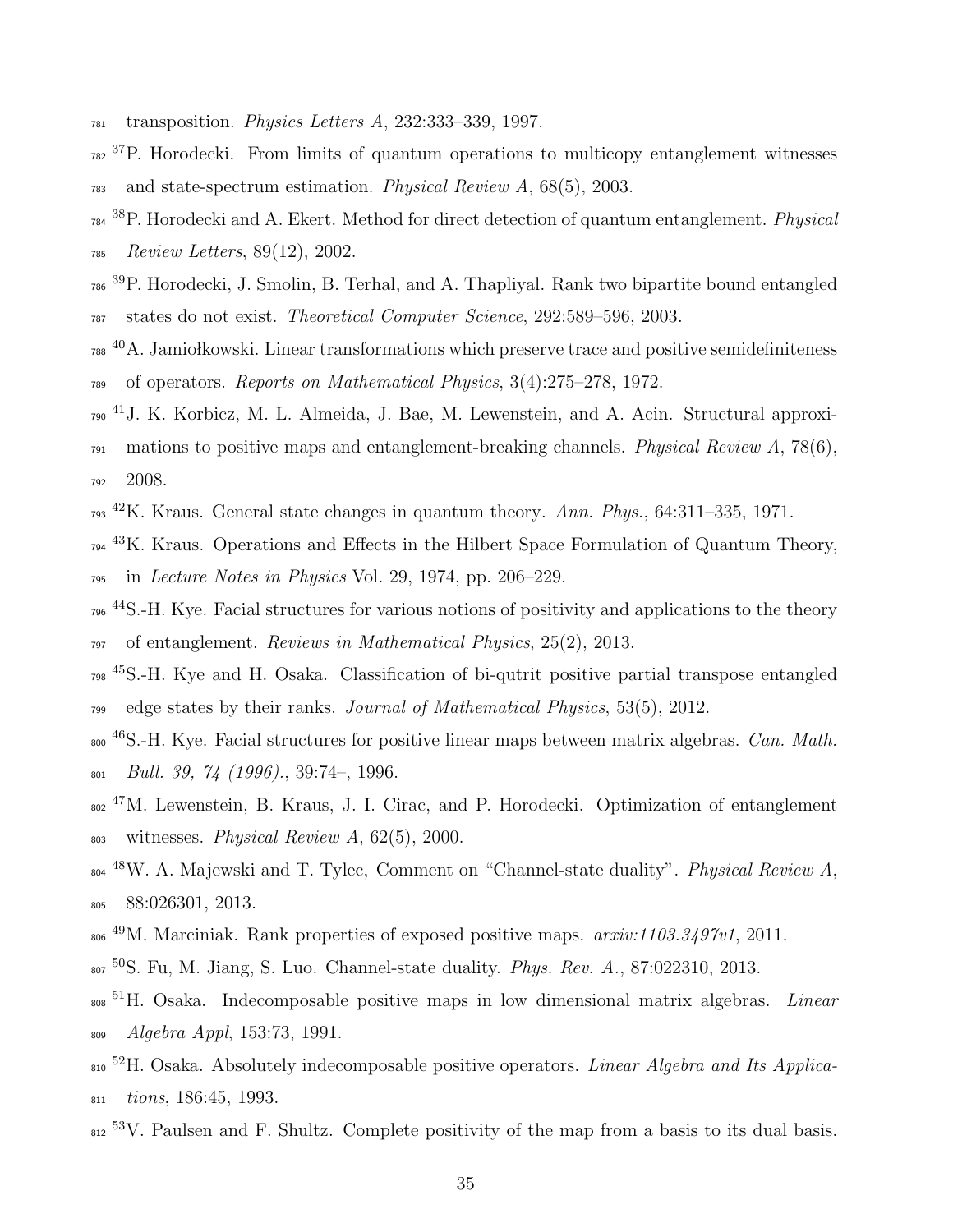- transposition. Physics Letters A, 232:333–339, 1997.
- 782<sup>37</sup>P. Horodecki. From limits of quantum operations to multicopy entanglement witnesses and state-spectrum estimation. Physical Review A, 68(5), 2003.
- <sup>38</sup> P. Horodecki and A. Ekert. Method for direct detection of quantum entanglement. *Physical* Review Letters, 89(12), 2002.
- 786<sup>39</sup> P. Horodecki, J. Smolin, B. Terhal, and A. Thapliyal. Rank two bipartite bound entangled states do not exist. Theoretical Computer Science, 292:589–596, 2003.
- A. Jamiołkowski. Linear transformations which preserve trace and positive semidefiniteness of operators. Reports on Mathematical Physics, 3(4):275–278, 1972.
- 790<sup> 41</sup> J. K. Korbicz, M. L. Almeida, J. Bae, M. Lewenstein, and A. Acin. Structural approxi- $_{791}$  mations to positive maps and entanglement-breaking channels. Physical Review A, 78(6), 2008.
- $^{42}$ K. Kraus. General state changes in quantum theory. Ann. Phys., 64:311–335, 1971.
- K. Kraus. Operations and Effects in the Hilbert Space Formulation of Quantum Theory,
- in Lecture Notes in Physics Vol. 29, 1974, pp. 206–229.
- <sup>44</sup>S.-H. Kye. Facial structures for various notions of positivity and applications to the theory of entanglement. Reviews in Mathematical Physics, 25(2), 2013.
- 45 S.-H. Kye and H. Osaka. Classification of bi-qutrit positive partial transpose entangled edge states by their ranks. Journal of Mathematical Physics, 53(5), 2012.
- <sup>46</sup>S.-H. Kye. Facial structures for positive linear maps between matrix algebras. Can. Math. Bull. 39, 74 (1996)., 39:74–, 1996.
- M. Lewenstein, B. Kraus, J. I. Cirac, and P. Horodecki. Optimization of entanglement 803 witnesses. Physical Review A,  $62(5)$ , 2000.
- W. A. Majewski and T. Tylec, Comment on "Channel-state duality". Physical Review A, 88:026301, 2013.
- $^{49}$ M. Marciniak. Rank properties of exposed positive maps.  $arxiv:1103.3497v1$ , 2011.
- 807 <sup>50</sup> S. Fu, M. Jiang, S. Luo. Channel-state duality. *Phys. Rev. A.*, 87:022310, 2013.
- $<sup>51</sup>H$ . Osaka. Indecomposable positive maps in low dimensional matrix algebras. Linear</sup> Algebra Appl, 153:73, 1991.
- $52H$ . Osaka. Absolutely indecomposable positive operators. *Linear Algebra and Its Applica*-tions, 186:45, 1993.
- <sup>53</sup>V. Paulsen and F. Shultz. Complete positivity of the map from a basis to its dual basis.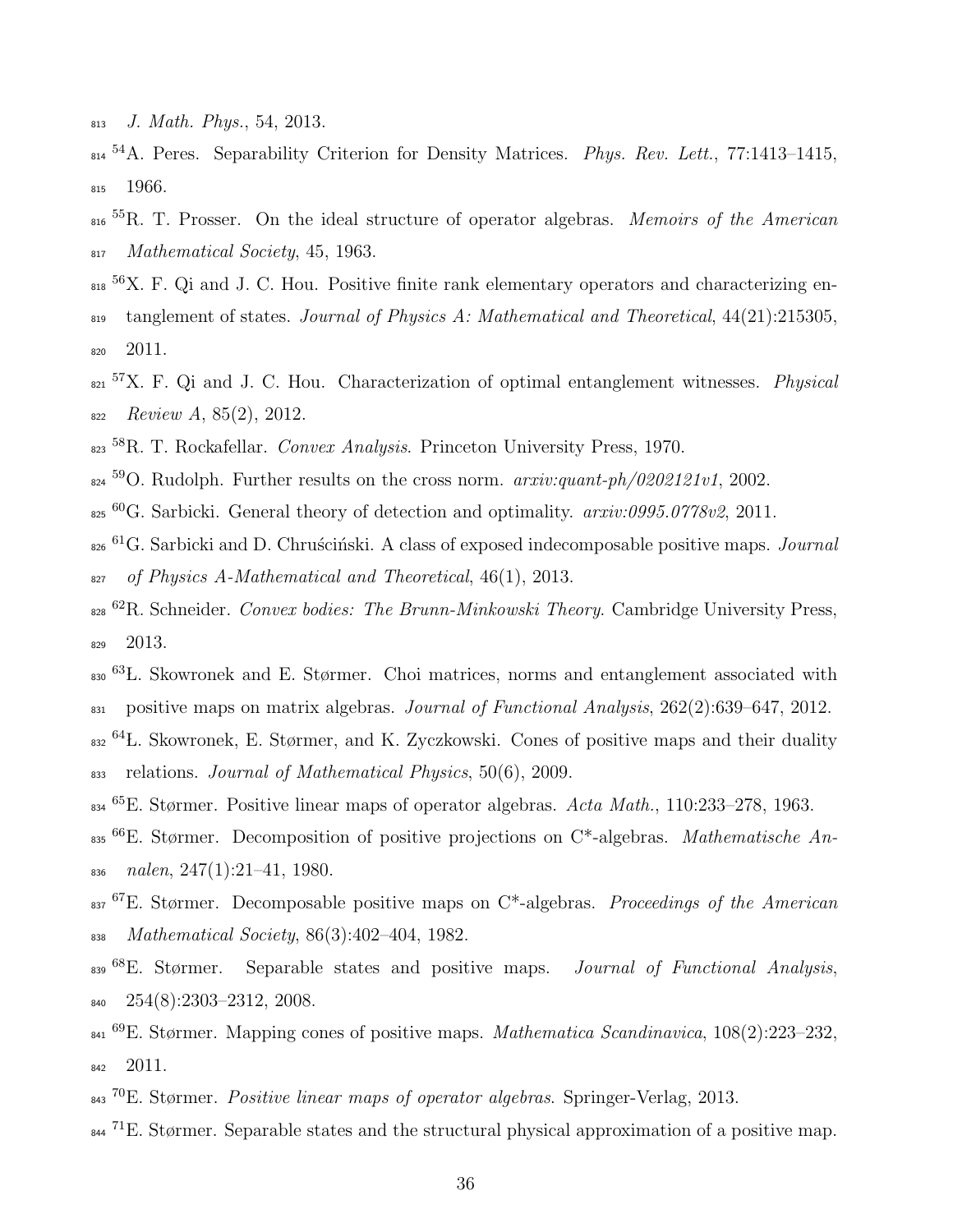- <sup>813</sup> J. Math. Phys., 54, 2013.
- 814 <sup>54</sup>A. Peres. Separability Criterion for Density Matrices. Phys. Rev. Lett., 77:1413-1415, 815 1966.
- <sup>55</sup>R. T. Prosser. On the ideal structure of operator algebras. Memoirs of the American 817 Mathematical Society, 45, 1963.
- 818 <sup>56</sup>X. F. Qi and J. C. Hou. Positive finite rank elementary operators and characterizing en-<sup>819</sup> tanglement of states. Journal of Physics A: Mathematical and Theoretical, 44(21):215305, <sup>820</sup> 2011.
- 821  $57X$ . F. Qi and J. C. Hou. Characterization of optimal entanglement witnesses. *Physical*  $Beyl 822$   $Review A, 85(2), 2012.$
- 823 <sup>58</sup>R. T. Rockafellar. Convex Analysis. Princeton University Press, 1970.
- 824 <sup>59</sup>O. Rudolph. Further results on the cross norm.  $arxiv:quant\text{-}ph/0202121v1$ , 2002.
- 825  ${}^{60}$ G. Sarbicki. General theory of detection and optimality.  $arxiv:0995.0778v2$ , 2011.
- 826  ${}^{61}$ G. Sarbicki and D. Chrus´ciński. A class of exposed indecomposable positive maps. *Journal*  $827$  of Physics A-Mathematical and Theoretical, 46(1), 2013.
- <sup>62</sup>R. Schneider. Convex bodies: The Brunn-Minkowski Theory. Cambridge University Press, <sup>829</sup> 2013.
- 830 <sup>63</sup>L. Skowronek and E. Størmer. Choi matrices, norms and entanglement associated with <sup>831</sup> positive maps on matrix algebras. Journal of Functional Analysis, 262(2):639–647, 2012.
- <sup>64</sup>L. Skowronek, E. Størmer, and K. Zyczkowski. Cones of positive maps and their duality <sup>833</sup> relations. Journal of Mathematical Physics, 50(6), 2009.
- <sup>65</sup>E. Størmer. Positive linear maps of operator algebras. Acta Math., 110:233–278, 1963.
- <sup>66</sup>E. Størmer. Decomposition of positive projections on C<sup>\*</sup>-algebras. Mathematische An-836 nalen,  $247(1):21-41$ , 1980.
- $67E$ . Størmer. Decomposable positive maps on C<sup>\*</sup>-algebras. Proceedings of the American <sup>838</sup> Mathematical Society, 86(3):402–404, 1982.
- $68E$ . Størmer.  $839$ <sup>68</sup>E. Størmer. Separable states and positive maps. *Journal of Functional Analysis*, <sup>840</sup> 254(8):2303–2312, 2008.
- <sup>69</sup>E. Størmer. Mapping cones of positive maps. *Mathematica Scandinavica*, 108(2):223–232, <sup>842</sup> 2011.
- 843 <sup>70</sup>E. Størmer. Positive linear maps of operator algebras. Springer-Verlag, 2013.
- <sup>844</sup> <sup>71</sup>E. Størmer. Separable states and the structural physical approximation of a positive map.